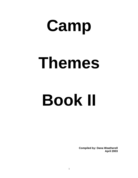# **Camp**

## **Themes**

# **Book II**

**Compiled by: Dana Weatherell April 2003**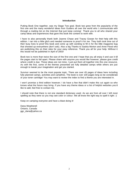### **Introduction**

Putting Book One together, was my Stage Two goal. Book two grew from the popularity of the first one and the many wonderful ideas from Guiders all over the world who I communicate with through a mailing list on the Internet that just keep coming! Thank you to all who shared your camp ideas and experiences that gave this book the content to work with.

I have to also personally thank both Joanne Chase and Tracey Gowan for their help with this edition. I ran into a little glich and needed someone to proof it for me. They both took time out of their busy lives to proof this book and come up with wording to fill in for the little magazine bug that showed up everywhere (don't ask). Also a big Thanks to Saskia Morton and Anne Flood who are publishing this on their sites for your easy reference. Thank you all for your help. Without it this would not be published in April of 2003!

Book two is more than twice the size of the first one and I hope that you all enjoy it and use it till the pages start to fall apart. Please share with anyone you would like however, please give credit where credit is due. These ideas are not mine, I just put them all together into this one resource. As with the first, some of the themes presented are fully detailed camps while others are just enough to tweak your imagination and get you started.

Survivor seemed to be the most popular topic. There are over 45 pages of ideas here including fully planned camps, activities and campfires. The book is over 100 pages long so be considerate of your toner cartridge! You may want to review the index to find a theme you are interested in.

I won't promise a third edition however; I do have a few that didn't make this cut again so who knows what the future may bring. If you have any theme ideas or a list of helpful websites you'd like to add, feel free to contact me.

I should note that there is not one standard dictionary used. As we are from all over I left most spelling as they were so you may see color or colour. We all know the right way to spell it right ;-)

Keep on camping everyone and have a blast doing it!

Dana Weatherell Ontario, Canada ggc\_dana@yahoo.ca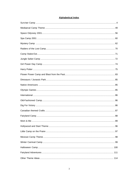## **Alphabetical Index**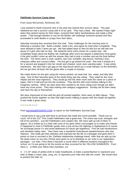### **Pathfinder Survivor Camp Ideas**

From Susie McCormick, Richmond, BC:

I just wanted to thank everyone who in the past has shared their survivor ideas. This past weekend we had a survivor camp with 8 of our girls. They had a blast. We started Friday night when they picked names for their tribes, received their fabric ties/bandanas and made a tribe poster. I had brought Barbies to use for the Barbie raft challenge someone posted and they proceeded to cloth Barbie in scraps from their fabric.

Saturday morning they received their first mail. Their challenges for the morning were to following a compass trail. Build a shelter, build a fire, and signal for food when completed. They were allowed to take 2 items per girl. We had added tarps to their kit lists but we still had one group of 4 girls who had no tarp. We bartered some extra chores for a spare tarp. We completely forgot about the Barbie raft challenge after lunch but played a wilderness trivia game. It the girls couldn't come up with the answer they had to pick a number and eat the food behind the door. The items were a snail, sardine, taro root, tomatillo, dog biscuit, Hershey's kiss, molasses toffee and coconut toffee. The first girl to go picked the snail. She took it looked at it for a second and popped it into her mouth and chewed, never even wanting water. It was pretty impressive. We also had a girl gag on the dog biscuit which put a small damper on the festivities but we got them all back into the game after a couple of minutes.

We made dinner for the girls using the menus posted, rat meat loaf, rice, salad, and kitty litter cake. One of their favourite parts of the whole thing was the voting. They voted for the most helpful and the most ingenious. They would go into the other room write the name on a piece of paper, fold it in half and put into the container. They did this with much fanfare talking to the imaginary camera. When we were done they wanted to do more voting even though we didn't have any more prizes. They kept making new category suggestions. Sunday we let them sleep and have the day to themselves.

We were impressed at how well the girls all worked together, there were no little cliques. They pushed the bunks together so they had eight bunks making a square with the heads all together. It was really a great camp.

\*~\*~\*~\*~\*\*~\*~\*~\*

From barrettis@ROGERS.COM: (a report on the Pathfinders Survival Day)

I would have to say a job well done to all those that made this event possible. Thank you so much. All of the 221<sup>st</sup> Port Credit Pathfinders had a great time. The event was loud, energetic and full of fun activities – just like Pathfinders and Leaders like. We were split up into 8 tribes of approx. 30 (I ended up in a tribe with none of my girls) which encouraged us to make new friends (I happened to meet a Pathfinder guider who is just across the highway in Applewood & of course we exchange phone #'s and email addresses for future get togethers). First we had introductions and standard safety rules. Then there was a wonderful motivational speaker/actress who was hilarious. She really got their attention and reached into the life of a teenager and gave them 4 points on how to succeed in life. (Definite relationship challenge there). After that we split up into the bead colour on our pins (These were given to us to distribute to our units in our registration package) – our tribe. From there it became a round robin in different locations throughout the school, so I'm just going to list the events as they occurred for the YELLOW SUNBUROS. From there is 1) Meet your fellow tribe members, cut

3 – 1"x 24" strips of yellow cloth to make headbands, & make a poster/banner to represent your tribe 2) Make a chant, play, song, etc. to represent your tribe and rally the crowd. We would have to present this later on.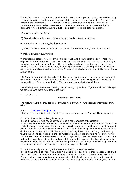3) Survivor challenge – you have been forced to make an emergency landing, you will be staying in one place until rescued, no one is injured... list in order the importance of the 15 items in the middle of the room from  $1 - 15$ . First do it individually then as a group (we were split into 4 smaller groups to make discussion easier). Then we heard the expert answers and had to determine if we did better as an individual or as a group. Most did better as a group.

4) Make a beadie snail (Yum)

5) Do nail polish and hair wraps (what every girl needs to know to survi ve)

6) Dinner – lots of pizza, veggie sticks & cake

7) Make chocolate in molds that would be survivor food (I made a rat, a mouse & a spider)

8) Make a flowerpot survivor doll

9) International station (how to survive in India) which was a round robin in itself. There were displays all around the room. There was a welcome ceremony (which I passed on the fertility & many children part), mendi tattooing, different foods, sari dresses and there were two ladies actually dressing the participants (Very interesting to see how the one strip of fabric is wrapped and pleated to make the sari) – I apologize if I have misspelled or stated any of this part as it was all new to me.

10) Cooperation game- blanket volleyball. Lastly, we headed back to the auditorium to present our chants. Very loud is an understatement. Fun, fun, fun. Yes. The girls were wound up but managed to say Taps very controlled. Then we went home-chattering all the way.

Last challenge we have – next meeting is to sit as a group and try to figure out all the challenges we covered. And there were lots. Suzanne $\mathbb{O}^n$ 

 $*_{-}*_{-}*_{-}*_{-}*_{-}*_{-}*_{-}*_{-}*$ 

### **Survivor Camp ideas**

The following were all provided to me by Katie from Byram, NJ who received many ideas from others:

### From: GSTroop2896@aol.com

It has taken me a while to get to this but here is what we did for our Survivor Theme activities:

1. Blindfolded activity – five girls per team

Props: blindfolds, 2 hula hoops per team, 2 balls per team (size of basketballs)

 Game: all girls from each team were blindfolded, with the exception of one per team (leader); the leader from each team throws the ball for the opposite team; the blindfolded girls must then get to this ball, bringing it back to the finish line with the help of directions given by their team leader; to do this, they must step only within the hula hoop that they have placed on the ground heading toward the ball; to begin this trek, they all must be standing in the first hula hoop before moving into the next one; once everyone is in the next hoop, the last person to enter must turn around to pick up the hoop they just vacated and pass it through to the front girl who then places it in the direction of where the ball landed; once reaching where the ball landed, they pick it up, returning to the finish line in the same fashion as they used to get to the ball

2. Blockout activity (I think I got this idea from the list you sent me earlier)

 Props: 8x11 sheets of paper with a large X on one side of each piece (these sheets are laid with the X facing down to the floor in the shape of a block – we created a block of 10 by 10 sheets) Game: each girl picks a starting point on any edge of the block; the object is to be the last girl remaining on the block; each girl takes a turn moving one space at a time (forward, backward or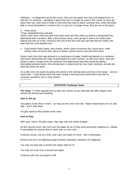sideways – no diagonal) and as they move, they turn the paper over they just stepped from so that the X is showing  $-$  signifying a space that can no longer be used in this round; as each girl takes their turn, they have to keep in mind that they want to block someone else, while still being able to move themselves in a future turn; if a girl can no longer move, they are out of the game

### 3. Hoop shoot

Props: basketball hoop and ball

Game: each team chose two girls from their team who then lined up behind a designated line, alternating team members; after a few practice shots, each girl got a total of ten shots each (taking one shot at a time, moving to the end of the line until each girl had shot ten shots); the team with the most baskets won

4. Food wheel Props: beets, feta cheese, olives, piece of snickers bar, prune juice, small shrimp, piece of carrot stick, piece of salami, gummi worms and raw onion piece

Game: each food item was printed on a small piece of paper, folded and placed in a container; each team determined the order of participation by each member; as their turn came, each girl picked a piece of paper from the container that determined what they would be eating – alternating between teams; the winning team is determined by how many members actually ate what fate chose for them

As a side note, we scored by giving ten points to the winning team and five to the losing – and our teams tied – I kept telling them they were simply a winning troop (some didn't buy that as someone needed to win, in their minds)...  $-*-*-*-*$ 

### *SURVIVOR Challenge Game*

**The Goal:** To think logically how to take your moves so you eliminate the other players and remain the final person standing.

### **How to Set up:**

Set papers on the floor in rows – as many as the room can hold. Paper should have an X on one side – put X side down.

4-6 girls stand on the outside of the room.

### **How to Play:**

With each "move" the girls make, they step onto one sheet of paper.

On the second move, they turn over the paper (to an X) they were previously stepping on, making it unavailable for anyone else to move onto or cross over.

Continue moves, one at a time, until a girl can make no move. She is eliminated.

Moves must be to an adjoining paper forward, backward, sideways (no diagonal).

You may not step onto a turned over paper (with an X).

You may not cross over a turned over paper.

Continue until only one player is left.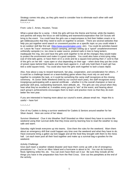Strategy comes into play, as they girls need to consider how to eliminate each other with well placed moves.

.<br>\*~\*~\*~\*~\*

From: Lela C. Arnes, Houston, Texas

What a great idea for a camp. I think the girls will love the theme and format, while the leaders and parents will enjoy the focus on skill building and teamwork/cooperation that Girl Scouts will bring to the event. You could have the girls use a map/compass to find their hidden snack or to get riddles/puzzles that they need to work on together to answer. There are several websites that help you put together word search or crossword puzzles on a specific topic so you could relate it to an outdoor skill like first aid (http://www.puzzlemaker.com/, etc). You could do activities based on "Leave No Trace" minimum impact camping, perhaps setting up a "spoof" unsafe/environment unfriendly campsite (i.e. too close to water source, pretend nails in tree to hang lantern, inadequate fire ring, etc) and have the girls work together to list all the changes they would make to protect the environment and make it a good campsite. You could also have a knot-tying relay (cat of nine-tails game, or have them sit in a circle and tie a square knot joining their 2' cord to that of the girl's on her left – eyes open or shut depending on their age – when done they put the circle of joined ropes behind their backs and lean back against it...it will only hold them if each girl has tied a solid square knot). You could also have the girls work together to lash a basic tripod.

Also, how about a way to reward teamwork, fair play, cooperation, and consideration for others...? It could be a challenge based on a team-building game where they must rely on and work together to complete the task, or it could be something the camp staff recognizes at the closing ceremony. At Junior Skills Weekend (held by our council each year), the staff recognizes every troop/group participating with a special certificate – whether it is the overall champion or best at particular skill area, outstanding teamwork, best attitude, etc. The girls are very proud when they hear what they've excelled at, it enables every group to "win" at the event, and hearing about each group's achievements encourages them to learn and practice more so that they do even better the next year.

If you are interested in hearing more about our council's event, please email me. Hope this is useful – have fun!

\*~\*~\*~\*~\*

One of my Cadets is doing a survivor weekend for Cadets & Seniors around weather for her Silver Award. Here are some of her ideas:

Survivor Weekend Clue it into Weather Stuff Stranded on Alkor Island they have to survive the weekend using their survival skills that they know and by learning how to read the weather to stay safe and warm.

Saturday night break everyone up into teams. Give them the rules for the weekend. Warn them about an emergency drill that could happen any time over the weekend and what they have to do. Have everyone bring a gallon zip lock baggie and all the food they brought with them to the mess hall. Let each team pool all their food together and make up a survival bag-o-goodies for the weekend.

### Activity Challenge

Give each team a weather related disaster and have them come up with a list of emergency procedures I.e.: You're on Alkor Island and a hurricane is about to hit. You can do hurricane, flood, lightning strike fire, etc. You can even have them act it out. Be sure they include all the things you have in the preparation lists from the Red Cross. Give out the pamphlets at the end of the activity.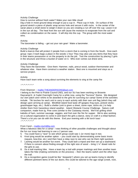### Activity Challenge

How to survive without fresh water? Make your own little cloud!

Dig a hole in moist ground deep enough to put a cup in. Place cup in hole. On surface of the ground stretch a piece of plastic wrap across hole and secure it with rocks. In the center of the saran place a small stone to weigh it down so you are creating a run off over the cup. Leave it sit in the sun all day. The heat from the sun will cause the moisture to evaporate from the soil and collect as condensation on the saran. It will drip into the cup. The group with the most water wins.

### Activity

The barometer is falling – get out your rain gear! Make a barometer.

### Activity Challenge

Build a lean-to that will protect 2 people from a storm that is coming in from the South. Give each group: rope 2 trash bags a place in the woods 1 hour They may also use any items that they have in their teams possession or on the property to do the job. Test the construction by placing 2 girls in the structure and throw a bucket of water on it. Who ever comes out driest wins.

### Activity Challenge

They have the barometer. Give them: Hammer, nails, precut wood, outdoor thermometer and whatever else. Have them construct a weather station. Best one is mounted and stays as a service project.

### Activity

Have each team write a song about surviving the elements to sing at the camp fire

 $x^*x^*x^*x^*x^*$ 

### From Shannon – mailto:THEANDERSON5@aol.com

I belong to the Pine to Prairie Council (ND), and our SU has been working on Brownie Daycamp/Jr. & Cadet Overnight Camp for a while now, using the "Survivor" theme. We designed our own patch and t-shirts to be awarded to the girls for surviving our camp! Some of the activities include. Tiki torches for each unit to carry to each activity with their own unit flag (which they will design upon arriving at camp). Blindfold island food taste off (grapes-frog eyes, pretzel sticksgrasshopper legs, etc.) Build a shelter (unit is given a sheet, some rope, sticks etc,) to help shelter them from hazardous island weather. Island Obstacle Course Challenge. Nature craft companion, made from lg. Pine cone (similar to the Castaway movie). We'll be grilling shish kabobs of ham, summer sausage, veggies, and fruit over the fire for supper. We're also working on a cultural organization to come in and teach the girls a dance, story or craft in a tribal fashion. There's a lot you can do with this theme. End your evening with a tiki torch luau!  $2*2*2*2*2*2*$ 

### From Carol – mailto:cisch@lg.com

What a fabulous idea for a camp! I was thinking of other possible challenges and thought about the fun our troop had learning to use a 2 person saw.

- 5. You could have a "race" to see which group could saw 1 (or more) logs in two.
- 6. Knot tying would be another option you could start by demonstrating some basic knots (square, bow-line, etc.) and then have a relay race to see who can tie them right quickest.
- 7. Lashing would be another fun event. They could lash a tripod and then set up a washstand. If there is concern about finding enough of the right size of wood – bring 1  $\frac{1}{4}$ " dowel rods for the girls to use.
- 8. Do a trail-marking hike. Have a team lay a trail with proper markings and then another team takes the hike (making comments on the process) – then the teams switch and the other lays the trail.
- 9. Do a recognition game (could be like "Jeopardy") where you set up teams trying to identify different pertinent items of the out doors; this could be tailored to the age range (creek, rock,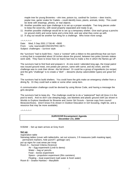maple tree for young Brownies – elm tree, poison ivy, cardinal for Juniors – deer tracks, poplar tree, garter snake for Cadets – could identify trees, plants, animals, birds). This could be done with drawings, photos, or real objects.

- 10. Another possible race type challenge is to set up a proper woodpile. Two long pieces under to keep the wood dry, with wood properly separated and ready to go.
- 11. Another possible challenge would be to set up a temporary shelter. Give each group a poncho (or ground cloth) and some twine and a time limit, and see what they come up with.
- 12. A sing out would be another fun thing for a challenge. Who know more songs.

 $2^{*}2^{*}2^{*}2^{*}2^{*}2^{*}$ 

Date: Wed, 5 Sep 2001 17:56:46 –0600 From: Lela <earnes@CONCENTRIC.NET> Subject: challenges – survivor style

the "survivors" had to build fires – have a "contest" with a ribbon to the patrol/troop that can burn a string that is suspended about 18 inches above the ground, between two poles (tomato stakes work well). They have to know how (or learn) fast how to make a fire in which the flames go UP.

The survivors had to find food and prepare it. At one event I attended long ago, the troop/.patrol was issued ground meat, one potato per person, same with carrot, and dry onion, and the challenge was to cook their dinner. Ala foil dinner! Or could be a group of ingredients (no recipe) and the girls "challenge" is to create a "dish" – desserts (dump cake/cobbler types) are great fort his.

The survivors had to build shelters. You could have the girls make an emergency shelter from a dining fly. Or they could lash a table or some other camp item.

A communication challenge could be devised by using Morse Code, and having a message the girls decipher.

The survivors had to keep dry. The challenge could be to do a "waterproof" bed roll (toss it in the pool to test!). And no don't use sleeping bags, use blankets and plastic ground cloth (as shown in Worlds to Explore Handbook for Brownie and Junior Girl Scouts – borrow copy from council library/archives). (Don't know if its shown in Outdoor Education in Girl Scouting, might be, and a resource that may be more available).

 $-*-*-*-*-*$ 

### *SURVIVOR* **Encampment Agenda December 2-3, 2000**

9:00AM - Set up team arrives at Grey Koch

### **Set up:**

registration table

Nametag tables (cover with tablecloths, set out scissors, 3 ft measures (with masking tape), permanent markers, hole punch?, garbage can)

put up signs for coat areas per troop

Room A – Survival Criteria (Science)

Air – Egg experiment (Lindi to demo)

Water – bag w/ pencils

Food – bones experiment

Space – propulsion experiment (film canisters)

Floating – boat experiment (salt water & fresh water)

Room B – Snakie Hankies – MaryBeth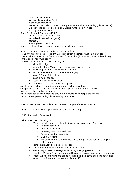spread plastic on floor stack of aluminum trays/snakies dye/cups/paintbrushes Baggies to put snakes in when done (permanent markers for writing girls names on) 1 grocery bag per troop to hold all Baggies (write troop # on bag) post tag board directions

Room C – Reward Challenge (Math)

lay out stepping stones (2 games) place dice in room (2 per game) scoreboard? Post tag board directions

Room D – should have all mattresses in them – close off limits

blow up punch balls, & set aside in case we need them

set up/Create palm trees (Troop 1401?) out of carpet tubes/construction & craft paper Dining Hall – all tables to be folded and set off to the side (do we need to move them if they are taking up too much room?)

Kitchen - orientation at 11:30 with Eldo (Lindi)

- all food in fridge
- bags with Chix in Woods stuff set aside near stove/fruit too
- snack bags set out for Brownies to get later
- extra food station (in case of extreme hunger)
- make 2-3 Kool-Aid coolers
- make a water cooler?
- Learn how to use dishwasher
- set up hot/cold tables  $-$  how do they work

check out microphone – how does it work, where's the control box

set up/tape off 10'x10' area for guest speaker – place microphone and table in area prepare fireplace for fire at evening

place boom box by microphone to play survivor music when people are arriving figure out best place for flag placement/flag ceremony

**Noon** – Meeting with the Cadettes/Explanation of Agenda/Answer Questions

**12:15** Turn on Music (throughout building?) & GS Law Song

**12:30** Registration Table Staffed:

### **Tell troops upon checking in:**

- When tribes check in, give them their packet of information. Contains:
	- Rotation schedule
	- Rotation explanations
	- Name tags/decorations/ribbon
	- Snack assembly Information
	- Game Directions
	- Evaluations/Pencils to be used after closing (please don't give to girls beforehand)
- Point out area for their tribe's coats, etc.
- Point out bathrooms (men & women) & first aid area.
- First activity make name tags at name tag table (supplies in packet)
- Then to Welcome/Flag Ceremony in Dining Hall (please stay out of other rooms)
- Troops will need to have one girl help put flag up, another to bring flag down later girls to go to Room A to practice with Troop 1401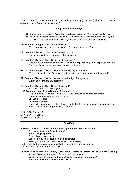**12:30 Troop 1401** – as troops arrive, practice flag ceremony (up & down) with 1 girl from each arriving troop in Room A (science room)

### **Flag Raising Ceremony:**

All people form circle around flagpoles, standing at attention. The guard stands 2 by 2. The Girl Scout in-charge stands to the side. Red sashes are worn around the waist by the Color Guard, the Girl Scout In-Charge wears a red sash over her shoulder.

- *Girl Scout In-Charge:* "Color guard, advance" (The guard walks to the flag, salutes it. The bearer takes the flag)
- *Girl Scout In-Charge:* "Color Guard, present colors" (The color guard walks forward to the flagpole.)
- *Girl Scout In-Charge:* "Color Guard, post the colors." (The guard & bearer unfold the flag. The bearer clips the flag on the rope and raises it. The Color Guard remains at attention next to the flag.)
- **Girl Scout In-Charge:** "Girl Scouts, honor the flag of your country." (The group salutes the American flag by placing their right hand over their heart.)
- **Girl Scout In-Charge:** "Girl Scouts, recite the Pledge of Allegiance." (All recite the Pledge of Allegiance)
- *Girl Scout In-Charge:* "Color Guard, dismissed."

(Color Guard returns to the group.)

**1:00 Welcome to all Tribes/Opening Ceremony** – Lindi Flag Ceremony – Cadette Troop 1401 & one representative from each troop Song: When E're You Make a Promise Girl Scout Promise Girl Scout Law Song Some activities require breaking troops into half, with one half going to each area in the room. This will encourage "Making New Friends".

- 1:15 1:35 Rotation 1
- 1:40 2:00 Rotation 2
- 2:05 2:25 Rotation 3

### *Activities:*

**Room A – Survival Criteria (Science)- led by Lindi & Cadette or Senior**

Air – Egg experiment (Lindi to demo)

Water – bag w/ pencils Food – bones experiment

Space – propulsion experiment (film canisters)

Floating – boat experiment (salt water & fresh water)

Lindi & assistant to demo experiments first, then break to free exploration

*Troops receive prize at end of time limit.*

### **Room B – Snakie Hankies – led by MaryBeth & Cadette (for afternoon) or Seniors (evening)**

A type of tye-dye hankies with fabric dye & paintbrushes… girls to receive an aluminum tray to place her snake on (prewrapped) draw face on snake with permanent marker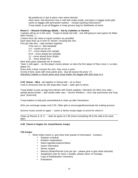dip paintbrush in dye & place color where desired

when done, fold aluminum tray in half with snake inside, and place in baggie (write girls name on baggie with permanent marker) - include washing instructions? Troop leader to put all Baggies in troop grocery bag for distribution at home

### **Room C – Reward Challenge (Math) – led by Cadettes or Seniors**

2 games will go on in the room. Troops to break into half – one half going to each game (to Make New Friends…)

2 teams form (as close to equal numbers as possible).

Each team lines up in front of "stones" crossing the river.

First girl rolls dice – add numbers together:

If the sum is: (like baseball)

2-4 – counts as an out

5-7 – move ahead one (single)

8-10 – move ahead two (double)

- 11 move ahead three (triple)
- 12 move ahead four

Next team goes (separate set of stones)

Team 1 rolls again – as this player moves ahead, so does the first player (if they move 2, so does player #1)

Every time a team crosses the river, they score a point.

At end of time, team with most points wins. (but all receive the prize \"/) *Attending Cadette or Senior gives each troop leader the baggie with their prize in it.*

**2:30 Snack – Mice** (all together in Dining Hall – sit on floor) Lindi to announce that we will swap after snack – older girls to demo

Troop leader to pick up bag from kitchen with Snack supplies / directions for Mice (rice cake – spread peanut butter – add vanilla wafer ears – licorice whiskers – choc chip eyes/nose) and "bug juice" (Kool-Aid)

Troop leaders to help girls assemble/eat & clean up after themselves

Girls can exchange swaps until 2:55. Older girls to encourage/demonstrate the trading process

Survivor music turned on again – Junior & Senior troops begin to arrive for check in

Clean up Rooms A, B, C, - clear for game at 2:45 (move everything off to the side to be reset later)

### **2:45 Check in begins for Junior/Senior troops**

### **Tell troops:**

- When tribes check in, give them their packet of information. Contains:
	- Rotation schedule
	- Rotation explanations
	- Name tags/decorations/ribbon
	- Game Information
	- Dinner recipes
	- Memory Books/Pencils (one per girl please give to girls when directed)
	- Songbooks (one for every 2 people, please return on Sunday)
	- Copy of Rededication Ceremony
	- **Evaluations**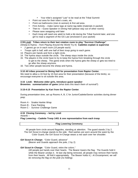- Your tribe's assigned "Law" to be read at the Tribal Summit
- Point out area for their tribe's coats, etc.
- Point out bathrooms (men & women) & first aid area.
- First Activity make name tags at name tag table (materials in packet)
- Then to Guest Speaker in Dining Hall (please stay out of other rooms)
- Please save swapping until later
- Each troop will need one adult to hold a tiki during the Tribal Summit later, and one girl to read a segment of the GS Law (enclosed in your packet)

### **2:55 Lindi**: **Tribes return to their last rotation room to play "Survivor Challenge"**

(Sheep & Hyena – from Playing Around the World Try-It) **Cadettes explain & supervise**

- *2 games go on in each room (15 people each).*
- *Troops split in half, with one half of their troop going to each game.*
- 13. Players join hands and form a tight circle.
- 14. The hyena stays outside the circle. The sheep stays inside the circle.
- 15. The players in the circle have to try to keep the hyena from breaking through the circle to get to the sheep. The game ends when the hyena gets the sheep or gets too tired to go after the sheep anymore.
- 16. Two other people become the sheep and hyena.

### **3:10 All tribes proceed to Dining Hall for presentation from Raptor Center.**

We need to allow a 10-foot by 10-foot area for their presentation (because of the birds), so encourage everyone to sit outside this area.

### **3:15 Lindi: Welcome older girls, Introduce guest speaker**

**Brownies: summarization of game** (what does this teach them of survival?)

### **3:15-4:15 Presentation by Kari from the Raptor Center**.

During presentation time, set up Rooms A, B, C for Junior/Cadette/Senior activities during dinner prep:

Room A - Snakie Hankie Wrap

Room B - Face Painting

Room C - Survivor Challenge Game

### **4:15 Closing Ceremony – led by Lindi**

Awards –

**Flag Lowering – Cadette Troop 1401 & one representative from each troop**

### **Flag Lowering Ceremony**

All people form circle around flagpoles, standing at attention. The guard stands 2 by 2. The Girl Scout in-charge stands to the side. Red sashes are worn around the waist by the Color Guard, the Girl Scout In-Charge wears a red sash over her shoulder.

*Girl Scout In-Charge:* "Color Guard, advance"

(Bearer and Guards approach the pole, 2 by 2)

### *Girl Scout In-Charge:* "Color Guard, retire the colors."

(All people put hands over their hearts. The Bearer lowers the flag. The Guards hold it while the Bearer unclips it. At last clip being removed, all people may remove their hands from their hearts. All fold it appropriately. The Bearer holds it.) *At Encampment, we will be removing the flag on the pole (no folding).*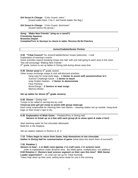*Girl Scout In-Charge:* "Color Guard, retire." (Guard walks back, 2 by 2, and hands leader the flag.)

*Girl Scout In-Charge:* "Color Guard, dismissed." (Guard rejoins the group.)

**Song: "Make New Friends" (sing as a round?) Friendship Squeeze Brownies Depart Complete/Turn In Surveys to check-in table- Receive NLSU Patches**

### **Junior/Cadette/Senior Portion**

**4:30 "Tribal Council"** for Junior/Cadette/Senior troops (welcome) – Lindi Explanation of evening's events Some activities require breaking troops into half, with one half going to each area in the room. This will encourage "Making New Friends". 5<sup>th</sup> grade Juniors to set up tables in Dining Hall during dinner prep time

### **4:45 Dinner prep** by 6<sup>th</sup> grade Juniors

Other troops exchange swaps & visit self-directed activities: hang rope for troop dunk bags – *1 Senior to assist with questions/how to's* Survivor Challenge Game – *1 Senior to teach* wrap Snakie Hankies – *1 Senior to demonstrate* Face Painting Music/Songs – *2 Seniors to lead songs* Memory Books

## **Set up tables for dinner (5th grade Juniors)**

**5:30 Dinner** – Dining Hall Troops to be called to serving line by Lindi **Clean-up (one girl per troop to assist with group clean-up)** Each troop responsible for cleaning their own dishes – cleaning station set up outside, hang dunk bags on their troop's rope to dry.

### **6:30 Explanation of Wide Game** – Predator/Prey in Dining Hall *Seniors to break up so a few with each group (& to show spirit & make it fun!)*

Start warming water for hot chocolate afterwards Build fire in the fireplace

Set up rotation stations in Rooms A, B, C

**7:15 Tribes begin to return from Game, help themselves to hot chocolate Gather in Dining Hall for summarization of game** (what does this teach them of survival?)

### **7:35 Rotation 1**

*Seniors to lead – 1 in Math room (game), 2 in craft room, 2 in science room (refer to explanations under Brownie area. But Math game, multiplication, not addition)* **8:00 Rotation 2 (Seniors lead science segment on their own this time? With Senior Leader supervision?** – so Lindi can set up for Tribal Summit**)** Tribes help clean up their area, setting items aside for use in the morning.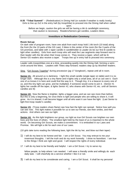**8:35 "Tribal Summit"** – (Rededication) in Dining Hall (or outside if weather is really lovely) Girls to line up 2x2 in the entry hall (by troop/tribe) to proceed into the Dining Hall when called upon.

Before we begin, caution the girls we will be having a tiki & candlelight ceremony, that caution is necessary. Readers/Seniors get candles, Leaders tikies.

### **Investiture or Rededication Ceremony**

### **Room Set-up:**

On dark side of program room, have one adult from each troop hold 1 tiki torch (10 total) along the front (for the 10 parts of the GS Law), 3 tikies in the center of the room (for the 3 parts of the GS promise), and table with 1 taper candle in candleholder & Leader (to be our first lit candle to light other candles). Girls from each troop who will read the Law segments step forward next to their leader with the tiki when their troop comes in. They receive a taper, which will be lit. Senior GS readers also receive a taper. Troops line up in entry hall to proceed into ceremony.

Leader calls troops/tribes one at a time, proceeding quietly into the Dining Hall, forming a semicircle around the tikies. Leaders with Tikies step forward; readers step up by tikis/their leaders.

Sing: "Girl Scouts Together" during procession (*pg 17 Songbook* ), repeat until all in room.

**Senior #1:** All around us is darkness. I light this small candle (single taper on table) and it is no longer dark. Although this is a tiny flame and it lights only a small area, all of us can see it. Each one of us knows it is here and could find the way to it. Though tiny, it is a beacon to every one of us, and this tiny light can grow, and be multiplied, if someone would come to join it. (Senior #1 lights her candle off the taper, & lights Senior #2, who shares with Senior #3, etc. until all Seniors candles are lit)

**Senior #2:** Now the flame is brighter, lights a bigger area, and we can see more than before. But this is only a beginning, for once there is light and people who are willing to share it, it will grow. As it is shared, it will become bigger until all who want it can have the light. (Last Senior to light first troop reader's candle)

**Senior #3:** (Troop readers share flame) see how fast the light can spread. Notice how well you can see now. This light makes it possible for us to see our friends, see their smiles, and their actions. And others can see our light.

**Senior #4:** As this light brightens our group, our light as true Girl Scouts can brighten our own lives and the lives of others. The smallest light held by the least of us is important to the whole world. On becoming Girl Scouts, we make a commitment. It is embodied in our Laws and Promise. We will light a tiki for each one of our Laws.

(10 girls take turns reading the following laws, light the tiki by her, and blow out their taper)

- 1) I will do my best to be honest and fair. I am a Girl Scout. You may entrust to me your innermost thoughts. I tell the truth and do my work honestly. I show no favoritism. I am true to the things I think are right and good. I will respect the rights of every individual.
- 17. I will do my best to be friendly and helpful. I am a Girl Scout. I try to serve my

fellow people, to help where I am needed. I will wear a friendly smile and willingly do each daily task. I will cheerfully do a service whether I like it or not.

3) I will do my best to be considerate and caring. I am a Girl Scout. It shall be my personal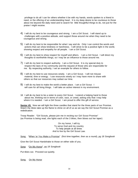privilege to do all I can for others whether it be with my hands, words spoken to a friend in need, or the offering of an understanding heart. It is my deep desire to be courteous to those about me beyond the daily need and to search for little thoughtful things to do, not just for the praise I might receive.

- 4) I will do my best to be courageous and strong. I am a Girl Scout. I will stand up to challenges with a positive attitude, and support those around me when they need to be courageous and strong.
- 5) I will do my best to be responsible for what I say and do. Only I can control the words and actions that can show kindness or harshness. I will strive to be a positive light in the world, showing respect and empathy for all people. I am a Girl Scout.
- 6) I will do my best to show respect for myself and others. I am a Girl Scout. I will direct my thoughts to worthwhile things, so I may be an influence to those around me.
- 7) I will do my best to respect authority. I am a Girl Scout. It is my special duty to respect the laws of my community and the request of those who are responsible for me. By respecting authority, I set an example for others to follow.
- 8) I will do my best to use resources wisely. I am a Girl Scout. I will not misuse material, time or energy. I use resources wisely so I may have more to share with others so that our resources may outlast our time.
- 9) I will do my best to make the world a better place. I am a Girl Scout. I will care for all living things. I will take an active interest in my environment.
- 18. I will do my best to be a sister to every Girl Scout. I extend a helping hand to those about me, thinking not in terms of color, race, or creed, asking only that I may help where it is needed. I am a Girl Scout. I am proud to offer this gift of service.

**Senior #5**: Now we will light the three candles that stand for the three parts of our Promise. Watch the tikies take up the flame to shine on all of us as we say the Girl Scout Promise as a rededication.

Troop Reader: "Girl Scouts, please join me in reciting our Girl Scout Promise" (as Promise is being read, she lights each of the 3 tikies, then blows out her taper)

> On my honor, I will try To serve God and my country To help people at all times And to live by the Girl Scout Law.

Song: "When 'er You Make a Promise" (first time together, then as a round), *pg 18 Songbook*

Give the Girl Scout Handshake to those on either side of you.

Song: "On My Honor", *pg 18 Songbook*

Put tikies out. Proceed out quietly.

Song: On My Honor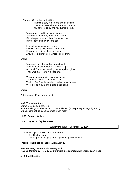Chorus: On my honor, I will try There's a duty to be done and I say "aye" There's a reason here for a reason above My honor is to try and my duty is to love.

 People don't need to know my name If I've done any harm, then I'm to blame If I've helped another, then I've helped me If I've opened up my eyes to see

 I've tucked away a song or two If you're feeling low, there's one for you. If you need a friend, then I will come. And, there's plenty more where I come from.

### **Chorus**

 Come with me where a fire burns bright, We can even see better in a candle's light And we'll find more meaning in a campfire's glow Then we'll ever learn in a year or so.

 We've made a promise to always keep To pray "Softly Falls" before we sleep We'll be Girl Scouts together, and when we're gone, We'll still be a tryin' and a singin' this song.

### **Chorus**

Put tikies out. Proceed out quietly.

### **9:00 Troop free time:**

Campfires outside if they like S'more makings can be picked up in the kitchen (in prepackaged bags by troop) Unpack cars/Set up sleeping areas when ready

### **11:00 Prepare for bed**

### **11:30 Lights out / Quiet please**

### **Sunday Morning – December 3, 2000**

**7:30 Wake up** – Survivor music turned on Breakfast on own Clean up their sleeping area – pack up gear/load cars

### **Troops to help set up last rotation activity**

**9:00 Morning Ceremony in Dining Hall Flag up Ceremony –** *led by Seniors* **with one representative from each troop**

### **9:15 Last Rotation**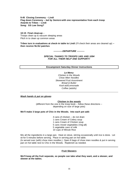**9:45 Closing Ceremony – Lindi Flag down Ceremony –** *led by Seniors* **with one representative from each troop Awards to Tribes – Lindi Song: GS Law Song?**

**10:15 Final clean-up** – Troops clean up & vacuum sleeping areas Pitch in to clean up common areas

**Tribes turn in evaluations at check-in table to Lindi** (I'll check their areas are cleaned up) **– then receive NLSU patches**

*------------DEPARTURE ----------*

*SPECIAL THANKS TO TROOPS 1401 AND 1094 FOR ALL THEIR HELP AND SUPPORT!!*

### **Encampment Saturday Dinner Instructions**

*Le Menu: Chicken in the Woods Chow Mien Noodles Skewered Fruit Assortment Bread & Butter Kool-aid/Lemonade Coffee (adults)*

### *Wash hands & put on gloves*

**Chicken in the woods**

(different from the one in the troop book – follow these directions – depending on size of large pots)

### **We'll make 3 large pots of Chix in the Woods. Into each pot add:**

4 cans of chicken – do not drain 1 cans Cream of Celery soup 1 cans Cream of Chicken soup 5 cans mixed vegetables (Veg-all) 5 vegetable cans of milk 10 cups of Minute Rice

Mix all the ingredients in a large pan. Heat on stove, stirring occasionally until rice is done. Let sit for 5 minutes before serving. Place in serving pan on hot table. (Is served over (with) chow mien noodles.) Open 8 bags of chow mien noodles & put in serving pan on hot table next to Chix in the Woods. Replenish as needed.

### **Fruit Skewers**

**We'll keep all the fruit separate, so people can take what they want, and a skewer, and skewer at the tables.**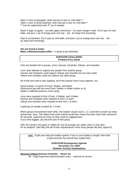Open 3 cans of pineapple, drain and put in pan on cold table.\*\* Open 3 cans of sliced peaches, drain and put in pan on cold table.\*\* \*\* Can be replenished with 4<sup>th</sup> can if needed

Wash 3 bags of apples. Cut with apple corer/slicer. Cut each wedge in half. Put in pan on cold table, and pour 1 jar of orange juice over top  $-$  stir. (to keep from browning)

Peel & cut bananas. Put in pan on cold table, and pour 1 jar of orange juice over top – stir. (to keep from browning)

### **Set out bread & butter Make coffee/lemonade/coffee** – if needs to be refreshed

### *SURVIVOR CHALLENGE* **Predator-Prey Game**

Girls are divided into 5 groups, Lions, Hyenas, Cheetahs, Zebras, and Gazelles.

Lions were allowed to capture any people from another group. Hyenas and Cheetahs could capture Zebras and Gazelles but not each other. Zebras and Gazelles could not capture any other group.

All of the lions had to stay together, all of the hyenas had to stay together, etc...

Head outside, in search of Food, Shelter, and Water (fluorescent tag with the word Food, Shelter or Water written on it) hidden in different portions of the camp.

Lions were required to find 4 Food, 4 Shelter, and 4 Water. Hyenas and Cheetahs were required to find 2 of each. Zebras and Gazelles were required to find only 1 of each.

Capturing 10 people counted for 1 Food.

When groups encountered each other, the leaders would count 1, 2, 3 and then scream out what animal they were. The higher food chain animal would then chase the lower food chain animal for 30 seconds, capturing as many as they could by tagging them. If you were tagged, you become part of that group.

After 30 minutes, the game is called off, and all animals can safely return to the base for an analysis. (Did they find all of their requirements? How many people did they capture?)

Note: If girls are using the buddy system; if you or your buddy is caught, then both of girls become the animal that caught them.

### *SURVIVOR* **Encampment Agenda December 2-3, 2000 Rotation Activity Explanations**

### **Survival Criteria (Science Activities – Room A):**

Air – Egg Experiment (demonstration only) – need air to survive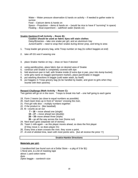Water – Water pressure observation  $\&$  hands on activity – if needed to gather water to survive

Food – Calcium demo & hands on

Space – Propulsion – demo & hands on – (would be nice to have if "surviving" in space) Floating – Boat experiment – salt/fresh water (hands on)

### **Snakie Hankies (Craft Activity – Room B):**

**Caution should be used as fabric dyes will stain clothes** Daisy/Brownies – take one snake per girl, and an aluminum tray Junior/Cad/Sr – need to wrap their snakie during dinner prep, and bring to area

- 1. Troop leader get grocery bag, write Troop number on bag (to collect baggies at end)
- 2. take off GS vest if wearing one
- 3. place Snakie Hankie on tray draw on face if desired
- 4. using paintbrushes, place fabric dye on desired area of Snakie
- 5. continue until Snakie is completely covered with dye
- 6. fold aluminum pan in half, with Snakie inside (if extra dye in pan, pour into dump bucket)
- 7. write girls name on baggie (permanent marker), place pan/Snakie in baggie
- 8. put washing directions in baggie (cold water wash, by itself)
- 9. put baggies in Troop grocery bag (to be handled by leader, and given to girls when they reunite with their parents)

### **Reward Challenge (Math Activity – Room C):**

Two games will go on in the room. Troops to break into half – one half going to each game

- 19. Form 2 teams (as close to equal numbers as possible).
- 20. Each team lines up in front of "stones" crossing the river.
- 21. First girl rolls dice multiply numbers together:
- 22. If the product is: (like baseball)
- 23. **6 –** counts as an out
	- **7 18 –** move ahead one (single)
	- **19 27 –** move ahead two (double)
	- **28 35-** move ahead three (triple)
	- **36 –** go all the way across the river (home run)
- 24. Next team goes (separate set of stones)
- 25. Team 1 rolls again as this player moves ahead, so does the first player (if they move 2, so does player #1)
- 26. Every time a team crosses the river, they score a point.
- 27. At end of allotted time, team with most points wins. (but all receive the prize \"/)

### **Snakie-Hankie Directions**

### **Materials per girl:**

1 handkerchief (we found ours at a Dollar Store – a pkg of 3 for \$1) 1 floral wire, & a bit of masking tape about 1 yard cotton twine dyes Ziploc baggie – sandwich size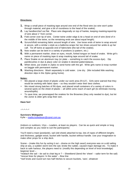### **Directions:**

- **1.** Wrap a small piece of masking tape around one end of the floral wire (so wire won't poke through material, and give a bit of roundness to the head of the snakie).
- **2.** Lay handkerchief out flat. Place wire diagonally on top of hankie, keeping masking-taped-tip of wire about 1" from corner.
- **3.** Fold corner over tip of wire. Center twine under edge & tie a head on end of wire (kind of in the middle of the twine, so the remaining ends are about equal length).
- **4.** Scrunch/fold remaining fabric around length of wire. Use loose ends of twine to wrap around & secure, with a similar x-style as a ballerina wraps her toe shoes around her ankle & up her calf. Tie off twine at opposite end of fabric/wire (the tail of the snakie).
- **5.** Now snakie can be bent in a variety of positions (s-pattern, etc.)
- **6.** With a permanent marker, draw on eyes, mouth, forked tongue on head of snake. Write girl's name on piece of masking tape & wrap masking tape around tail of snake.
- **7.** Place Snakie on an aluminum tray (or plate something to catch the excess dye). Dip paintbrushes in dye & place color on snakie in desired pattern/places.
- **8.** When done, put snakie in Ziploc to send home with the girl. Write girls name & troop number on baggie with permanent marker.
- **9.** Washing directions: Wash separately in cold water. Line dry. (We included little washing direction slips in the Ziploc going home).

### **Notes:**

- We placed a large sheet of plastic under our work area (9'x12'). Girls were warned that they would be working with fabric dyes – so they wouldn't wear their best clothes.
- We mixed strong batches of Rit dyes, and placed small containers of a variety of colors in several spots on the sheet of plastic – all within arms reach of each girl (to eliminate moving around/spills).
- To save time, we prewrapped the snakies for the Brownies (they only needed to dye), but let the Junior & older girls wrap their own.

### **Have fun!**

### $^{*}$  \*  $^{*}$  \*  $^{*}$

### **Survivors Widegame**

Kylie – mailto:kyliedwyer@cqnet.com.au

(indoors or outdoors; 12yo – Leaders, at least six players. Can be as quick and simple or long and complex as you need to suit the participants)

You'll need a mast (post/pole), sail (old sheet) attached to top, lots of ropes of different lengths and thickness, gadget wood, bucket with handle, bucket without handle. Use your imagination to make other props for a ship deck.

Scene – (make this fun by acting it out – drama on the high seas!) everyone was on a old sailing ship at sea, a sudden storm tore the sail, broke the rudder, caused major damage etc. To make it back to safe harbour, the players need to: (modify this depending on level of knot knowledge) beginner level –

\*reattach the sail – tie sail to chair leg or ? – Sheetbend (bend the 'sheet' – sailor term for the sail) \*rescue lines for players 'in the water' – Bow line

\*reef knots and round turn two half hitches to secure buckets, 'oars', whatever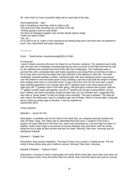28. clove hitch on mast to provide safety rail on each side of the ship

more experienced – add –

ship is breaking up and they need to make a raft... \*any and every type of lashing you can think of for raft

\*include guying a pole for sail/ shade

\*tie down all salvaged supplies (can include decide what to keep)

\*make and attach rudder

\*etc, etc....

if it is safe to do so, make it more precarious by limiting what part of the floor they are allowed to touch, then stand back and enjoy watching!

 $*_{-}*_{-}*_{-}*_{-}*_{-}*_{-}$ 

From: The4Cherries <the4cherries@EROLS.COM>

### Hi everyone!

I want to thank everyone who sent me ideas for our Survivor weekend. The weekend went really well, the girls had 4 challenges including figuring out how to survive on the little food that we had for the weekend (the earned extra food items with their challenges). The challenges were a survival hike with a simulated bear and snake experience and using their survival kits to make a fire to stay warm and heat the water they had collected in the balloons in their kits. The other challenges included building a shelter, collecting water with their bandanas (which was poured over the shelter to see how water proof it was), building a raft that could hold the weight of Barbie and creating solar ovens to cook their lunch. It was a lot of fun! And, for the most part, a great team building experience. Our younger girls (all  $5<sup>th</sup>$  graders) were in the same group and our older girls (all  $7<sup>th</sup>$  graders) were in the other group –the girls got to choose their groups. Well the 7<sup>th</sup> graders worked really well together, but the 5<sup>th</sup> graders are all type A personalities, all firstborn children who think everything should be there way. So my co-leader and I suggested that they elect a "group leader" to help run things more smoothly. This was a disaster. This little girl who used to be really quiet, took on a dictator type rule of things. Which of course after a long day led to a blow up mutiny type of situation. It was an experience. SURVIVOR INFO

CHALLENGES:

Episode 1 – Quest for Fire

Description: A symbolic race for fire held on the Sand Spit, an s-shaped sand bar located one mile off Palau Taiga. The object was to alternately float and carry a cauldron of fire from a position 50 yards offshore to the finish line, which was delineated by a 20-foot high Fire Spirit. In addition, teams had to light a succession of torches between start and finish, with the winner being the first to light all their torches and the Fire Spirit. Winning Tribe Gets: Immunity and 50 waterproof matches

### Episode 2 – Buggin Out

Description: Bug-eating competition. The bug of choice was a butok, or beetle larvae. The live butok is three inches long and a half-inch around. Winning Tribe Gets: Immunity

Episode 3 Reward – Treasure Chest

Description: A treasure chest is submerged 150 yards off the Sand Spit. Each tribe must swim out to the treasure chest. Once the entire tribe has arrived, they must dive down and work as a group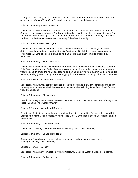to drag the chest along the ocean bottom back to shore. First tribe to haul their chest ashore and open it wins. Winning Tribe Gets: Reward – snorkel, mask, fins, fishing spear.

Episode 3 Immunity – Rescue Mission

Description: A cooperative effort to rescue an "injured" tribe member from deep in the jungle. Starting on the rocky beach near Bird Island, tribes dash into the jungle carrying a stretcher. The first team to locate their injured tribe member, load her onto the stretcher, and carry her back to the beach to the first aid station, wins. Winning Tribe Gets: Immunity

Episode 4 Reward – Distress Signal

Description: In a fictitious scenario, a plane flies over the island. The castaways must build a distress signal on the beach to attract the pilot's attention. Best distress signal wins. Winning Tribe Gets: A cache of spices, a sharp knife, hammocks, and other comforts dropped by parachute.

Episode 4 Immunity – Buried Treasure

Description: A combination relay race/treasure hunt. Held on Ramis Beach, a windless cove on Pula Tiga's southern side, Buried Treasure asked tribes to find a buried treasure map, then the treasure itself. In order, the relay legs leading to the final objective were swimming, floating bridge balance, rowing, jungle running, and then digging for the treasure. Winning Tribe Gets: Immunity

Episode 5 Reward – Choose Your Weapon

Description: An accuracy contest consisting of three disciplines: blow dart, slingshot, and spear throwing. One person per discipline competed for each tribe. Winning Tribe Gets: Fresh fruit and three live chickens.

Episode 5 Immunity – Shipwrecked

Description: A kayak race, where one team member picks up other team members bobbing in the ocean. Winning Tribe Gets: Immunity

Episode 6 Reward – Abandoned Barracks

Description: A nighttime romp through abandoned buildings, searching for survival items with the assistance of night-vision goggles. Winning Tribe Gets: Canned food, chocolate, Meals Ready to Eat (MREs).

Episode 6 Immunity – Obstacle Course

Description: A military-style obstacle course. Winning Tribe Gets: Immunity

Episode 7 Immunity – Snake Island Relay

Description: A combination breath-holding competition and underwater swim race. Winning Castaway Gets: Immunity.

Episode 8 Reward – Archery

Description: An archery competition Winning Castaway Gets: To Watch a Video From Home.

Episode 8 Immunity – End of the Line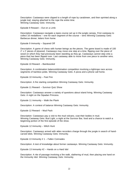Description: Castaways were clipped to a length of rope by carabineer, and then sprinted along a jungle trail, staying attached to the rope the entire time. Winning Castaway Gets: Immunity.

Episode 9 Reward – Out on a Limb

Description: Castaways navigate a ropes course set up in the jungle canopy. First castaway to collect 16 medallions – one for each segment of the course – wins Winning Castaway Gets: Barbecue dinner, letters from home.

Episode 9 Immunity – Squared Off

Description: A game of chess with human beings as the pieces. The game board is made of 100 2' x 2' pieces of plywood. Castaways may move one step at a time, flipping over the piece of wood on which they had previously been standing as they go. Castaways cannot step onto a piece that has been flipped over. Last castaway able to move from one piece to another wins. Winning Castaway Gets: Immunity.

Episode 10 Reward – Bamboozled

Description: A combination balance/elimination competition involving a tightrope race across segments of bamboo poles. Winning Castaway Gets: A pizza and a phone call home.

Episode 10 Immunity – Fast Fire

Description: A fire starting competition Winning Castaway Gets: Immunity.

Episode 11 Reward – Survivor Quiz Show

Description: Castaways answer a variety of questions about island living. Winning Castaway Gets: A night on the Sipadan Princess.

Episode 11 Immunity – Walk the Plank

Description: A contest of balance Winning Castaway Gets: Immunity.

Episode 12 Reward – Mud Pack

Description: Castaways pay a visit to the mud volcano, coat their bodies in mud. Winning Castaway Gets: Bud Light, a night at the Survivor Bar, food and a chance to watch a beginning portion of the first episode of the show.

Episode 12 Immunity – Witch Hunt

Description: Castaways armed with video recorders charge through the jungle in search of handcarved idols. Winning Castaway Gets: Immunity.

Episode 13 Immunity # 1 – Fallen Comrades

Description: A test of knowledge about former castaways. Winning Castaway Gets: Immunity.

Episode 13 Immunity #2 – Hands on a Hard Idol

Description: A rite of passage involving a fire walk, slathering of mud, then placing one hand on the Immunity Idol. Winning Castaway Gets: Immunity.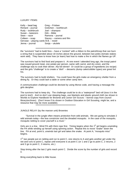### LUXURY ITEMS:

| Kelly - bead bag                     | Greg - Frisbee           |  |
|--------------------------------------|--------------------------|--|
| Richard - journal                    | Gretchen - toothbrush    |  |
| Rudy - toothbrush                    | Joel - shampoo           |  |
| Susan - tweezers                     | Dirk - Bible             |  |
| Sean - razor                         | Ramona - journal         |  |
| Colleen - soap                       | Stacey - camera and film |  |
| Gervase - playing cards B.B. - towel |                          |  |
| Jenna - journal                      | Sonja - ukulele          |  |

### \*\*\*\*\*\*\*\*\*\*\*\*\*\*\*\*\*\*\*\*\*\*\*\*\*\*\*\*\*\*\*\*\*\*\*\*\*\*\*\*\*\*\*\*\*\*\*\*\*\*\*\*\*

the "survivors" had to build fires – have a "contest" with a ribbon to the patrol/troop that can burn a string that is suspended about 18 inches above the ground, between two poles (tomato stakes work well). They have to know how (or learn) fast how to make a fire in which the flames go UP.

The survivors had to find food and prepare it. At one event I attended long ago, the troop/.patrol was issued ground meat, one potato per person, same with carrot, and dry onion, and the challenge was to cook their dinner. Ala foil dinner! Or could be a group of ingredients (no recipe) and the girls "challenge" is to create a "dish" – desserts (dump cake/cobbler types) are great fort his.

The survivors had to build shelters. You could have the girls make an emergency shelter from a dining fly. Or they could lash a table or some other camp item.

A communication challenge could be devised by using Morse code, and having a message the girls decipher.

The survivors had to keep dry. The challenge could be to do a "waterproof" bed roll (toss it in the pool to test!). And no don't use sleeping bags, use blankets and plastic ground cloth (as shown in Worlds to Explore Handbook for Brownie and Junior Girl Scouts – borrow copy from council library/archives). (Don't know if its shown in Outdoor Education in Girl Scouting, might be, and a resource that may be more available).

\*\*\*\*\*\*\*\*\*\*\*\*\*\*\*\*\*\*\*\*\*\*\*\*\*\*\*\*\*\*\*\*\*\*\*\*\*\*\*\*\*\*\*\*\*\*

JUNGLE RELAY (by the maroon unit) Brownies

 "Survival in the jungle often means protection from wild animals. We are going to simulate 2 wild animals today—the boa constrictor and the dreaded mosquito. In the case of the mosquito, mosquito netting to cover yourself is a must."

Girls are in a line. Wind PA with thick rope first. Timing begins when the  $1<sup>st</sup>$  girl begins unwinding the PA while winding up herself using spinning action. Repeat this to move "snake" down the line. PA at end, point b, unwinds last girl and takes the snake. At point A, "mosquito miss" begins.

1<sup>st</sup> two people put on netting and run to point C, one returns to A and gets another girl under the net and runs to point C, repeat until everyone is at point C (or 1 and 2 go to point C, 2 returns, 2 and 3 go to point C, 3 returns, etc.)

Stop timing after the last 2 girls reach point C. Divide the score by the number of girls and record it.

Bring everything back to little house.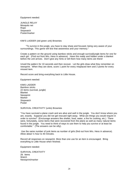Equipment needed:

JUNGLE RELAY Mosquito net Rope **Stopwatch** Poster/marker

KIM'S LADDER (old green unit) Brownies

 "To survive in the jungle, you have to stay sharp and focused, being very aware of your surroundings. This game will test that awareness and your memory."

Create a pattern on the ground using bamboo sticks and enough survival/jungle items for one for each girl. (Find out from Mrs. Hess in advance). Have this ready and hidden under a blanket before the unit arrives. Don't give any hints or tell them how many items are there!

Unveil the pattern for 10 seconds and then recover. Let the girls draw what they remember on newsprint. When they are done, score 1 point for every misplaced item and 2 points for every missed item.

Record score and bring everything back to Little House.

Equipment needed:

KIMS LADDER Bamboo sticks 22 items (survival, jungle) Blanket Newsprint Marker **Stopwatch** Poster

SURVIVAL CREATIVITY (units) Brownies

"You have survived a plane crash and are alive and well in the jungle. You don't know where you are, exactly. Suppose you did not get rescued right away. What are things you would require in order to survive? (Encourage answers like shelter, food, water, a fire for cooking, etc.) There were, fortunately, some items that were recovered from the plane as well as many natural items found in the jungle. You need to think of ways to use them to help you survive or at least be comfortable." (The answers can be silly).

 Use the same number of junk items as number of girls (find out from Mrs. Hess in advance). Allow about ½ hour to 40 minutes.

Record all responses on newsprint. More than one use for an item is encouraged. Bring everything to Little House when finished.

Equipment needed:

SURVIVAL CREATIVITY 29. Items Watch Newsprint/marker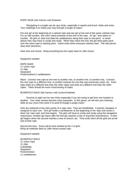### ROPE MAZE (old maroon unit) Brownies

 "Navigating in a jungle can be very tricky, especially in weeds and brush, limbs and vines. Your challenge is to make your way through a jungle of ropes."

Put one girl at the beginning of a colored rope and one girl at the end of the same colored rope. For an odd number, she won't need someone at the end of the rope. At "go", time starts on counter. All girls on start end slide the caribbeaners along their rope to end point. In some places they may have to unclip and reclip. When they reach the end, the girl there goes back over the same rope to starting point. Game ends when everyone reaches start. The odd person does both directions.

Note time and record. Bring everything but the ropes back to Little House.

Equipment needed:

ROPE MAZE 11 colors rope 11 clips **Stopwatch** Poster/marker11 caribbeaners

Maze: Connect one rope at one tree to another tree, to another tree, to another tree. Connect the next rope to a different tree, to another tree(can be one that was previously used), etc. Each rope starts at a different tree than the other ropes and ends at a different tree than the other ropes. There should be much crisscrossing of ropes.

### BLINDFOLD WALK (old maroon unit) Juniors/Cadettes

 "Survival at night can be very tricky especially if you are trying to get from one location to another. Your other senses become more important. In this game, we will test your listening skills as you move from point A to point B though a jungle maze."

Girls are stationed at the start points of a rope color. They are blindfolded. A partner navigator is assigned to each one. One girl holds a carribeanner at the beginning of her rope and moves it down her rope color and time begins. The girls will have to unclip and reclip using the navigators' instructions. Another girl starts after the first girl reaches a tree or branches (intersection). A third girl begins when the second reaches a tree or branch, etc. Time ends when all the girls are at the end of their rope.

Record this time. Score will be time divided by the # of girls. Bring all materials back to Little House except rope.

Equipment needed:

BLINDFOLD WALK 11 colors rope 11 clips 5 blindfolds **Stopwatch** Poster/marker 11 caribbeaners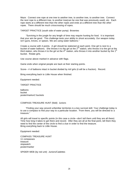Maze: Connect one rope at one tree to another tree, to another tree, to another tree. Connect the next rope to a different tree, to another tree(can be one that was previously used), etc. Each rope starts at a different tree than the other ropes and ends at a different tree than the other ropes. There should be much crisscrossing of ropes.

TARGET PRACTICE (south side of water pump) Brownies

 "Surviving in the jungle for any length of time may require hunting for food. It is important that your aim be good. This challenge tests your ability to shoot accurately. Our weapon today isn't guns, knives, or spears. We are using water balloons."

Create a course with 4 points. A girl should be stationed at each point. One girl is next to a bucket of water balloons. She throws it to the girl at the  $2^{nd}$  station, who throws it to the girl at the third station, who throws it to the girl at the 4<sup>th</sup> station, who throws it into another bucket by the 1<sup>st</sup> bucket. Rotate girls.

Use course above marked in advance with flags.

Game ends when original people are back at their starting points.

Score-- # of balloons intact in bucket divided by #of girls (it will be a fraction). Record.

Bring everything back to Little House when finished.

Equipment needed:

TARGET PRACTICE

balloons bucket poster/marker2 buckets

COMPASS TREASURE HUNT (field) Juniors

 "Finding your way around unfamiliar territories is a key survival skill. Your challenge today is to use a compass to find your way to a particular location. From there, you will be directed to a treasure."

All girls will travel to specific points (in this case a circle—don't tell them until they are all there) Time how long it takes to get there and record. After they are all at the final point, tell them they need to find the center of the circle to find a clue in order to find the treasure. Bring everything back to Little House.

Equipment needed:

COMPASS TREASURE HUNT 11 compasses treasure stopwatch poster/marker

SPIDER WEB (by red unit) Juniors/Cadettes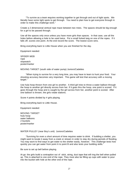"To survive as a team requires working together to get through and out of tight spots. We literally have some tight spots to get through. You need to plan how to get everyone through in order to make this challenge work."

Create a 2 dimensional vertical rope maze between two trees. The spaces should be big enough for a girl to be passed through.

Use all the spaces only once unless you have more girls than spaces. In that case, use all the holes before allowing a hole to be used twice. Put a small forked twig on one of the ropes. If it falls off, scores one point. At the end record the score. The lowest score wins.

Bring everything back to Little House when you are finished for the day.

Equipment needed:

SPIDER WEB rope stopwatch poster/marker

MOVING TARGET (south side of water pump) Juniors/Cadettes

 "When trying to survive for a very long time, you may have to learn to hunt your food. Your shooting accuracy becomes very important. This game will test that accuracy with a moving target."

Use hula hoop thrown from one girl to another. A third girl tries to throw a water balloon through the hoop to another girl directly across from her. If it goes thru the hoop, one point is scored. If it goes through the hoop and is caught by the girl across from her, another point is scored. After one balloon is thrown, the girls rotate stations.

Score # points divided by # girls playing.

Bring everything back to Little House.

Equipment needed:

MOVING TARGET hula hoop water balloons 2 buckets poster/marker

WATER PULLEY (near Boy's unit) Juniors/Cadettes

 "Surviving for even a short amount of time requires water to drink. If building a shelter, you might want to locate it away from a creek or stream in order to stay dry during periods of flooding. You may want to find ways to get water to the shelter easily, however. This challenge tests how quickly you can get water from point A to point B and also tests your building skills."

Be sure to set up bell before playing.

At go: the girls build a contraption out of stick, string, duct tape that will ring the bell when pulled up. This is attached to one end of the rope. They must also be filling up cups with water to pour into the bucket with hole at the other end of the rope.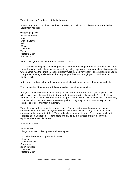Time starts at "go", and ends at the bell ringing.

Bring string, tape, cups, timer, cardboard, marker, and bell back to Little House when finished. Equipment needed:

WATER PULLEY bucket with hole rope Small platform Bell 22 cups Duct tape Twine Poster/marker **Stopwatch** 

SHACKLED (in front of Little House) Juniors/Cadettes

 "Survival in the jungle for some people is more than hunting for food, water and shelter. For some, it was and still is in some places avoiding being captured to become a slave. Many people whose home was the jungle throughout history were treated very badly. The challenge for you is to experience being enslaved and then to gain your freedom through good coordination and thinking skills."

Note: would probably change this game to use locks with keys instead of combination locks.

The course should be set up with flags ahead of time with combinations

Pair girls across from one another. Wrap chains around the ankles of the girls opposite each other. Make sure they are fairly tight around their ankles so the shackles don't slip off. (Have them put on ankle wraps with duct tape to keep the wraps closed. Move down close to their feet). Lock the locks. Let them practice moving together. They may have to count or say "inside, outside" to refer to their foot movement.

Time starts when they leave the starting point. They move through the course collecting combinations to the locks. Everyone will have to try their lock since they do not know if the combination belongs to their lock. Time ends when everyone is free. Free people can help the shackled ones as needed. Record score and divide by the number of players. Bring all equipment back to Little House.

Equipment needed:

SHACKLED 2 large tubes with holes (plastic drainage pipes)

11 chains threaded through holes in tubes 11 locks 11 combinations **Stopwatch** 22 ankle wraps Duct tape Poster/marker

\*\*\*\*\*\*\*\*\*\*\*\*\*\*\*\*\*\*\*\*\*\*\*\*\*\*\*\*\*\*\*\*\*\*\*\*\*\*\*\*\*\*\*\*\*\*\*\*\*\*\*\*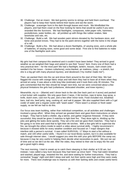- 30. Challenge: Eat an insect. We tied gummy worms to strings and held them overhead. The players had to keep their hands behind their backs and eat the worm.
- 31. Challenge: scavenger hunt in the dark through leaves and muck. We blindfolded the players, and had them crawl on the floor looking for items that would be useful if you were stranded like the Survivors. We had flashlights, compasses, toilet paper rolls, hammers, pocketknives, water bottles, etc. all jumbled up with things like rubber snakes, fake tarantulas and rats, etc.
- 32. Challenge: Build a raft. We had wooden paint stirrers donated by the hardware store, and twine and pocket knives. They had to tie the paint stirrers together with the twine in the shape of a raft.
- 33. Challenge: Build a fire. We had about a dozen flashlights, of varying sizes, and a whole pile of batteries, of varying sizes, some good and some dead. First one to find batteries to make one of the flashlights work wins.

\*\*\*\*\*\*\*\*\*\*\*\*\*\*\*\*\*\*\*\*\*\*\*\*\*\*\*\*\*\*\*\*\*\*\*\*\*\*\*\*\*\*\*\*\*\*\*\*\*\*\*\*\*\*

My girls had their campout this weekend and it couldn't have been better! They arrived in good weather as we weighed their bags and asked to see their "luxury" item. Every one of them had a very practical item – for the most part! We had a flashlight, lantern, tissues, rash cream (she needed it for her brace – broken collarbone), extra blanket, air mattress, (okay – a stretch, but she is a big girl with many physical injuries), and deodorant ("my mother made me!").

Then, we packed them into the car and drove them around to the start of their hike. We had flagged the course with orange fabric strips and told them they had to have all of them when they arrived at camp. It was about a mile long hike (estimate) and it took them only 30 minutes. The girls commented that the hike should be longer next time, but we were concerned about a few physical limitations the girls had (collarbone, dislocated shoulder, and knee injuries.)

Meanwhile, my co – (Mamie) and I drove back to the site (her back yard on 4 acres) and packed a foot locker with supplies. We only gave them 2 tarps, 2 tiki torches, rope & twine, bug spray, a knife, dutch oven, cast iron fry pan, and a few other minor tools. Food included rice, breakfast bars, trail mix, beef jerky, tang, cooking oil, and salt & pepper. We also supplied them with a 5 gal cooler of water and a regular cooler with "wash water". There wasn't a stream or fresh water supply, so we felt we had to do this.

Our focus was team building, rather than individual competition, so all activities and challenges involved a group effort. When they arrived we greeted them and gave them instructions on where to begin. They had to build a shelter, dig a latrine, and gather /organize firewood. If they were successful, they would be given 3 matches to light their fire. They dove right in, dividing up the jobs and getting the tasks done quickly. They set a fire and we gave them matches. They had a fire going in no time and used that to light their tiki torches. With a few girls left to supervise the fire, we brought the others inside to watch a video about survival skills. I highly recommend it because it showed skills for every weather condition and focused on 7 major dangers that interfere with a person's survival. It was called SURVIVAL: 17 Ways to start a fire without a match, and 100 other useful skills. I found it in our local library system, but it is also available for sale through internet sites. I would suggest you view this with your girls BEFORE the camp out, because it may be very useful in helping them decide what necessities to pack. We just ran out of time and so we did it at the site. After the video, they retired to their site to enjoy the fire and get a good night's sleep.

The next morning, I tried to sneak up to catch them sleeping in their shelter at 6:30 am, but instead, I was called a lazy bum because they had been up since 5am! They had eaten breakfast and washed, played tags, restarted the fire, and were waiting for further instructions. They had a somewhat "buggy" night and didn't sleep real well, but their spirits were high and they were ready for more. There next challenge was to impress us with their lashing skills and create useful items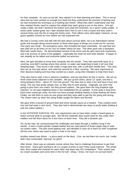for their campsite. As soon as we left, they started in on their planning and ideas. This is not an area that we have worked on enough (my fault) but they understood the premise of lashing and we had reviewed the technique at a meeting last month. What they didn't understand was that they needed thicker wood to support the weight they were going to put on the items. One girl made a table, but didn't reinforce the bottom and used thin branches, so it wasn't really usable. A wood carter looked great, but I later showed them how to turn it into a tripod and they used it several times over the fire to hang the Dutch oven. Their efforts were interrupted, however, as our guest speaker arrived an hour before we had expected him.

We had a County come and talk with the girls about survival skills. He is an Adirondack trained guide and brought along several packs to show what types of things you could use for survival. One pack was small – his emergency pack, that included the basic essentials. He said that one was with him at all times (in his car) no matter where he was. The other pack was a backpack filled with useful items. He demonstrated several of the items and the girls were truly impressed and a bit envious of some of the gadgets – especially the head net and solar blanket. It began to rain steadily as he talked and everyone pulled out ponchos.

Next, the girls decided to move their campsite into the woods. They had used both tarps as a covering, and didn't overlap where they joined, so water was beginning to leak in all over their sleeping bags. They found a site under a huge pine tree, with a soft pine needle floor. This time, they set up one tarp above, and used the second for a floor covering. We were impressed at their decision-making and how they worked as a team, using their mistakes to help them learn.

They also had to start a fire in adverse conditions, and we had them do this in teams. We set up three small areas adjacent to the campfire. We put up two sticks, about 12" apart, and tied a string between them – about 15" from the ground. The task was to start a fire and have it burn the string. The rain was pretty steady now, so they had to work quickly. Originally, we were only going to give them one match, but that proved useless. We gave them the long fireplace type matches, so we kept relighting those in the established fire as needed. It took quite a long time! Each team would get close, but then not have enough kindling nearby to keep feeding the flame. Finally, we told them to work as one group and they were able to get the fire going and strong. The cheers went up when the string finally caught the flame and burned!

We gave them a pound of ground beef and some tomato sauce as a reward. They cooked some rice and had quite a nice lunch. They also had to demonstrate two ways to purify water (boiling & with the iodine tablets.)

In the OUTDOOR SURVIVAL IPA, one requirement was to have them create a board game to teach survival skills to younger girls. We left the materials they would need for this under their mailbox and left them alone for a few hours of down time. They did a fantastic job!

Oh, by the way, we communicated the challenges and tasks through a mailbox hung in the woods. It was a small cylinder shaped basket and we used pieces of brown paper bag to write our poetry notes. The girls loved getting mail, and decided to save all of them for their scrapbook. (All but one, which was used to patch a hole in the tarp!)

Another reward was dinner  $-$  a pizza party on the deck. (Yes, we fed them too much, but I really didn't feel comfortable 'starving' my girls!)

After dinner, there was an obstacle course where they had to challenge themselves to get their best times. Some girls wanted to do it a couple of times to see if they could improve. The whole time, they rooted and cheered for each other and there was NO competition! Their reward was ice cream sundaes and some time in the hot tub! (Okay, I know, not much on survival here!)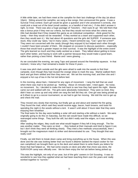A little while later, we had them meet at the campfire for their last challenge of the day (at about 10pm). Sitting around the campfire, we sang a few songs, then announced the game. It was a Survival Trivia contest. Each girl would be given a question and if she answered it correctly, she could pick a treat out of the bowl (small candies, or a handful of trail mix.) If she didn't answer it right, no treat. There was also a huge package of Twizzlers – their eyes lit up! We told them that was a bonus prize if they met our criteria, but that they would not know what the criteria was. (We had decided that if they treated this game as an individual competition –think greed for the candy – then they would not be rewarded. If they worked as a team and supported each other, then they would earn it.) We had about 40 questions and the girls did SUPER! If someone was stuck, they could say "pass," but in many cases, I heard someone say, "Can I give her a hint?" They were not concerned with the candy (though they enjoyed it) but helped each other through. I couldn't have been prouder of them. We stopped on occasion to discuss questions – especially those that would have a greater impact on their survival. It was the highlight of the entire event! The girls learned so much and they really worked as a team. They talked about getting to know each other better, and having to work with a partner because they would make a good team, rather than picking a best friend. Mamie and I were glowing . . .

As we concluded the evening, we sang Taps and passed around the friendship squeeze. In that moment, I knew why I had remained a leader for these 8 years . . .

It was now pitch dark outside and the girls were afraid to walk into the woods to find their campsite, even though they had reused the orange strips to mark the way. Mamie walked them back and got them settled and then they were set. We set the morning mail, and then she and I enjoyed a hot cup of tea in the hot tub before bed.

In the morning, about 6am, I listened for any signs of movement. I rang the bell that we used when there was mail to be picked up. Nothing. About 15 minutes later, I tried again. No noise, no movement. So, I decided to make the trek back to see how they had spent the night. Mamie came out and walked with me. The girls were absolutely motionless! They were so tired, they didn't hear us come up and only when we rang the bell did they stir. One girl was being picked up at 6:45am to go to a soccer tournament, so we had to get her moving. We told the rest to get up and check the mail.

They moved very slowly that morning, but finally got up and about and started the fire going. They found the mail, which said they would receive eggs, bacon, hash browns, and toast for spending the night in the woods without a tent. It wasn't until about 3 hours later that they were enjoying their breakfast . . .

The final tasks for the day were building a solar still and starting a fire without a match. We were originally going to do this on Saturday, but the rain would have made this difficult, so we rearranged some things. They built the still, but didn't really seal the edges, so it was working slowly.

After sealing the edges, they could see what would happen if they left it long enough. The fire was another matter. They were so tired . . . they looked at their manuals and tried to figure it out, but I don't think they were all thinking clearly. They tried a few methods unsuccessfully, then I brought out the magnesium match & striker and demonstrated its use. They thought that was really cool!

Finally, we told them to break down camp and bring everything up to the house. When this was done and the site was looking better than we found it (Mamie wanted the tripod cooker for her own campfires!) we brought them up to the deck and asked them to write thank you letters for those that had helped us. We had some snacks on deck and after that chore was done, the SURVIVOR camp was officially over. We let them enjoy the hot tub before being picked up.

This was the highlight, not only of our year, but of the girls' careers in Girl Scouting. It was so wonderful to see how they applied what we had been teaching them over the years and really worked together to "survive."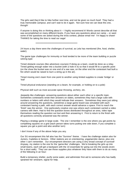The girls said they'd like to hike further next time, and not be given so much food! They had a truly memorable campout, and can't wait to do it again. Not sure how we can beat this one, though!

If anyone is doing this or thinking about it  $-1$  highly recommend it! Words cannot describe all that was accomplished on many different levels. If you have any questions about our camp – or want some of the questions we asked during the trivia contest, please email me! I'm happy to share! THANKS for taking the time to read our saga!

### \*\*\*\*\*\*\*\*\*\*\*\*\*\*\*\*\*\*\*\*\*\*\*\*\*\*\*\*\*\*\*\*\*\*\*\*\*\*\*\*\*\*\*\*\*\*\*\*

24 hours a day there were the challenges of survival, as Lela has mentioned (fire, food, shelter, water).

The game type challenges for immunity or food tended to be more of the team building or puzzle solving type:

Timed obstacle courses (like adventure courses) If doing as a team, could be done as a relay. Timed getting enough water into a bucket (with a hole in it) so that it would fill to a specific point (on the show the bucket was on one end of a see saw, on the other end the contestant had built a fire which would be raised to burn a string up in the air).

Timed moving one's team from one point to another using limited supplies to create 'bridge' or 'trail'

Timed physical endurance (standing on a beam, for example, or holding on to a pole)

Physical skill such as most accurate spear throwing, archery, etc.

Jeopardy-like challenges: answering questions about either each other or a specific topic. Sometimes contestants wrote their answers on slates, sometimes they had a large cube with numbers or letters with which they would indicate their answers. Sometimes they were just sitting around answering the questions, sometimes a large game board was simulated with each contestant having a path, with each correct answer would advance a space. First to reach the 'finish' was the winner. One particularly creative one was where each contestant carried a video camera with them. Had to find the question boxes distributed throughout an area, video tape themselves reading the question out lout and then answering it. First to return to the finish with all questions correctly answered was the winner.

Playing a strategy game in large scale. The one I remember is the one where you get points by completing squares on a grid (each person takes turns putting one side down, if you complete a square you get a point and also another turn)

I don't know if any of the above helps you any.

Our SU encampment this fall also has the "Survivor" theme. I have the challenge station also for Juniors, Cadettes & Seniors. Other stations are on orienteering, yoga/aerobic dance, plus one other I can't remember. Our encampment directors are using a very broad concept of survival! Anyway, my station is the one for the 'game-like' challenges. We're breaking the girls up into small teams, each will get a backpack with the 10 essentials for going out into the woods (even for a short walk). They can use those supplies plus whatever they have with them to do as many of the following in an hour:

Build a temporary shelter, purify some water, and administer first aid to someone who has badly sprained her wrist/arm, signal for help.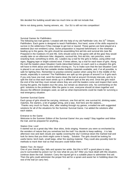We decided fire building would take too much time so did not include that.

We're not doing points, having winners, etc. Our SU is still not into competition!

\*\*\*\*\*\*\*\*\*\*\*\*\*\*\*\*\*\*\*\*\*\*\*\*\*\*\*\*\*\*\*\*\*\*\*\*\*\*\*\*\*\*

### Survival Games for Pathfinders

The following two trail games I created with the help of my old Pathfinder Unit, the  $31<sup>st</sup>$  Orleans Pathfinders. Each game is designed to teach Pathfinders, first hand, some of the skills required to survive in the wilderness if they manage to get lost or injured. These games are best played at a weekend (but non-emblem) camp. Some preparation is required beforehand: in the meetings leading up to the game, the girls should be assembling first aid kits and survival kits (see Be Prepared in the Outdoors #3 and #8). Girls should come to the game with all the gear they would usually take on an afternoon hike: daypacks, survival kits, first aid kits, rain ponchos, some snacking food, something to drink, etc. Leaders lay a trail for the girls to follow, using either trail signs, flagging tape or bright-colored wool. If times allows, lay a trail for each team of girls. Along the trail the leaders place Situation Cards (described below); on each card is a situation the girls will have to think about and solve before moving on. Try to make sure that the last Situation Card is placed in an area that has suitable shelter-building materials available, and, if at all possible, is safe for lighting fires. Remember to practise extreme caution when using fire in the middle of the woods, especially in summer! The Pathfinders are split up into groups of around 5 or 6 girls each. If you only have one trail, send the teams down the trail at around 15-minute intervals, and try to split the trail so that each team winds up in a different spot at the very end. Once the girls reach the end of the trail they must remain where they are until the leaders come and inspect their work. During the game, the leaders tour the area, but remain as observers only. No commenting on the girls' solutions to the problems! After the game is over, everyone should sit down together and discuss the different strategies used, as well as what improvements could be made for surviving a real emergency situation.

### Summer Survival Game

Each group of girls should be carrying, minimum, one first aid kit, one survival kit, drinking water, matches, fire starters, a bit of gadget string, and a tarp. And here are the stations... Thanks very much to Paula, who, after reading through my games, e-mailed me with suggested solutions for all of the situations for the Summer Survival Game. I've added the solutions after each station.

### Entrance to the Game

Welcome to the Summer Edition of the Survival Game! Are you ready? Stay together and follow the trail, and be prepared for anything...

### Station One: Lost!

It started out as a great day hike: blue skies, birds singing. However you were so enchanted by the wonders of nature that you somehow lost the trail! You decide to keep walking... it is late afternoon now and dark clouds are rapidly covering the sky! Continue down the marked trail and look for items that you think might come in handy... Solution: The girls should be looking for useful items: birch bark, small twigs, other fire starting material. They could also possibly look for methods to mark their trail so that rescuers could follow them.

### Station Two: An Injury!

One of your friends trips, falls and sprains her ankle. But this is NOT a good place to stop... you're surrounded by poison ivy! So now what do you do? After you have dealt with this situation, continue down the trail. Solution: Carry the injured girl to a suitable place to administer first aid. Then the girls could administer the proper first aid for a sprain and assist her in hobbling down the rest of the trail (or carry her).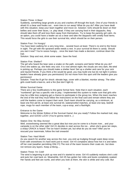### Station Three: A Bear!

Suddenly, something large growls at you and crashes off through the bush. One of your friends is afraid it's a bear and freaks out... even tries to run away! What do you do? After you have dealt with this situation, keep your team together and move on. Solution: Girls should lie down on their bellies and cover their faces, i.e. play dead. If they are carrying food in their daypacks, they should take them off and toss them away from themselves. Try to keep the panicky girl calm. As an option, you could have a leader act as a bear and take the daypacks with smelly food items. This would force the girls to use their survival kits, which should be on their person.

### Station Four: I'm Hungry!

You have been walking for a very long time... several hours at least. There's no end to the forest in sight. The girl with the sprained ankle needs a rest. In your survival kit there is candy. Should you eat it now? You're soooo hungry... once the team has made a decision, continue down the trail.

Solution: Stop and rest, drink some water. Save the food.

### Station Five: Shelter?

The girl who heard the bear sees a snake on the path, screams and faints! What do you do? Once she wakes up, she feels very sick. It is now almost night; the clouds are very dark, the wind is picking up. Perhaps you should make a shelter here! Set up a shelter and care for your sick and injured friends. If you think a fire would be good, you may build one but do not light it (unless leaders have already given you permission)! Do not move from this spot until the leaders give you permission!

Solution: Treat the ill girl for shock: elevate legs, cover with a blanket, monitor airway. The other girls could build a lean-to, and a fire (but don't light it).

### Winter Survival Game

There are a few modifications to the game format here. Note that in each situation, each "numbered" girl has a specific role to play. I implemented this system to make sure that girls who may be a little less outgoing get a chance to participate in the group too. When the team reaches the end of the trail they must follow the instructions on the final card and remain where they are until the leaders come to inspect their work. Each team should be carrying, as a minimum, at least one first aid kit, at least one survival kit, waterproofed matches, at least one tarp, bedroll rope, mugs for each member of the team, cup-a-soup, and a flashlight.

### Entrance to the Game

Welcome to the Winter Edition of the Survival Game! Are you ready? Follow the marked trail, stay together, and GOOD LUCK! (You're gonna need it...)

### Station One: No Way Across!

Well, snowshoeing seemed like a great idea but now you've come to a frozen river... and your campsite is on the other side! Girl #1 decides to start across the ice... when she's gone ten steps, a sharp CRACK is heard! The ice hasn't broken yet, but what do you do now? After you've rescued your teammate, follow the trail onwards!

### Station Two: Hard Work!

As you search for another way across the river, you end up trudging through waist deep snow. Even with snowshoes it's hard work just to move. Girl #3 complains about how hot it is and takes off her coat (weather permitting ONLY!!) The rest of the team loosens their coats etc. but does not remove any layers. Keep a-hiking....

### Station Three: I'm Cold!

The wind is beginning to pick up now and it's started to snow. Girl #3 suddenly realizes she's cold and puts her coat back on. Meanwhile, Girl #5 has gotten her mitts and boots completely soaked. Her hands and feet are numb, and when you look at them, the skin is white and very cold. But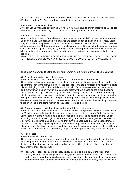you can't stop here... it's far too open and exposed to the wind! What should you do about Girl #5's hands and feet? ...Once you have treated this condition, move onwards...

Station Four: It's Getting Colder...

Although you've managed to warm up Girl #5, Girl #3 has begun to shiver uncontrollably. Her lips are turning blue and she's very tired. What is she suffering from? What can you do?

Station Five: A Nasty Fall...

As you continue to search for a sheltered place to make camp, Girl #2 catches her snowshoe on a hidden log and falls, breaking her right wrist and spraining her left ankle in the process. Looks like you'll have to camp here! Girl #4 - YOU'RE IN CHARGE!! What should you do first? Here are a few problems: Girl #3 has now stopped complaining of the cold... she's tired, confused and only wants to sleep. It's getting dark, and you have another injured person to care for. Remember the other members of your team may have good ideas; listen to them, but you must make the final decision!

STAY HERE UNTIL A LEADER COMES FOR YOU!! IF YOU GET REALLY COLD, HEAD BACK TO THE LODGE BUT LEAVE ANY SHELTERS YOU'VE BUILT ETC. FOR EVALUATION!!

\*\*\*\*\*\*\*\*\*\*\*\*\*\*\*\*\*\*\*\*\*\*\*\*\*\*\*\*\*\*\*\*\*\*\*\*\*\*\*\*\*\*\*\*\*\*\*\*\*\*\*\*\*\*\*

It has taken me a while to get to this but here is what we did for our Survivor Theme activities:

## 34. Blindfolded activity – five girls per team

Props: blindfolds, 2 hula hoops per team, 2 balls per team (size of basketballs)

 Game: all girls from each team were blindfolded, with the exception of one per team (leader); the leader from each team throws the ball for the opposite team; the blindfolded girls must then get to this ball, bringing it back to the finish line with the help of directions given by their team leader; to do this, they must step only within the hula hoop that they have placed on the ground heading toward the ball; to begin this trek, they all must be standing in the first hula hoop before moving into the next one; once everyone is in the next hoop, the last person to enter must turn around to pick up the hoop they just vacated and pass it through to the front girl who then places it in the direction of where the ball landed; once reaching where the ball landed, they pick it up, returning to the finish line in the same fashion as they used to get to the ball

# 35. Block out activity (I think I got this idea from the list you sent me earlier)

 Props: 8x11 sheets of paper with a large X on one side of each piece (these sheets are laid with the X facing down to the floor in the shape of a block – we created a block of 10 by 10 sheets) Game: each girl picks a starting point on any edge of the block; the object is to be the last girl remaining on the block; each girl takes a turn moving one space at a time (forward, backward or sideways – no diagonal) and as they move, they turn the paper over they just stepped from so that the X is showing – signifying a space that can no longer be used in this round; as each girl takes their turn, they have to keep in mind that they want to block someone else, while still being able to move themselves in a future turn; if a girl can no longer move, they are out of the game

### 36. Hoop shoot

Props: basketball hoop and ball

 Game: each team chose two girls from their team who then lined up behind a designated line, alternating team members; after a few practice shots, each girl got a total of ten shots each (taking one shot at a time, moving to the end of the line until each girl had shot ten shots); the team with the most baskets won

37. Food wheel Props: beets, feta cheese, olives, piece of snickers bar, prune juice, small shrimp, piece of carrot stick, piece of salami, gummi worms and raw onion piece Game: each food item was printed on a small piece of paper, folded and placed in a container; each team determined the order of participation by each member; as their turn came, each girl picked a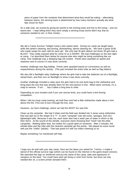piece of paper from the container that determined what they would be eating – alternating between teams; the winning team is determined by how many members actually ate what fate chose for them

As a side note, we scored by giving ten points to the winning team and five to the losing – and our teams tied – I kept telling them they were simply a winning troop (some didn't buy that as someone needed to win, in their minds)...

\*\*\*\*\*\*\*\*\*\*\*\*\*\*\*\*\*\*\*\*\*\*\*\*\*\*\*\*\*\*\*\*\*\*\*\*\*\*\*\*\*\*\*\*\*\*\*\*\*\*\*\*\*\*\*\*

We did a Camp Survivor Twilight Camp a few weeks back. During our camp we taught basic skills like lantern cleaning, tent boxing, dishwashing, latrine cleaning etc. We have a great SUM who made swaps for each skill for each girl. We only had 30 girls attend, but those 30 girls had a BLAST! They really enjoyed what for some of us is WORK! We had challenges on the last night at camp. I've described them below for anyone else who might be doing something like our camp. One challenge was a sleeping bag roll contest. Points were awarded on speed and neatness and of course if it was done correctly.

Another challenge was flag folding. Points were awarded based on correctness as well as respectfulness during the activity. (The part included the entire tribe as well as flag folders)

We also did a flashlight relay challenge where the girls had to take the batteries out of a flashlight, reload them, and then turn on flashlight to show it was done correctly.

Another challenge included a relay were the girls had to tie one dunk bag to the clothesline and bring back the one that was already there for the next person in line. When done correctly, it's a snap to remove. If not . . . boy it takes a long time to untie.

Depending on your location and if you use canvas tents, you could have a tent boxing competition.

When I did my troop camp training, we built fires and had a little clothesline made about a foot above the fire. First one to burn through the line, won.

However, our best challenge, where we had the MOST fun was this:

Clean up the campsite: We had 3 tribes and the field was divided into 3 areas using clothesline that was laid out in the shape of a "Y". In each "campsite" was old socks, sponges, and very lightweight balls. Because it was hot, each team also had a wash pan of water in which to dip their items. At the sound of the whistle, everyone starts throwing their "trash" into the other campsites. Wetting takes time, but makes for a good splat on someone. After 2 minutes, the whistle blew and the tribe with the cleanest campsite got the points. We played an extra round with just the "chiefs" (adults). That was great fun with our tribes cheering us on.

Maybe something I've mentioned will help.

\*\*\*\*\*\*\*\*\*\*\*\*\*\*\*\*\*\*\*\*\*\*\*\*\*\*\*\*\*\*\*\*\*\*\*\*\*\*\*\*\*\*\*\*\*\*\*\*

I hope you do well with your day camp. Here are the ideas you asked for: T-shirts—I made a stencil of the official survivor logo (which can be found on the internet or the game board version). We stenciled the logo on shirtfronts and put the name of the camp, date and signatures of campers on the back. You could have each girl bring a t-shirt from home, but since we only needed like 16, a screen printer donated them.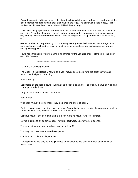Flags- I took plain (white or cream color) broadcloth (which I happen to have on hand) and let the girls decorate with fabric paints their tribe names and logo. The paint was a little messy. Fabric markers would have been better. They still liked them though.

Necklaces- we got patterns for the beadie animal figures and made a different beadie animal for each tribe (based on their tribe names) and put on cording to hang around their necks. As each day went by, we awarded different color beads for things such as (good behavior, participation, ect)

Games- we had archery shooting, disc throwing, water games (balloon toss, wet sponge relay, ect), challenges such as (fire building, knot tying, compass hike, tent pitching contest, learned casting fishing poles.

I sure hope this helps, it's kinda hard to find things for the younger ones. I planned for the older girls. That's easier.

\*\*\*\*\*\*\*\*\*\*\*\*\*\*\*\*\*\*\*\*\*\*\*\*\*\*\*\*\*\*\*\*\*\*\*\*\*\*\*\*\*\*\*\*\*\*

SURVIVOR Challenge Game

The Goal: To think logically how to take your moves so you eliminate the other players and remain the final person standing.

How to Set up:

Set papers on the floor in rows – as many as the room can hold. Paper should have an X on one side – put X side down.

4-6 girls stand on the outside of the room.

How to Play:

With each "move" the girls make, they step onto one sheet of paper.

On the second move, they turn over the paper (to an X) they were previously stepping on, making it unavailable for anyone else to move onto or cross over.

Continue moves, one at a time, until a girl can make no move. She is eliminated.

Moves must be to an adjoining paper forward, backward, sideways (no diagonal).

You may not step onto a turned over paper (with an X).

You may not cross over a turned over paper.

Continue until only one player is left.

Strategy comes into play as they girls need to consider how to eliminate each other with well placed moves.

\*\*\*\*\*\*\*\*\*\*\*\*\*\*\*\*\*\*\*\*\*\*\*\*\*\*\*\*\*\*\*\*\*\*\*\*\*\*\*\*\*\*\*\*\*\*\*\*\*\*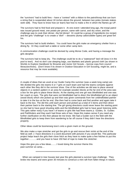the "survivors" had to build fires – have a "contest" with a ribbon to the patrol/troop that can burn a string that is suspended about 18 inches above the ground, between two poles (tomato stakes work well). They have to know how (or learn) fast how to make a fire in which the flames go UP.

The survivors had to find food and prepare it. At one event I attended long ago, the troop/.patrol was issued ground meat, one potato per person, same with carrot, and dry onion, and the challenge was to cook their dinner. Ala foil dinner! Or could be a group of ingredients (no recipe) and the girls "challenge" is to create a "dish" – desserts (dump cake/cobbler types) are great fort his.

The survivors had to build shelters. You could have the girls make an emergency shelter from a dining fly. Or they could lash a table or some other camp item.

A communication challenge could be devised by using Morse Code, and having a message the girls decipher.

The survivors had to keep dry. The challenge could be to do a "waterproof" bed roll (toss it in the pool to test!). And no don't use sleeping bags, use blankets and plastic ground cloth (as shown in Worlds to Explore Handbook for Brownie and Junior Girl Scouts – borrow copy from council library/archives). (Don't know if its shown in Outdoor Education in Girl Scouting, might be, and a resource that may be more available).

\*\*\*\*\*\*\*\*\*\*\*\*\*\*\*\*\*\*\*\*\*\*\*\*\*\*\*\*\*\*\*\*\*\*\*\*\*\*\*\*\*\*\*\*\*\*\*\*\*\*

A couple of ideas that we used at our Guide Camp this summer (was a week long camp) are We divided the girls into teams 6 or 7 girls on each team and had the teams compete against each other like they did in the survivor show. One of the activities we did was to place several objects in a random pattern in an area for example wooden blocks at the far end of the area was a box for the girls to place these blocks. At the starting end one girl was blindfolded and one was her coach or eyes. The girls that were not blindfolded had to direct the blindfolded girl to an object (wood block) which she picked up and then was given commands from her unblindfolded partner to take it to the box at the far end. She then had to come back and find another and again take it back to the box. The did this until each person and picked up a total of 3 items and then direct their partner back to the starting line. The girl giving directions could never leave the starting point so she had to have good shouting skills and the blindfolded girls had to have good listening skills. This gets rather noisy if you have I of teams or girls We had three teams jr. Guides, Sr. Guides and Pathfinders and they each had three sets of two. Hope this makes sense if you need any further clarification on this then please let me know. We had a Guider out in the field with the Blindfolded girls to keep them from wandering to far off course if they didn't hear the directions properly.

Other ideas could be boomerang toss's onto a given mark on the ground,

We also make a rope stretcher and got the girls to go and rescue their victim at the end of the field as well. ( I have directions in a word document with pictures if you would like. This particular project helps teach the girls their clove hitch as they have to make quite a few hitches to put this together.............and you have to have 150 feet of rope to make this stretcher.

Hope this give you a few ideas.........I loved doing the survivor theme this past summer at camp....

\*\*\*\*\*\*\*\*\*\*\*\*\*\*\*\*\*\*\*\*\*\*\*\*\*\*\*\*\*\*\*\*\*\*\*\*\*\*\*\*\*\*\*\*\*\*

 When we camped in tree houses last year the girls planned a survivor type challenge. They broke into teams and were given 30 minutes to construct a mini raft from fallen things in nature.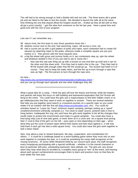The raft had to be strong enough to hold a Barbie doll and not sink. The three teams did a great job and we hiked to the lake to test the results. We decided to launch the rafts all at the same time thinking the one that stayed afloat the longest would win... Ended up they all did well so they all got a prize (candy). I got this idea from someone on the list last year. Have a great time and good luck with the rest of your program.

#### \*\*\*\*\*\*\*\*\*\*\*\*\*\*\*\*\*\*\*\*\*\*\*\*\*\*\*\*\*\*\*\*\*\*\*\*\*\*\*\*\*\*\*

Lets see if I can remember any –

- 38. nature trivia, the first team to miss three questions loses the I
- 39. obsticle course race to the end, had swimming, ropes, raft across a river, etc.
- 40. had a course set up with a grid pattern of poles and ropes, each contestant had to create full squares by attaching ropes to the poles, whenyou made a complete square you put your marker in it. Ther person with the most squares wins.
- 41. a big flat wheel with gross and yummy foods on it, two contestants step up, spin the wheel and whatever landed in fron of you you had to eat or loose the I
	- they had this see-saw thing set up with a bucket on one end (the up end) and a can on the other end (the down end). First they had to build a fire in the can. Then they had to fill the bucket with enough water that the fire would go up. The bucket had holes in it of course. They had to keep the water down, and the fire up to burn through a rope that was up high. The first person to burn through the rope wins.

Go here –

http://www.cbs.com/primetime/survivor/show/episode1/challenges.shtml – and you can go through each episode and see what challenges they did.

\*\*\*\*\*\*\*\*\*\*\*\*\*\*\*\*\*\*\*\*\*\*\*\*\*\*\*\*\*\*\*\*\*\*\*\*\*\*\*\*\*\*\*\*\*\*\*

What a great idea for a camp. I think the girls will love the theme and format, while the leaders and parents will enjoy the focus on skill building and teamwork/cooperation that Girl Scouts will bring to the event. You could have the girls use a map/compass to find their hidden snack or to get riddles/puzzles that they need to work on together to answer. There are several websites that help you put together word search or crossword puzzles on a specific topic so you could relate it to an outdoor skill like first aid (http://www.puzzlemaker.com, etc). You could do activities based on "Leave No Trace" minimum impact camping, perhaps setting up a "spoof" unsafe/environment unfriendly campsite (i.e. Too close to water source, pretend nails in tree to hang lantern, inadequate fire ring, etc) and have the girls work together to list all the changes they would make to protect the environment and make it a good campsite. You could also have a knot-tying relay (cat of nine-tails game, or have them sit in a circle and tie a square knot joining their 2' cord to that of the girl's on her left – eyes open or shut depending on their age – when done they put the circle of joined ropes behind their backs and lean back against it...it will only hold them if each girl has tied a solid square knot). You could also have the girls work together to lash a basic tripod.

Also, how about a way to reward teamwork, fair play, cooperation, and consideration for others...? It could be a challenge based on a team-building game where they must rely on and work together to complete the task, or it could be something the camp staff recognizes at the closing ceremony. At Junior Skills Weekend (held by our council each year), the staff recognizes every troop/group participating with a special certificate – whether it is the overall champion or best at particular skill area, outstanding teamwork, best attitude, etc. The girls are very proud when they hear what they've excelled at, it enables every group to "win" at the event, and hearing about each group's achievements encourages them to learn and practice more so that they do even better the next year.

\*\*\*\*\*\*\*\*\*\*\*\*\*\*\*\*\*\*\*\*\*\*\*\*\*\*\*\*\*\*\*\*\*\*\*\*\*\*\*\*\*\*\*\*\*\*\*\*\*\*\*\*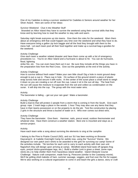One of my Cadettes is doing a survivor weekend for Cadettes & Seniors around weather for her Silver Award. Here are some of her ideas:

#### Survivor Weekend Clue it into Weather Stuff

 Stranded on Alkor Island they have to survive the weekend using their survival skills that they know and by learning how to read the weather to stay safe and warm.

Saturday night break everyone up into teams. Give them the rules for the weekend. Warn them about an emergency drill that could happen any time over the weekend and what they have to do. Have everyone bring a gallon zip lock baggie and all the food they brought with them to the mess hall. Let each team pool all their food together and make up a survival bag-o-goodies for the weekend.

#### Activity Challenge

Give each team a weather related disaster and have them come up with a list of emergency procedures I.e.: You're on Alkor Island and a hurricane is about to hit. You can do hurricane, flood, lightning

strike fire, etc. You can even have them act it out. Be sure they include all the things you have in the preparation lists from the Red Cross. Give out the pamphlets at the end of the activity.

#### Activity Challenge

How to survive without fresh water? Make your own little cloud! Dig a hole in moist ground deep enough to put a cup in. Place cup in hole. On surface of the ground stretch a piece of plastic wrap across hole and secure it with rocks. In the center of the suran place a small stone to weigh it down so you are creating a run off over the cup. Leave it sit in the sun all day. The heat from the sun will cause the moisture to evaporate from the soil and collect as condensation on the suran. It will drip into the cup. The group with the most water wins.

### Activity

The barometer is falling – get out your rain gear! Make a barometer.

#### Activity Challenge

Build a lean-to that will protect 2 people from a storm that is coming in from the South. Give each group: rope 2 trash bags a place in the woods 1 hour They may also use any items that they have in their teams possession or on the property to do the job. Test the construction by placing 2 girls in the structure and throw a bucket of water on it. Who ever comes out driest wins.

#### Activity Challenge

They have the barometer. Give them: Hammer, nails, precut wood, outdoor thermometer and whatever else. Have them construct a weather station. Best one is mounted and stays as a service project.

#### Activity

Have each team write a song about surviving the elements to sing at the campfire

I belong to the Pine to Prairie Council (ND), and our SU has been working on Brownie Daycamp/Jr. & Cadette Overnight Camp for awhile now, using the "Survivor" theme. We designed our own patch and t-shirts to be awarded to the girls for surviving our camp! Some of the activities include. Tiki torches for each unit to carry to each activity with their own unit flag(which they will design upon arriving at camp). Blindfold island food taste off (grapes-frog eyes, pretzel sticks-grasshopper legs, etc.) Build a shelter (unit is given a sheet, some rope, sticks etc,) to help shelter them from hazardous island weather. Island Obstacle Course Challenge. Nature craft companion, made from lg. Pinecone (similar to the Castaway movie). We'll be grilling shish kabobs of ham, summer sausage, veggies, and fruit over the fire for supper. We're also working on a cultural organization to come in and teach the girls a dance, story or craft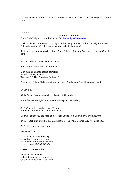in a tribal fashion. There's a lot you can do with this theme. End your evening with a tiki torch luau!

\*\*\*\*\*\*\*\*\*\*\*\*\*\*\*\*\*\*\*\*\*\*\*\*\*\*\*\*\*\*\*\*\*\*\*\*\*\*\*\*\*\*\*\*\*\*\*\*\*\*\*\*

 $2^{*}2^{*}2^{*}2^{*}2^{*}2^{*}$ 

#### **Survivor Campfire**

From: Barb Wright, Colwood, Victoria, BC (barbwright@home.com)

Well, this is what we plan to do tonight for the Campfire (read: Tribal Council) at the Area Pathfinder camp. We'll let you know what actually happens!!

(FYI, there are four campsites at our Camp Jubilee: Bridges, Gateway, Kirby and Guelph) Barb

SVI Discovery Campfire Tribal Council

Barb Wright, Sue Steel, Cindy Vance

Sign hung on shelter beside campfire: "Outwit Outplay Outlast" "Survivor 3.5 The Canadian Outhouse"

Costumes: Yellow Slickers and rubber boots, Bandannas, Tribal face paint (mud)

#### CAMPFIRE

(Girls Gather from 4 campsites, following lit tiki torches.)

(Campfire leaders light camp lantern on steps of the shelter).

SUE: (Sue in the middle) sings "Tongo" (Cindy and Barb move in from either side)

CINDY: Tonight you are here at the Tribal Council to earn immunity and a reward.

BARB: Each group will be given a challenge. The Tribal Council Jury will judge you.

SUE: Here are your challenges.

Gateway Tribe

To survive you must be lively. Active living keeps you strong. Pick a song that really moves us – Lead us in an ACTIVE SONG.

CINDY: Bridges Tribe

Morale is vital to survive. Upbeat thoughts keep you alive. Quick! Make up a YELL or CHEER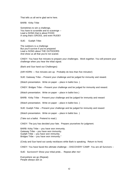That tells us all we're glad we're here.

BARB: Kirby Tribe

Sometimes to win a challenge, You have to scramble and to scavenge – Lead a SONG that is about FOOD A song that's GROSS, and even RUDE!!

SUE: Guelph Tribe:

The outdoors is a challenge But you'll survive if you're prepared Lead a SONG about THE OUTDOORS And show us all that you're not scared.

CINDY: You have five minutes to prepare your challenges. Work together. You will present your challenge when you hear the tribal signal.

(Barb and Sue hand out Challenges)

(AIR HORN --- five minutes are up. Probably do less than five minutes!)

SUE: Gateway Tribe – Present your challenge and be judged for immunity and reward.

(Watch presentation. Write on paper – place in ballot box. )

CINDY: Bridges Tribe – Present your challenge and be judged for immunity and reward.

(Watch presentation. Write on paper – place in ballot box.)

BARB: Kirby Tribe - Present your challenge and be judged for immunity and reward

(Watch presentation. Write on paper – place in ballot box. )

SUE: Guelph Tribe – Present your challenge and be judged for immunity and reward

(Watch presentation. Write on paper – place in ballot box. )

(Take out a ballot. Pretend to read.)

CINDY: The jury has decided your fate. Prepare yourselves for judgment.

BARB: Kirby Tribe – you have won immunity. Gateway Tribe – you have won immunity. Guelph Tribe – you have won immunity. Bridges Tribe – you have won immunity."

(Cindy and Sue hand out candy necklaces while Barb is speaking. Return to front)

CINDY: You have faced the ultimate challenge – DISCOVERY CAMP. You are all Survivors –

SUE: Survivors!!! Show your tribal pride... Repeat after me!

Everywhere we go (Repeat) People always ask us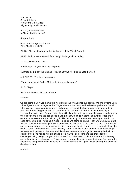Who we are So we tell them We are the Girl Guides Mighty, mighty Girl Guides

And If you can't hear us we'll shout a little louder!

(Repeat 2 x.)

(Last time change last line to) YOU MUST BE DEAF"

CINDY: Please stand up for the final words of the Tribal Council.

BARB: Pathfinders – You will face many challenges in your life.

To be a Survivor you must:

Be yourself. Do your best. Be Prepared.

(All three go put out the torches. Presumably we will thus be near the fire.)

ALL THREE: The tribe has spoken.

(Throw handfuls of Coffee Mate onto fire to make spark.)

SUE: "Taps"

(Return to shelter. Put out lantern.)

 $-$ \* $-$ \* $-$ \* $-$ 

we are doing a Survivor theme this weekend at family camp for cub scouts. We are dividing up in tribes tigers and wolfs together the Woger tribe and the bears and webelos together the Bebelo tribe. We got cheap material in green and orange so each tribe has a color to tie around their arm. We are making paper men on parachutes (to get to the island) then we are having a treasure hunt with maps for each tribe they will follow the trail markers on the ground and the map there is stations along the trail one is making rocks with bugs in them ( to hunt for food) and it ends with a treasure ( a box painted gold filled with candy. Then we are returning to turn in our bugs at the cub grub I for snacks made like bugs and some bug juice. Then we are having a raft building contest teams use glue, twine and sticks 20 min to build the best. And then a fire building contest using snacks as the rocks for fire ring, logs, kindling etc. I found it off a web site it may be on this board. And a crocodile crawl relay lay out an obstacle course and you have balloons put between each person on the team and they have to run the race together keeping the balloons between them, no hands. We are thinking of a way to keep score and the prizes for the challenges being things like, get to fix s'mores first. Other team cooks the winner's first hotdog; serve them dinner, extra snacks. This is about it were making big banner that says Survivor in the cubback to hang when they first come in. It's this weekend I will post what worked great and what didn't good luck

 $*$  \* \* \* \*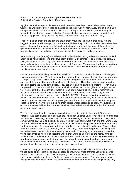From: "Linda St. George" <tikisis@ROCHESTER.RR.COM> Subject: Our Survivor Camp Out – Extremely Long!

My girls had their campout this weekend and it couldn't have been better! They arrived in good weather as we weighed their bags and asked to see their "luxury" item. Every one of them had a very practical item – for the most part! We had a flashlight, lantern, tissues, rash cream (she needed it for her brace – broken collarbone), extra blanket, air mattress, (okay – a stretch, but she is a big girl with many physical injuries), and deodorant ("my mother made me!").

Then, we packed them into the car and drove them around to the start of their hike. We had flagged the course with orange fabric strips and told them they had to have all of them when they arrived at camp. It was about a mile long hike (estimate) and it took them only 30 minutes. The girls commented that the hike should be longer next time, but we were concerned about a few physical limitations the girls had (collarbone, dislocated shoulder, and knee injuries.)

Meanwhile, my co – (Mamie) and I drove back to the site (her back yard on 4 acres) and packed a footlocker with supplies. We only gave them 2 tarps, 2 tiki torches, rope & twine, bug spray, a knife, dutch oven, cast iron fry pan, and a few other minor tools. Food included rice, breakfast bars, trail mix, beef jerky, tang, cooking oil, and salt & pepper. We also supplied them with a 5 gal cooler of water and a regular cooler with "wash water". There wasn't a stream or fresh water supply, so we felt we had to do this.

Our focus was team building, rather than individual competition, so all activities and challenges involved a group effort. When they arrived we greeted them and gave them instructions on where to begin. They had to build a shelter, dig a latrine, and gather /organize firewood. If they were successful, they would be given 3 matches to light their fire. They dove right in, dividing up the jobs and getting the tasks done quickly. They set a fire and we gave them matches. They had a fire going in no time and used that to light their tiki torches. With a few girls left to supervise the fire, we brought the others inside to watch a video about survival skills. I highly recommend it because it showed skills for every weather condition and focused on 7 major dangers that interfere with a person's survival. It was called SURVIVAL: 17 Ways to start a fire without a match, and 100 other useful skills. I found it in our local library system, but it is also available for sale through internet sites. I would suggest you view this with your girls BEFORE the camp out, because it may be very useful in helping them decide what necessities to pack. We just ran out of time and so we did it at the site. After the video, they retired to their site to enjoy the fire and get a good night's sleep.

The next morning, I tried to sneak up to catch them sleeping in their shelter at 6:30 am, but instead, I was called a lazy bum because they had been up since 5am! They had eaten breakfast and washed, played tag, restarted the fire, and were waiting for further instructions. They had a somewhat "buggy" night and didn't sleep real well, but their spirits were high and they were ready for more. There next challenge was to impress us with their lashing skills and create useful items for their campsite. As soon as we left, they started in on their planning and ideas. This is not an area that we have worked on enough (my fault) but they understood the premise of lashing and we had reviewed the technique at a meeting last month. What they didn't understand was that they needed thicker wood to support the weight they were going to put on the items. One girl made a table, but didn't reinforce the bottom and used thin branches, so it wasn't really usable. A wood carter looked great, but I later showed them how to turn it into a tripod and they used it several times over the fire to hang the Dutch oven. Their efforts were interrupted, however, as our guest speaker arrived an hour before we had expected him.

We had a county guide come and talk with the girls about survival skills. He is an Adirondack trained guide and brought along several packs to show what types of things you could use for survival. One pack was small – his emergency pack, that included the basic essentials. He said that one was with him at all times (in his car) no matter where he was. The other pack was a backpack filled with useful items. He demonstrated several of the items and the girls were truly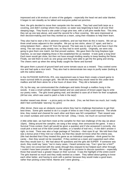impressed and a bit envious of some of the gadgets – especially the head net and solar blanket. It began to rain steadily as he talked and everyone pulled out ponchos.

Next, the girls decided to move their campsite into the woods. They had used both tarps as a covering, and didn't overlap where they joined, so water was beginning to leak in all over their sleeping bags. They found a site under a huge pine tree, with a soft pine needle floor. This time, they set up one tarp above, and used the second for a floor covering. We were impressed at their decision-making and how they worked as a team, using their mistakes to help them learn.

They also had to start a fire in adverse conditions, and we had them do this in teams. We set up three small areas adjacent to the campfire. We put up two sticks, about 12" apart, and tied a string between them – about 15" from the ground. The task was to start a fire and have it burn the string. The rain was pretty steady now, so they had to work quickly. Originally, we were only going to give them one match, but that proved useless. We gave them the long fireplace type matches, so we kept relighting those in the established fire as needed. It took quite a long time! Each team would get close, but then not have enough kindling nearby to keep feeding the flame. Finally, we told them to work as one group and they were able to get the fire going and strong. The cheers went up when the string finally caught the flame and burned!

We gave them a pound of ground beef and some tomato sauce as a reward. They cooked some rice and had quite a nice lunch. They also had to demonstrate two ways to purify water (boiling & with the iodine tablets.)

In the OUTDOOR SURVIVAL IPA, one requirement was to have them create a board game to teach survival skills to younger girls. We left the materials they would need for this under their mailbox and left them alone for a few hours of down time. They did a fantastic job!

Oh, by the way, we communicated the challenges and tasks through a mailbox hung in the woods. It was a small cylinder shaped basket and we used pieces of brown paper bag to write our poetry notes. The girls loved getting mail, and decided to save all of them for their scrapbook. (All but one, which was used to patch a hole in the tarp!)

Another reward was dinner  $-$  a pizza party on the deck. (Yes, we fed them too much, but I really didn't feel comfortable 'starving' my girls!)

After dinner, there was an obstacle course where they had to challenge themselves to get their best times. Some girls wanted to do it a couple of times to see if they could improve. The whole time, they rooted and cheered for each other and there was NO competition! Their reward was ice cream sundaes and some time in the hot tub! (Okay, I know, not much on survival here!)

A little while later, we had them meet at the campfire for their last challenge of the day (at about 10pm). Sitting around the campfire, we sang a few songs, then announced the game. It was a Survival Trivia contest. Each girl would be given a question and if she answered it correctly, she could pick a treat out of the bowl (small candies, or a handful of trail mix.) If she didn't answer it right, no treat. There was also a huge package of Twizzlers – their eyes lit up! We told them that was a bonus prize if they met our criteria, but that they would not know what the criteria was. (We had decided that if they treated this game as an individual competition –think greed for the candy – then they would not be rewarded. If they worked as a team and supported each other, then they would earn it.) We had about 40 questions and the girls did SUPER! If someone was stuck, they could say "pass," but in many cases, I heard someone say, "Can I give her a hint?" They were not concerned with the candy (though they enjoyed it) but helped each other through. I couldn't have been prouder of them. We stopped on occasion to discuss questions – especially those that would have a greater impact on their survival. It was the highlight of the entire event! The girls learned so much and they really worked as a team. They talked about getting to know each other better, and having to work with a partner because they would make a good team, rather than picking a best friend. Mamie and I were glowing . . .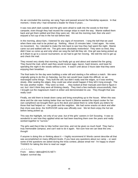As we concluded the evening, we sang Taps and passed around the friendship squeeze. In that moment, I knew why I had remained a leader for these 8 years . . .

It was now pitch dark outside and the girls were afraid to walk into the woods to find their campsite, even though they had reused the orange strips to mark the way. Mamie walked them back and got them settled and then they were set. We set the morning mail, then she and I enjoyed a hot cup of tea in the hot tub before bed.

In the morning, about 6am, I listened for any signs of movement. I rang the bell that we used when there was mail to be picked up. Nothing. About 15 minutes later, I tried again. No noise, no movement. So, I decided to make the trek back to see how they had spent the night. Mamie came out and walked with me. The girls were absolutely motionless! They were so tired, they didn't hear us come up and only when we rang the bell did they stir. One girl was being picked up at 6:45am to go to a soccer tournament, so we had to get her moving. We told the rest to get up and check the mail.

They moved very slowly that morning, but finally got up and about and started the fire going. They found the mail, which said they would receive eggs, bacon, hash browns, and toast for spending the night in the woods without a tent. It wasn't until about 3 hours later that they were enjoying their breakfast . . .

The final tasks for the day were building a solar still and starting a fire without a match. We were originally going to do this on Saturday, but the rain would have made this difficult, so we rearranged some things. They built the still, but didn't really seal the edges, so it was working slowly. After sealing the edges, they could see what would happen if they left it long enough. The fire was another matter. They were so tired . . . they looked at their manuals and tried to figure it out, but I don't think they were all thinking clearly. They tried a few methods unsuccessfully, then I brought out the magnesium match & striker and demonstrated its use. They thought that was really cool!

Finally, we told them to break down camp and bring everything up to the house. When this was done and the site was looking better than we found it (Mamie wanted the tripod cooker for her own campfires!) we brought them up to the deck and asked them to write thank you letters for those that had helped us – the guide and the neighbor. We had some snacks on deck and after that chore was done, the SURVIVOR camp was officially over. We let them enjoy the hot tub before being picked up.

This was the highlight, not only of our year, but of the girls' careers in Girl Scouting. It was so wonderful to see how they applied what we had been teaching them over the years and really worked together to "survive."

The girls said they'd like to hike further next time, and not be given so much food! They had a truly memorable campout, and can't wait to do it again. Not sure how we can beat this one, though!

If anyone is doing this or thinking about it – I highly recommend it! Words cannot describe all that was accomplished on many different levels. If you have any questions about our camp – or want some of the questions we asked during the trivia contest, please email me! I'm happy to share! THANKS for taking the time to read our saga!

 $*^{*}$  \* \* \* \* \* ~

From: debra <debra@HCIS.NET> Subject: survival day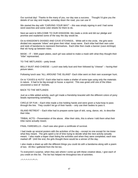Our survival day! Thanks to the many of you, our day was a success. Thought I'd give you the details of our day and maybe, someday down the road, you can use it!

We started the day with "CARVING YOUR WAY" – this was simply signing in and I had some word searches and some color sheets for them to do.

Next we went to WELCOME TO OUR KINGDOM. We made a circle and did our pledge and promise and explained some of the way the day would be.

On to KINGDOM'S DIVIDED AND CAVE ETCHINGS.. While still in the circle, the girls were divided into separate "tribes" and given their tribal troop name. Each tribe had their own color and style of bandanna to represent themselves. Each tribe then made a banner (cave etchings) that we hung up between trees.

 $MASK - IT - With paper plates, each girl was asked to make a mask with what they thought their$ "tribe" represented.

TO THE WETLANDS – potty break

BELLY BUST AND CHEESE – Lunch was belly bust and then followed by "cheese" – having their picture taken.

Following lunch was "ALL AROUND THE ISLAND"- Each tribe went on their own scavenger hunt.

On to "CAVES & HUTS"- Each tribe had to make a shelter of some type using only the materials in nature. It had to be big enough to house a squirrel. This was great until one of the tribes uncovered a nest of hornets.

BACK TO THE WETLANDS

Just as a little added activity, each girl made a friendship bracelet with the different colors of pony beads representing something.

CIRCLE OF FUN – Each tribe made a line holding hands and were given a hula-hoop to pass through the line. They couldn't let go of their hands – only use their bodies to pass it.

ISLAND RETREAT – Each tribe had to prepare some type of skit, song, dance, etc. to describe their tribe.

TRIBAL ACTS – Presentation of the above. After their skits, this is where I told them what their tribe name actually meant.

FINAL FAREWELLS – Each was also given a certificate of survival.

I had made up several posters with the activities of the day – except no one except for me knew what they meant. The girls spent a lot of time trying to decide what the next activity actually meant. I also made a kaper chart listing the activities and when they were completed, each was marked off! Until the end, the girls thought there would be a winner of the day.

I also made a sheet up with the different things you could do with a bandanna along with a poem of two. All this I gathered from the list too.

To everyone's surprise, when they ask where I come up with these creative ideas, I give each of you credit on this list. The list has helped me throughout lots of activities.

 $x^*x^*x^*x^*x^*x^*x^*$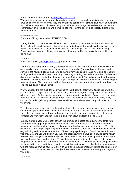## From: Dorothy/Anne Crocker" hopebayc@LOG.ON.CA

What about at one of them  $-$  probably woodland station  $-$  a camouflage activity whereby they have to hide themselves so that they are invisible to searchers? Perhaps have half camouflagers and half searchers, with volunteers being the half that camouflage themselves and the rest the searchers. A time limit to hide and a time limit to find. Half the secret in successful hiding is NO movement at all.

#### $*^{*}^{*}$  \*  $*^{*}^{*}$  \*  $*^{*}^{*}$  \*  $*^{*}$

From: Ann Richey" <annrichey@YAHOO.COM>

During the day on Saturday, we will have 6 environmental survivor stations i.e. Arctic survival (to be held in the walk in cooler) Desert survival (to be held at the beach) Water survival (to be held at the beach also) Woodland survival (to be held amongst the 12 – 14 trees at camp) Prairie survival (can be held almost anywhere at camp) and Urban survival (to be held in the dining hall)

## $x^*x^*x^*x^*x^*$

From: Linda Shier (lshier@ezlink.on.ca), Clysdale Division

Upon Arrival at camp on the Friday evening they were talking about thunderstorms so like any good survivor would do we looked for secure and dry shelter (we opted out of the tents and stayed in the heated building (LOL) we did have a very nice campfire and were able to roast our hotdogs and marshmallows outside though. Saturday morning dawned the promise of a beautiful day and we kind of regretted not being in the tents Friday night. The girls cooked their breakfast (choice of pancakes, toast or scrambled eggs) each girl got to cook her own as we were using the propane stoves. After breakfast and the chores were done we prepared our cardboard boxes for cooking our pizza in at lunchtime.

We then headed to the bush for a survival game that I got off I believe the Guide Zone with five stations. After a couple trips back to the building to retrieve forgotten rain jackets etc we headed off in the drizzle. By the time we were done it was starting to rain harder. So we came back and prepared lunch. As we were adjusting the pizzas in the boxes there were some really nasty cracks of thunder. (Thank goodness these survivors had a shelter over the picnic tables to protect the ovens.)

The afternoon was spent doing crafts and outdoor activities in between showers and rain. As suppertime approached the skies cleared once again and the decision was made to pitch the tents after our supper of rat burgers (hamburgers. the girls thought it was neat to call them rat burgers) and kitty litter cake. (this was a big hit even though it looked gross..........)

Sunday morning appeared to start off with the promise of a not to bad a day so the tents were cleared out and luggage placed under the shelter prior to breakfast. We decided to have our breakfast of waffles and as we were eating our worst nightmare happened again.......The skies opened up and it began to pour again. By time we were done breakfast and chores again it was only drizzling and the tents were soaked. Oh well we played the part of survivors to the fullest on this one..........and yes we did survive. (any one that knows me I have been having some health problems with Arrhythmia's and decided as I bent down to pick the poles up and put them in the bag that I would take another attack. This is the second one in 7 months Have no Idea why it happened all the work was done but this attack lasted about 20 minutes and was just going to call my husband to come and take me into the hospital when it passed so I finished out camp along with the rest and am fine now..........every thing is dried out and gradually getting caught up on my sleep............... I have pictures back but just have to get them scanned and on my web page for you to see.

 $-*-*-*-**-$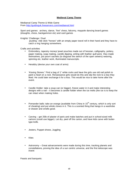# **Medieval Camp Theme**

Mediaeval Camp Theme & Wide Game From http://guidinguk.freeservers.com/mediaeval.html

Sport and games: archery, dance, "live" chess, falconry, maypole dancing board games (draughts, chess, backgammon etc) and card games

Knights' Challenge / Duel

 jousting –ride stick "horses" with an empty paper towel roll in their hand and they have to catch a ring hanging somewhere.

Crafts and activities

- Embroidery, tapestry money/ jewel pouches made out of hessian, calligraphy, pottery, paper making, soap making, candle dipping, writing with feather quill pens they made themselves, pot pourri sachets (to disguise the stench of the open sewers) weaving, spinning etc, leather work, illuminated manuscripts.
- Heraldry (devise your own coat of arms)
- 'Kissing Stones." Find a bag of 1" white rocks and have the girls use old nail polish to paint a heart on a rock. Renaissance girls would do this and slip the rock to a boy they liked. He could later exchange it for a kiss. This would be nice to take home after the event.
- Candle Holder: take a soup can (or bigger), freeze water in it and make interesting designs with a nail – it becomes a candle holder when the ice melts (the ice is to keep the can intact when making holes.
- Pomander balls: take an orange (available from China in  $15<sup>th</sup>$  century, which is only sort of cheating) and put whole cloves in it. This is a scented thing that hangs in a wardrobe or drawer and smells good.
- Carving get 25lb of plaster of paris and make batches and put in school-sized milk cartons (could use bigger). Let dry, peel off the carton, and have kids carve with buttertype knife.
- Jesters, Puppet shows, Juggling
- **Kites**
- Astronomy Great advancements were made during this time, tracking planets and constellations, proving the idea of a sun centric universe, and the first telescope was invent

Feasts and banquets: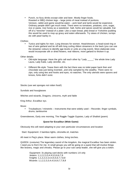• Punch, no fizzy drinks except cider and beer. Mostly finger foods. Roasted or BBQ chicken legs – large joints of meat instead of portions. Venison, rabbit and game would be eaten – pork beef and lamb would be expensive. Ordinary people didn't get much meat. There were no tomatoes, potatoes, corn, sugar, rice or pasta. Use honey as a sweetener. Salt, herbs and spices would be valuable. Eat off of a "trencher" instead of a plate: Like a naan bread, pitta bread or Yorkshire pudding this would be used to mop up gravy and eaten afterwards. Try stews of chicken, turnips etc with pearl barley in.

### Clothes:

• Tunics and tights for men. Long dresses for women. Head-dresses: a head-sized ring or two of wire garland and tie off with long curling ribbon streamers in the back (you can use the streamer colours to identify age-levels or units at a big event). More elaborate ones would incorporate silk or dried flowers, real ribbons, more garland to thicken it up.

Other details:

- Old-style language: Have the girls call each other by "Lady \_\_\_\_\_" the whole time Lady Laura, Lady Katie, Lady Jennifer, etc.
- Different life-style: Tease them with the fact there was no toilet paper back then and chocolate was just being invented...and only sampled by the wealthy. There were no zips, only using ties and hooks and eyes, no watches. The only utensils were spoons and knives, forks didn't exist.

Stocks (use wet sponges not rotten food!)

Sundials and hourglasses

Witches and wizards, Dragons, Unicorns, myth and fable

King Arthur, Excalibur eyc.

Music

• Troubadours / minstrels – Instruments that were widely used – Recorder, finger cymbals, drums, tambourine

Greensleeves, Early one morning, The Raggle-Taggle Gypsies, Lady of Shallott (poem)

# **Quest for Excalibur (Wide Game)**

Obviously this will need adapting to your own particular circumstances and location

Start: Equipment: 2 bamboo lights, citronella oil, matches

All meet in Peg's place. Wear warm clothes, bring torches.

QUEEN: (costume) The legendary sword of the kingdom, the magical Excalibur has been stolen. I need you to find it for me. In small groups you will be going on a quest that will involve things like bravery, magic and chivalry. Please go to your sub camp leader, she will give you a token.

 Equipment: 3x playing card decks with numbers 1-8 only Jesters: 1,1,2,2,3,3,4,4,5,5,6,6,7,8 Knights: 1,1,2,2,3,3,4,4,5,5,6,7,7,8,8 Wizards: 1,1,2,2,3,3,4,4,5,6,6,7,7,8,8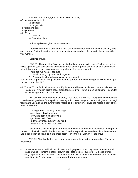Outlaws: 1,2,3,4,5,6,7,8 (with destinations on back)

- 42. paddock (white tent)
	- 2. paddock
	- 3. ranger cabin
- 43. telephone box
- 44. giraffe hut
- 45. BP hut
	- 7. Canobio
	- 8. Camp fire circle

Sub camp leaders give out playing cards.

 QUEEN: Now I have enlisted the help of the outlaws for there are some tasks only they can perform. On the token that you have been given is a number, please go to the outlaw with that number.

Split into groups.

 QUEEN: The quest for Excalibur will be hard and fraught with perils. Each of you will be called upon for your special skills and talents. Each of your groups contains at least one outlaw, wizard, jester and knight. You must work together to find my lost sword.

- There are two rules of conduct –
- 1. stay in your groups and work together.
- 2. 2. do not touch anything unless you are meant to.

You will meet 8 people on the quest, you need to get from them something that will help you get the sword from the thief.

46. The WITCH – Paddocks (white tent) Equipment: - white tent – witches costume, witches hat – cauldron – vinegar, bicarb soda, green food colouring – torch, green cellophane – poem for mini scavenger hunt – 8 times talisman

 WITCH: Welcome brave adventurers, I see there are wizards among you, come forward. I need some ingredients for a spell I'm creating – find these things for me and I'll give you a magic talisman to use against the sword thief's magic field of detection. – gives the wizard a copy of the poem to read out

 The finger bone of a long dead knight, Make it one who died of fright. Two wings from a small grey bat Eye of newt, tail of rat. Find these things, but don't you mind Don't try to fool a witch half blind. –

 Guides need to find things that are about the shape of the things mentioned in the poem, the witch is half blind and in the darkness won't notice. – put all the ingredients into the cauldron, add a good dash of bicarb to make green foam – give them a talisman for the group

 WITCH: Ahh, lovely, the next part of your quest is to go to the dragon's lair. (Tunnel on paddocks)

47. DRAGONS LAIR – paddocks Equipment: - 2 ridge poles, ropes, pegs – tarps to cover and make a tunnel – lantern at start – glow in dark bats, spiders, bugs etc – 8 pieces of map – copy of poem needs 2 leaders. One at start of tunnel with poem and the other at back of the tunnel (outside?) who makes a dragon growl where appropriate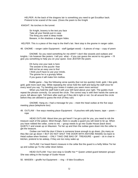HELPER: At the back of the dragons lair is something you need to get Excalibur back. Pretend to be scared of the cave. (Gives the poem to the Knight

KNIGHT. No torches in the tunnel.

 Sir Knight, bravery is the test you face Take all your friends just in case The thing you seek is deep inside Beware, in the shadows a dragon hides.

HELPER: This is a piece of the map to the thief's lair. Next stop is the gnome in ranger cabin.

48. GNOME – ranger cabin Equipment: - staff (gadget wood) – 8 pieces of map – copy of poem

 GNOME: So you need something for me ehhh? I don't like wizards and outlaws and knights. I do however like jesters. I tell you what – if you can quess the secret to my game – I'll give you something to help you on your quest. Give JESTER the poem.

 Oh funny one your task is here The answer to the puzzle I fear Will not be an easy one to find I think you'll have to use your minds. The gnome he is a grumpy fellow If you guess it will make him mellow.

 Riddle game – Say the following verse quickly (but not too quickly) Gold, gold, I like gold, gold, gold more each day. While repeating the verse hold the staff and bang the staff once for every word you say. Try bending your knees it makes you seem more serious!

 When you hold the staff hold it with your left hand above your right. The guides must repeat the phrase correctly. Go around the circle. The correct way is with their hands the same as yours, left above right. Tell them after each go if they did it right or not. Go all around the circle before they are allowed to guess the trick (if they can)

 GNOME: Hang on, I had a message for you – meet the head outlaw at the five ways meeting place (telephone box)

49. OUTLAW – five ways meeting place Equipment: - 8 pouches with jelly beans, tape – poem – rope

 HEAD OUTLAW: About time you got here!!! I've got a job for you, you need to rob the treasure vault of the palace. Mind though, there is usually a guard you will need to tie up. When you have robbed the cellar, come to me. – group needs to go into Guide House (back door) QUIETLY and sneak up on Maureen. Tie her up and then the outlaw goes down into the cellar to get the treasure.

 Outlaw can hold the door if there is someone brave enough to go down. (As many as they like can go down = BUT DO NOT SHUT THE DOOR WITH ANYONE INSIDE) Go back to Head outlaw when finished. – ONLY TAKE ONE BAG OF TREASURE – guard – sit in chair in kitchen, pretend to be asleep, if they are too noisy wake up

 OUTLAW: I've heard there's treasure in the cellar But the guard is a hefty fellow Tie her up and outlaw go To the cellar down below.

 HEAD OUTLAW: Your next stop is Giraffe Hut \*\* Queen untied guard between groups! She was sitting in the lounge of Guide House

50. MAIDEN – giraffe hut Equipment - - ring – 8 fake Excaliburs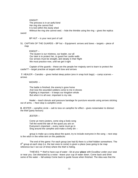KNIGHT:

 The princess is in an awful bind Her ring she cannot find It is lost within this dusty shed Without the ring she cannot wed. – hide the thimble using the ring – gives the replica

sword

BP HUT – is your next port of call

51. CAPTAIN OF THE GUARDS – BP hut – Equipment: arrows and bows – targets – piece of map

 KNIGHT – The Queen is our mistress, our leader, our all Our task is to protect her, to guard her castle walls Our arrows must be straight, and steady in their flight We must practice now, until we get it right

 Captain of the guards – these are the people her majesty sent to learn to protect the castle?? – target practise at targets with bow and arrows

**7**. HEALER – Canobio – gives herbal sleep potion (eno in snap lock bags) – camp scarves – arrows

#### WIZARD –

 The battle is finished, the enemy's gone home And now the wounded soldiers come to me in droves Fighting is important – it keeps our kingdom whole But when it is all over, important is my role.

 Healer – teach donuts and pressure bandage for puncture wounds using arrows sticking out of arms. – Next stop is campfire circle

**8**. JESTER – campfire circle – salt to toss on campfire for effect – gives noisemaker to distract the thief (party favours)

JESTER –

 Come ye merry jesters, come sing a lively song Tell the world the tale of the quest you are on Everyone's important – every name must go in Sing around the campfire and make a lively din –

 group is make up a song about the quest, try to include everyone in the song – next stop is the witch in the white tent on the paddocks

 The end of the game: For each group (we had 8) there is a thief hidden somewhere. The  $8<sup>th</sup>$  group at each stop (i.e. the last ones to come) is given a place (was going to be map reference but I ran out of time) where the thief is hiding.

 THIEVES: \*\* thief to have cup of water –Sit at your **place** with Excalibur under your seat or near you. Get distracted by a noise –leave your cup of water down. Come back and drink some of the water – fall asleep Come back to guide house when finished. The idea was that the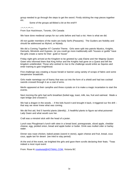group needed to go through the steps to get the sword. Firstly sticking the map pieces together etc.

Some of the groups ad-libbed a bit at the end!!!!

## $*^{*}$  \* \* \* \* \* \* ~

From Sue Hutchinson, Toronto, ON Canada

We have done medieval camps for our units before and had a riot. Here is what we did.

All non-guider members of the realm are lowly Serfs (Peasants). The Guiders are Nobility and should be addressed as Mylord, or Mylady.

We did a Coming Together AT Camelot Theme. Girls were split into patrols Mystics, Knights, Damsels, Minstrels and Gypsies. (or you could go more traditionally with "houses or guilds" have the girls create a name for their guild or house"

Friday night girls arrived at the Kingdom to be greeted by Lady Elaine and Her Majesty Queen Gwen who informed them that King Arthur and the Knights had gone on a Quest and left the kingdom undefended. Those who wished to rise to the challenge would enlist as Squires and enter training to gain knighthood.

First challenge was creating a house herald or banner using variety of scraps of fabric and some inexpensive broadcloth.

Girls made nametags out of foamy that was cut into the form of a shield and had two cocktail swords crossed through it as a coat of arms.

Merlin appeared at their campfire and threw crystals on it to make a magic incantation to start the events.

Next morning the girls had serfs breakfast (boiled egg, toast, milk, tea, fruit and oatmeal. Made a rope bridge and crossed it.

We had a dragon in the woods. – if the kids found it and brought it back, it triggered our fire drill – that way we never knew what was coming.

We did first aid, find 5 harmful plants (identify), 5 healthful plants to figure out what poisoned Lady Gwen and what would cure her.

Craft was a minstrel stick with the head of a jester.

Lunch was Ploughman's lunch with stew in a bread bowl, pomegranate, sliced apple, cheddar cheese, egg, pickled onion, bread and apple butter or butter. Drink was mulled cider or barley water.

Dinner was roast chicken, baked potato (sword in stone), again cheese and fruit, bread, cous cous, apple tart for desert (we tried to stay period)

At the end of the event, we knighted the girls and gave them scrolls declaring their feats. "Twas indeed a most royal event

From: Rose Ki rosekwiat@HOTMAIL.COM, Victoria BC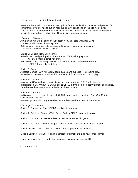Has anyone run a medieval themed tenting camp?

\*Here are the Activity/Tournament Descriptions from a medieval rally day we had planned for earlier this spring but had to put on hold due to rainy conditions on the site we selected. Note: SCA can be interpreted as Society for Creative Anachronisms, which we had relied on heavily for support and participation. Hope it gives you some ideas.

Station 1: Fibre Arts

- A) Spinning/ Weaving demo of table loom weaving , card weaving( SCA); - GIRLS will spin wool on a spindle .
- B) Embroidery- demo of stitching; girls add stitches to an ongoing design -GIRLS will do small canvas design.

Station 2: Construction/ Engineering

- A) Mail- demo and participation of making mail. SCA will supply wire. -GIRLS to make a small hat craft.
- B) Castle Building- challenge to build a castle out of Girl Guide cookie boxes. -GIRLS throw balls to defend it.

Station 3: Games

A) Board Games- SCA will supply board games and supplies for GIRLS to play.

B) Medieval Games - SCA will lead Blind Man's Bluff and TERSE. GIRLS play.

Station 4: Martial Arts

A) Archery -SCA will have a static display of weapons which GIRLS will observe. B) Rapiers/Heavy Armour - SCA will assist GIRLS in trying on their heavy armour and shields, then discuss their banners and shields they have brought.

Station 5: Musical Arts

A) Singing -\_\_\_\_\_\_\_\_ will lead/teach GIRLS songs for the campfire. (Early One Morning, Cockles and Mussels)

B) Dancing- SCA will bring ghetto blaster and lead/teach the GIRLS two dances.

Challenge Tournament:

Station 6: Capture the Flag - GIRLS participate in a race.

Station 7: Catch the Dragon's Tail / Secret Orders GIRLS cooperate to win.

Station 8: Kick the Can - GIRLS learn a new version of an old game.

Station 9: St. George and the Dragon - GIRLS try to spear balloons on the dragon.

Station 10: Flag Crawl/ Chivalry - GIRLS go through an obstacle course.

Closing Campfire- GIRLS to sit in a horseshoe formation to sing new songs learned.

Hope you have a fun day and learn some new things about medieval life.

 $*_{\sim}*_{\sim}*_{\sim}*_{\sim}*_{\sim}*_{\sim}*_{\sim}*$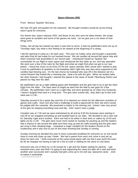## **Space Odyssey 2001**

From: Monica "Sparkie" McCarey..

We had 104 girls and guiders for the weekend. We thought numbers would be up but timing wasn't great for everyone.

Our theme was 'space odyssey 2001' and those of you who sent me ideas thanks, the songs were great at campfire and some of the games we used. Let me give you a run down of how things went.

Friday, rain all day but cleared up when it was time to arrive. (I had my pathfinders tents set up on Thursday night, boy what a nice feeling to be relaxed at the beginning of a camp).

I did the opening of camp as I do each year. This year my hubby came and brought a spaceship and alien that he had made for our haunted house. We set candles all around the space ship and when everyone had assembled in our 'launch pad. I introduced myself as 'Sparkie' the commander for our flight to outer space and introduced the first aider as our 'sick bay specialist' We went over a few of the rules for the flight and what we might find when we got to our new planet. I found the music on an Elvis CD for the 'space odyssey 2001 movie and I started to play it and my pathfinders lit sparklers to the beat(they didn't light they way they were supposed to the candles kept blowing out). On the last chorus by husband who was off in the distance set of a rocket firework that looked like a shooting star...what a hit with the girls. When we landed (after the other firework I had bought) I claimed this planet in the name of South Tillsonburg District and placed our flag near the alien.

My pathfinders set up a night stalking game with flashlights and the girls had to try to get the Alien Eggs from the Alien. The stars were so bright we went into the field to star gaze for a few minutes. My pathfinders and I went on a night hike and were greeted by an Alien (my husband)... I haven't laughed that hard in a long time. The girls were scared silly...they didn't go to bed until what was it 2:30...

Saturday proved to be a great day and lots of us dawned our shorts for the afternoon activities of games and crafts. Each unit also had a challenge to build a spacecraft for their site and it would be judged with the campsite. We presented a trophy to the winning unit...(mine) I was very proud of the girls for keeping everything neat and tidy. And I wasn't even a judge.

Campfire was at 7:30 and we were entertained by all and by 8:30 the brownies were starting to nod off so we wrapped everything up and headed back to our sites. We decided to set a new rule for Saturday night and it worked. Each unit had to be either in their tents or cabins by 10:30 and lights out by 11:00. The girls were much more rested on Sunday for packing up and the leaders had a chance to site around the table and have mug up and do crafts knowing that the girls were are snug in their sleeping bags. I prepared a magic campfire for the leaders (found on the Guidezone) and it was nice to just sit and relax knowing that Sunday is coming.

Sunday morning we decided this year to have a pancake breakfast for everyone so no one would have to cook and clean up was I faster. We had a parent from each unit come in and set up times for each unit. I think everyone at the camp would agree with me that it was worth the extra \$1.00 we charged not having to wait for a fire to cook or waiting for the stove to cool down.

Everyone was out of there by 11:30 except for 1 girl and her leader waiting for parents. I get stressed every year and think I'm going to quit organizing the camp but after all is said and done another year successful and I actually had girls come up to me and say 'awesome camp' ...kind of makes it worthwhile.

 $2^*2^*2^*2^*2^*2^*2^*2^*2^*2^*$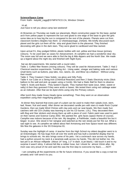### **Science/Space Camp**

From: Kathi - katydid\_cagg@SYMPATICO.CA, Windsor Ontario

Hi all,

Just have to tell you about camp last weekend!

At Brownies on Thursday we made our placemats. Black construction paper for the base, partial arch from yellow paper to represent the sun and glued to one edge of the base to give the girls some idea as to how big the sun is compared to the rest of the planets. Planets were cut from classroom borders (Staples has them: 12 sheets/package, 2/sheet). We briefly discussed each planet and the girls cut them off the strip and glued them to the placemat. They finished decorating with glow in the dark stars. They were glued to cardboard and Mac-tacked.

Upon arrival Fri, they podged 500mL plastic bottles with red, yellow and blue tissue (primary colours). To be used later as vases for Advancement. At campfire we had a wonderful clear sky. The moon was full and we were able to find the big & little dippers and the North Star. We made up a legend about the night sky and finished with Night Eyes.

Sat we did experiments. We started with a round robin-

Table 1: Coffee filter flowers (mixing colours). They will be used for Advancement. Table 2: Had 2 Chemical reaction experiments. Tumbling Act - Using water, vinegar and baking soda and various small items such as buttons, pop tabs, rice, raisins, etc. and Blow Up a Balloon - Without using their mouth!

Table 3: They Created 2 New Solids: Lip gloss and Silly Putty.

Table 4: Ice Cube on a String trick (Chemical Reaction) and then 2 Static Electricity tricks (Stick balloon to the wall and pick up paper using a Comb). We had a Static Ball for them to observe. Table 5: Acids and Bases - They tasted 5 liquids. They marked their taste (sour, bitter, sweet or salty) & then they guessed if they were acids or bases. We tested them using red cabbage water as an indicator. After that we tie dyed shirts using only the Primary colours.

After lunch they made Grass Heads (grow something). Then they went on an observation expedition using their magnifying glasses.

 At dinner they learned that every part of a plant can be used to make their salads (root, stem, leaf, flower, fruit and seed). After dinner we decorated candle jars with stars & made Rock Crystal Gardens, then we made Wind Chimes with clay pots and car seat beads. We then made Sun catchers with old CD's (hubby was learning to use his CD burner, LOL). They decorated them with Bug and Star stickers and strung them up with a piece of cord. Fabric paint was used to paint on their names and Science Camp 2002. We painted the girls faces (space theme of course). Campfire was indoors because of the rain. My daughter, a Pathfinder, made a beautiful fire but it began to pour. She stood in her raingear and watched as the rain slowly put her fire out. What a sad sight to see. At campfire we talked about Neil Armstrong and how Space travel was different. We flew the galaxies in the SS Enterprise 81.

Sunday was the highlight of camp. A teacher from the High School my oldest daughter went to is an Entomologist. He has bugs from all over the world and has built a wonderful display that he brings to schools etc. He also brings some of his pets. I let a cockroach race across my hands, had a python around my neck & a tarantula walk across my hands. This did not bother me. His last pet is an African millipede (About 14" long, 1-2" in diam. & jet black). I did touch it and to my surprise it wasn't slimy. It almost felt like a rubber hose, but I shook for almost 10min after. My mom was very proud of me and said this was the first step to overcome my fears........NOT!

 I am compiling all the experiments on file for future reference. If you would like a copy e-mail me privately and I will send it to you.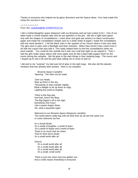Thanks to everyone who helped me lip-gloss directions and the Space ideas. Your help made this camp the success it was.

 $x^*$   $x^*$   $x^*$   $x^*$   $x^*$   $x^*$   $x^*$ From Jeri, mckelvie@SK.SYMPATICO.CA

I did a mother/daughter space sleepover with my Brownies and we had a blast (LOL). One of our dads made a rocket shaped cake and we put sparklers in the jets. We did a night eyes game only with the shapes of constellations. I used silver and gold star stickers on black construction paper and made the constellation shapes and on a white sheet of paper I made the constellation with the name beside it. I hid the black ones in the upstairs of our church where it was very dark. The girls went in pairs with a flashlight and their checklist. When they found it they could cross it off with the crayon that was with it. This really helped them to find the constellations when we went outside. You could do this outside but it was very cold that night so we stayed in. Then I had the girls make space aliens with neon paper and we did a black light puppet show for the moms during the campfire. We hid glow in the dark things in their sleeping bags. The moms and I stayed up to visit a bit and the girls kept calling me to come to bed so

I did and to my "surprise" my bed was full of glow in the dark bugs. We also did the planets necklace that has already been posted. Here is my campfire:

> Brownie Space Campfire Opening: The Stars (to be read)

 Over our heads, Way up there in the sky, Thousands of stars wander nightly; What a delight to be up there so high, Lighting the world so brightly.

 There is the Dog star, And look, here's the Bear, The Big Dipper's off to the right. Sometimes the moon Like a queen lingers there. Oh, what a beautiful night!

 Welcome to our Brownie Space Sleepover campfire. The world seems really big until we think that we all see the same sun or moon wherever we live.

 It's a Small World It's a world of laughter, a world of tears It's a world of hopes and a world of fears There is so much that we share That it's time we're aware It's a small world after all

Chorus:

 It's a small world after all It's a small world after all It's a small world after all It's a small, small world

 There is just one moon and one golden sun And a smile means friendship to everyone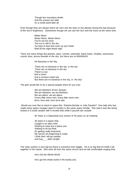Though the mountains divide And the oceans are wide It's a small world after all

Even though they are always there we can't see the stars or the planets during the day because of the Sun's brightness. Sometimes though we can see the Sun and the moon at the same time.

> Mister Moon Mister Moon, Mister Moon You're out too soon The sun is still in the sky Go back to bed and cover up your head. Wait till the night draws nigh.

There are many things like planets, stars, comets, asteroids, black holes, shuttles, astronauts, cosmic dust, aurora borealis in the sky, but there are no BANANAS!

No Bananas in the Sky

 There are no bananas in the sky, in the sky There are no bananas in the sky There's a sun And a moon And a coconut cream pie But there are no bananas in the sky, in the sky!

The girls would like to do a special puppet show for you now.

 We are Martians (Frere Jacque) We are Martians, we are Martians We are aliens, we are aliens Funny little moon men, funny little moon men Brrm, brrm eek, brrm brrm eek.

 Would you ever like to travel in space like Roberta Bondar or Julie Payette? One lady who has made many space voyages spent 6 months in the same space shuttle. She said it was like being locked in a small camper with 6 excited kids while it poured rain outside.

40 Years in a Spaceship (my version of 40 years on an iceberg)

 40 years in a space ship, Caught in an alien orbit. Nothing to wear but a space suit. Nothing to do but float. It's getting really lonesome, My nerves are beginning to snap! I think that I will go outside, and hug \_\_\_ alien tonight.

The solar system is very big but there is someone even bigger. He is so big that he holds it all together in His hands. (We were all from the same church and we felt comfortable singing this)

He's Got the Whole World

He's got the whole world in His hands.(x4).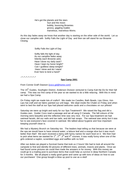He's got the planets and the stars Sun and the moon bubbly, bouncing Brownies groovy, giggling Guides marvelous, marvelous Moms.

As this day fades away we know that another day is starting on the other side of the world. Let us close our campfire with Softly Falls the Light of Day and then we will stand for our Brownie Closing.

Softly Falls the Light of Day

 Softly falls the light of day As our campfire fades away Silently each Brownie asks Have I done my daily task? Have I kept my honor bright? Can I guiltless sleep tonight? Have I done and do I stand Ever here to lend a hand?

 $\sim^*$ ~ $*$ ~ $*$ ~ $*$ ~ $*$ 

## **Spa Camp 2001**

From Connie Graff-Dawson (coco.gd@home.com)

The 15<sup>th</sup> Guides, Southglen District, Anderson Division ventured to Camp Kah-Ne-Do for their fall camp. This was our first camp of the year so we wanted to do a little relaxing. With this in mind we had a Spa Camp.

On Friday night we made lots of crafts!!! We made Ice Candles, Bath Beads, Lips Gloss, Hot-Lips hat craft and we fabric painted our unit bags. We slept inside the Chalet on Friday and when went to bed the staff at our Spa had placed welcome cards and a chocolates on our pillows!

Saturday we were up bright and early for our Spa Treatment!!! We raised the flag and did a Guides own. Guider Coco read a passage and we all sang O Canada. The fall colours of the morning were beautiful and the reflection time was very nice. For our Spa treatment we had oatmeal facials, did our nails and toe nails, and did hair wraps. The oatmeal was sticky but it was fun to see everyone's face covered in oatmeal. We talked about hygiene and how important keeping yourself clean is.

We had a Mystery Brunch on Saturday too. The leaders kept telling us that because we were at the spa we would have to have mineral water, a lettuce leaf and a orange slice but it was much better than that!! We each received a menu with funny names for each food on it. We then had to pick what items we wanted for 1<sup>st</sup>, 2<sup>nd</sup>, 3<sup>rd</sup> and 4<sup>th</sup> courses. It was really funny when one of the girls ordered a napkin, scrambled eggs and waffles with no fork!

After our duties we played a Survival Game that took us 2 hours! We had to look all around the campsite to find and identify 60 pictures of different trees, animals, insects and plants. Once we had found some pictures we could then trade the answers in for money. With this money we could go to a trading post to purchase items that could help us survive in deep Northern Canada for 3 months. We all played a really good game and came up with tons of ideas on how to use our purchases! One group bought a blow up pool to use as a sled!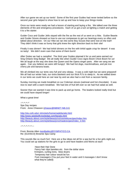After our game we set up our tents! Some of the first year Guides had never tented before so the second year girls helped to show how to set up and how to keep your things inside.

Once our tents were ready we had a lesson of starting and laying a fire. We talked over the three elements of fire and emergency procedures. Each of us got a turn at lighting a match and getting it to a fire starter.

Guider Coco and Guider Jello stayed with the fire as the rest of us went on a hike. Guider Beanie and Guider Smore showed us how to use our compasses to get our bearings every so often and talked about direction. On our Hike we ran into some Boy Scouts that were lost on the trail!! They didn't think it was so funny that girls knew the right direction back to their site!

Finally it was dinner!! We had tinfoil dinners on the fire with tinfoil apple crisp for desert! It was so tasty! We didn't even care that some of them burnt!

After Duties we had a campfire! The third year Guides planned it for us and were earned our Sing Ontario Sing Badge! We all really like when Guider Coco signs Boom Chick Boom for us! We all laugh at the way she does the Queen and the Opera singer parts. After we sang we ate again. Can you believe we were still hungry! We had hot dogs, marshmallows, and pie iron cherry pie and banana boats.

We all climbed into our tents very full and very sleepy. It was a cold night but we were prepared! We all had our winter hats, our extra blankets and our thick PJ's to sleep in. As we settled down in our tents we could here an owl near by and we also had a visit from a raccoon family.

Sunday morning we made breakfast on our Coleman stoves (oatmeal and hot chocolate). It was nice to start with a warm breakfast. We had lots of fruit left over so we had fruit salad as well.

Sooner than we wanted it was time to pack up and go home. The leaders looked really tired but we could have stayed longer!

What a great time!

 $-$ \* $-$ \* $-$ \* $-$ \* Spa Day recipes From: Anne Chiasson (chiassc@NBNET.NB.CA)

http://stu.cofc.edu/~klmckelv/homemadefacials.html http://www.seedsofknowledge.com/facials.html http://beauty.about.com/style/beauty/cs/cosmeticrecipes/index.htm http://beauty.about.com/style/beauty/cs/maskrecipes/index\_2.htm

 $\sim$ \* $\sim$ \* $\sim$ \* $\sim$ \* $\sim$ 

From: Bonnie Allen kandballen@SYMPATICO.CA Re: [GUI/SCO] Brownie Spa Camp

This sounds like so much fun! Here are a few ideas not all for a spa but for a fun girls night out. You could set up stations for the girls to go to and have leaders and Moms at each

> Have their Hair Done Fancy hair clips barettes etc. from the dollar store Krimpers, curling irons, blow dryers Temporary hair colour would be fun Foot massagers (You put your feet in water and it massages I don't know what they're called)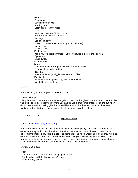Exercise class Facemasks Cucumbers on eyes relaxing music Learn about Healthy foods Yoga Makeover makeup (dollar store) Hand Paraffin Wax Treatment massage Candlelight dinner dress up clothes (Girls can bring mom's clothes) feather boas Fashion show Photo shoot Make faux fur picture frames (Put their pictures in before they go home if you can) Make jewelry Bead bracelets tiaras Sock hop at night Bring crazy socks or tie-dye socks Brownies love to do the Limbo disco ball Ice cream floats (squiggle straws) French fries Play twister Have a tea party (pinkies up) read their tealeaves blindfold taste test food

 $-*-*-*-*$ 

From: Monice, marmour@FF.LAKEHEADU.CA

We did glitter gel.

It is quite easy. Just mix some aloe vera gel with the ultra fine glitter. Make sure you use the ultra fine stuff. The place I got the info from also said to add a small drop of food colouring but when I did this we ended up having girls that looked like Smurfs, like they had jaundice, they were Martians or they had used lots of rouge. In other words - skip the colour.

 $*_{\sim}*_{\sim}*_{\sim}*_{\sim}*_{\sim}*_{\sim}*_{\sim}*$ 

### **Mystery Camp**

# From: Connie (coco.gd@home.com)

Here is our schedule for our mystery camp last year. The mystery game was like a detective game were they had to decipher clues. The clues were written out in different codes, Braille, different languages, in invisible ink, etc. The game took the whole weekend to complete. We also gave each patrol a Detective Kit which consisted of badges, invisible ink (lemon juice), code wheels, compasses, magnifying glasses, paper, pens, finger print ink and paper, suspect sheets. They used these kits through out the weekend on the mystery game.

### Mystery Camp 2001

Friday

7:30pm Arrival and put personal belongings in quarters Divide girls in to Detective Agency Groups Hand in Baby photos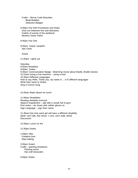Crafts – Morse Code Bracelets Bead Buddies Detective Badges

8:30pm Fire Drill Procedures and Rules Give out Detective Kits and directions Outline of events of the weekend. Mystery Game Starts

8:45pm Fire Drill

9:00pm Indoor campfire Spy Clues

**Snack** 

11:00pm Lights out

**Saturday** 8:00am Breakfast 9:00am Duties 9:30am Communication Badge –Watching movie about Braille, Braille Games 10:15am Using a Fax machine – using e-mail 10:30am Different Languages How to say Hello, Thank you, my name is ... in 8 different languages Write their name in Arabic Sing a French song

10:45am Make desert for lunch

11:00am Disabilities Reading disability exercise Speech impediment – talk with a mouth full of gum Fine motor – tie shoes with rubber gloves on Sign Language – sign their name

11:30am free time each girl will have a different disability (deaf, can't talk, fine motor, 1 arm, can't walk, blind) **Discussion** 

12:00pm Lunch on fire

12:30pm Duties

1:00pm Hike Footprint hunt Map making

3:00pm Snack Crafts – painting shoelaces Painting socks Hat craft binoculars

5:00pm Duties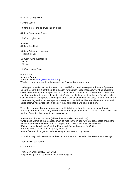5:30pm Mystery Dinner

6:30pm Duties

7:00pm Free Time and working on clues

8:00pm Campfire & Snack

10:00pm Lights out

Sunday 8:00am Breakfast

9:00am Duties and pack up Finish up clues

10:00am Give out Badges Prizes **Closing** 

11:00am Home Time

 $\sim^*$ ~ $*$ ~ $*$ ~~ $*$ **Mystery Camp**

From: S. Bird (slbird@SUNWAVE.NET) We did a camp on a mystery theme with our Guides 3 or 4 years ago.

I kidnapped a stuffed animal from each tent, and left a coded message for them the figure out. Once they solved it, it sent them to a location for another coded message, they had several to solve, and then they ended up where the stuffies were. It took them all weekend- so whenever they had free time they were doing it. I didn't give any hints, except for the very first clue, which was written with semaphore pictures (like on the old Guide semaphore card). Another leader and I were sending each other semaphore messages in the field. Guides would come up to us and notice that we had a 'translation' sheet- if they asked for it- we gave it to them!

They also had one that was morse code, but I didn't give them the morse code craft until Saturday afternoon, and if they were ready for it, they just had to wait... Some of this is WAY too hard for Brownies, but some things would work-

\*numbers=alphabet 1=A 26=Z (with Guides I'd make 26=A and 1=Z) \*writing backwards so the message must be read in the mirror (with Guides, doodle around the message and colour some of it in- still legible in the mirror, but way less obvious) \*Picture codes (lion=L, cat=C etc) or Morse code/semaphore pics for Guides \*tracking stories- using stones, grass, sticks etc \*camouflage outdoor game- perhaps using animal toys, or night eyes

With mine they had a verse about the clue, and then the clue led to the next coded message.

I don't think I still have it.

 $*_{-}*_{-}*_{-}*_{-}*_{-}*_{-}*$ 

From: Bev, walkling@EBTECH.NET Subject: Re: [GUI/SCO] mystery week-end (long) pt.1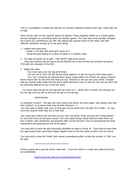This is a compilation of ideas we used for our mystery weekend several years ago. Hope they are of help.

Here are the rules for the "gotcha" game we played. It was originally written as a murder game, but we changed it to converting spies into double agents. The rules were only partially changed, but it gives you something to go with. We played this several times on the week- end with different variations coming up as we went along.

### 1. Leader does prep work

- create a "toe tag" with each girl's name on it
- list all the girls names on a piece of paper in a random order
- 2. Toe tags are given out to girls. They MUST keep them secret.

 Each girl receives the toe tag of the girl ABOVE her in the list (first girl receives last girl's). (The girls are unaware of the list.)

## 3. 'Splain the rules:

- You must carry your toe tag at all times.

- You are out to "turn" the girl whose name appears on the toe tag you have been given.

 - You "turn" someone by catching them alone, being within 2m of them an saying "Gotcha". Alone means that no one else can hear you say "Gotcha" or see you turn your victim. Explain that you should really make sure the girl is alone because if you try and turn her and you fail it will be extremely difficult for you to find her alone.

- You must show the girl the toe tag with her name on it. When she is turned, she will give you her toe tag, and you will try and turn the girl on her toe tag.

# VARIATIONS:

It's hilarious to watch. The girls will never want to be alone, but then again, they always fear that their "partner" in un-alone-ness may be their nemesis! :-)

You may wish to define safe zone so that girls can be alone and "not play" for a while -- IE: you can't turn anyone while they are in their tent.

You could also enforce the rule that you are only "not alone" when you are with "living people" --IE: Girls that have not yet been turned. This rule makes things rather hilarious when there are four or fewer girls remaining, and prevents little "escort services" from accompanying the living everywhere and delaying the end of the game.

You may wish to have the girls physically identified as dead or living. IE: They have to wear their toe tags around their necks (but maybe stapled shut so that the name on them can't be seen).

You may wish to post the "killed" girls names somewhere public so that the number of "kills" can be seen.

#### \*\*\*\*\*\*\*\*\*\*\*\*\*\*\*\*\*\*\*\*\*\*\*\*\*\*\*\*\*\*\*\*\*\*\*\*\*\*\*

Found a great site to get the morse code from. It has the Code in a really nice table that prints out wonderfully.

http://cs.dprcssb.edu.on.ca./ve3mis/morse.htm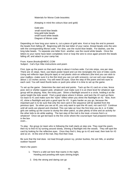Materials for Morse Code bracelets:

(Keeping in mind the colours blue and gold)

 Gold wire small round blue beads long gold tube beads small round white beads Diagram of Morse code

Depending on how long your name is, cut a piece of gold wire. Knot or loop the end to prevent the beads from falling off. Beginning with the last letter of your name, thread beads onto the wire with the corresponding Morse code. For dots, use the round blue beads. For dashes, use the long tube beads. To separate one letter from another, use the round white beads. Once the letters to your name have been completed, knot or loop the wire to once again prevent the beads falling off, and attach to your camp hat.

From: Karen.Brooks@HBOC.COM Subject: Cat's Eye Hike instructions and poem

First, type up the poem so that each step is about 4 inches wide. Cut into strips, one per step. There are 15 steps. Next, use black poster board and cut into rectangles the size of index cards. Using red reflector tape (bicycle tape) or red plastic stick-on reflectors (the kind you can stick to your mailbox--make sure it is the thin kind you can cut with scissors), cut out cat's eye shapes about 1 1/2 inches across. You will need 30 eyes. Glue the step of the poem and two eyes to each card. You will need thumb tacks or push pins when it is time to set up the game.

To set up the game: Determine the start and end points. Tack up the #1 card on a tree, fence post, tent or shelter support pole, whatever! Just make sure it is at chest level for whatever age group will be playing. Now, the tricky part. Shine a flashlight around in a circle, holding it at the same height the kids would. Find a good place where it shines, and tack the #2 card up there. Go back to #1 and make sure the "eyes" reflect when you shine the flashlight on #2. Now, from #2, shine a flashlight and pick a good spot for #3. It gets harder as you go, because the important part is to be sure that only the next card in the sequence will be spotted from the previous spot. So when you are at #5, you only want to spot the #6 card, not card #12! Continue until all cards are placed and checked. This can take an hour the first time you do it, or if older girls are setting up the course to stump the other patrol, so plan plenty of time and an activity for the other kids to do while waiting. The last step of the trail is the treat--s'mores fixin's or whatever! Once we got led back to the fire circle where the course-layer had prepared brownies in the box

oven...

To play: the group (or team who is following the trail) starts at step one. They read the poem, then try to find #2 by turning around slowly, shining a flashlight into the woods. They will spot the card by looking for the reflective eyes. Once they find it, they go to #2 and read, then look for #3 and so on. At the end of the trail, they find their treat.

Be sure that the trail does not lead through poison ivy, pricker bushes, fire ant hills, or another outdoor hazard!

Here's the poem:

- 1. There's a wild cat here that roams in the night, Howling and prowling with eyes shining bright.
	- 2. Only the strong and daring can go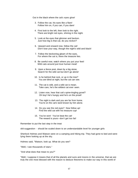Out in the black where the cat's eyes glow!

- 3. Follow the cat, his eyes like a flare! Follow him on, if you can, if you dare!
- 4. First look to the left, then look to the right. There are bright red eyes, shining in the night.
- 5. Look at the eyes that glimmer and beckon. Just how big is that cat, do you reckon?
- 6. Upward and onward now, follow the cat! Don't lose your way, though the night's wild and black!
- 7. Follow the beckoning gleam of the eyes, For where the cat is, there the treasure lies.
- 8. Be careful now, watch where you put your feet! Wild cats around just love human meat!
- 9. Upon a fence post, down by a big stone, Search for the wild cat but don't go alone!
- 10. Is he behind that rock, or up in the tree? You are blind at night, but the cat can see.
- 11. The cat is wild, and a wild cat is mean. Take care, he's the wildest cat ever seen.
- 12. Listen now, hear that cat's spine-tingling growl? Oh boy! He's hungry and he's on the prowl!
- 13. The night is dark and you are far from home. You're on the cat's land known by him alone.
- 14. Do you see the red eyes? Now follow up! Find the wild cat with his treasure cup!
- 15. You've won! You've beat the cat! The reward is yours--don't get too fat!

Remember to put the last step in the treat

skit suggestion - should be scaled down to an understandable level for younger girls

Sherlock Holmes and Watson were on a camping and hiking trip. They had gone to bed and were lying there looking up at the sky.

Holmes said, "Watson, look up. What do you see?

"Well, I see thousands of stars."

"And what does that mean to you?"

"Well, I suppose it means that of all the planets and suns and moons in the universe, that we are truly the one most blessed with the reason to deduce theorems to make our way in this world of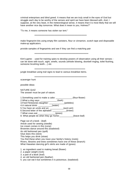criminal enterprises and blind greed. It means that we are truly small in the eyes of God but struggle each day to be worthy of the senses and spirit we have been blessed with. And, I suppose, at the very least, in the meteorological sense, it means that it is most likely that we will have another nice day tomorrow. What does it mean to you, Holmes?"

"To me, it means someone has stolen our tent."

\*\*\*\*\*\*\*\*\*\*\*\*\*\*\*\*\*\*\*\*\*\*\*\*\*\*\*\*\*\*\*\*\*\*\*\*\*\*\*\*\*\*\*\*\*\*\*\*\*\*\*\*\*\*\*\*\*\*\*\*

make fingerprint kits using empty film canisters, flour or cinnamon, scotch tape and disposable make-up applicators.

provide samples of fingerprints and see if they can find a matching pair

\*\*\*\*\*\*\*\*\*\*\*\*\*\*\*\*\*\*\*\*\*\*\*\*\*\*\*\*\*\*\*\*\*\*\*\*\*\*\*\*\*\*\*\*\*\*\*\*\*\*\*\*\*\*\*\*\*\*\*\*\*\*

Kim's game - used for training spies to develop powers of observation using all their senses can be done with touch, sight, smells, sounds (whistle blowing, doorbell ringing, toilet flushing, someone brushing teeth....) etc

\*\*\*\*\*\*\*\*\*\*\*\*\*\*\*\*\*\*\*\*\*\*\*\*\*\*\*\*\*\*\*\*\*\*\*\*\*\*\*\*\*\*\*\*\*\*\*\*\*\*\*\*\*\*\*\*\*\*

jungle breakfast using trail signs to lead to various breakfast items.

\*\*\*\*\*\*\*\*\*\*\*\*\*\*\*\*\*\*\*\*\*\*\*\*\*\*\*\*\*\*\*\*\*\*\*\*\*\*\*\*\*\*\*\*\*\*\*\*\*\*\*\*\*\*\*\*\*\*\*\*

scavenger hunt

possible ideas

NATURE QUIZ The answer must be part of nature.

1.Something used to make a cake: \_\_\_\_\_\_\_\_\_\_\_\_\_.(flour-flower)

2.What a dog says: \_\_\_\_\_\_\_\_\_\_\_\_\_.(bark)

3.Fred Flintstones daughter: \_\_\_\_\_\_\_\_\_\_\_\_(pebbles)

4.A natural drink: \_\_\_\_\_\_\_\_\_\_\_(water)

5.You have an uncle and an: \_\_\_\_\_\_\_\_\_\_\_(aunt-ant)

6.Second letter of the alphabet: \_\_\_\_\_\_\_\_\_\_\_(b-bee)

7. What cows eat: (grass)

8. What people do when they go home:\_\_\_\_\_\_\_\_\_\_\_(leave-leaf)

Page out of a book - (leaf) Article used for sewing (needle) Ice cream comes in this (cone) Brownies dance around this (toadstool) An old fashioned pen (quill) Glue does this (stick) This helps you drink (straw) You find these when you trace your family's history (roots) Rivers, libraries and trees sometimes have one of these (branch) What Hawaiian dancing girl's skirts are made of (grass)

1. an ingredient used in making bread (flower)

2. a paper weight (rock)

3. a part of a book (leaf)

4. an old fashioned pen (feather)

5. you can eat it but sometimes it is poisonous. (toadstool)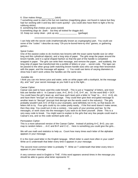6. Glue makes things (stick) 7.something used to start a fire but not matches (magnifying glass -not found in nature but they had fun working with it and boy did it work quickly! - you could also have them to light a fire by rubbung sticks) 8. something that chokes your grass (weed)

9.something dogs do (bark - but they all looked for doggie do!)

10. Keep our camp clean - pick up any \_\_\_\_\_\_\_\_\_\_\_\_\_\_ (garbage)

\*\*\*\*\*\*\*\*\*\*\*\*\*\*\*\*\*\*\*\*\*\*\*\*\*\*\*\*\*\*\*\*\*\*\*\*\*\*\*\*\*\*\*\*\*\*\*\*\*\*\*\*\*\*\*\*\*\*\*\*\*\*\*\*\*\*\*\*\*\*\*

I can help with the secret code (mathematically known as cryptography) part. You could use some of the "codes" I describe as easy "Oh-you're-bored-here-try-this" games, or gathering games...

# Spiral Codes:

One of the easiest codes to do involves two brooms with the exact same handle size (or other long and thin cylindrical objects), and a long strip of paper. The girls wrap the paper around the broom handle, and in a spiral shaped fashion so that the part of the handle is completed wrapped in paper. The girls can write their message, and remove the paper... and suddenly, the long strip of paper has transformed into a jumble of letters or your ... secret code. The tape can be passed to the other group (with matching broom handle size) who can wrap their broomstick with the paper, and the message will appear. :-) You could use items of varying diameters to show how it won't work unless the handles are the same size.

# Invisible Ink:

I think you can mix lemon juice and water, write on white paper with a toothpick, let the message dry, and "see" your secret message as you hold it up to the light...

# Caesar Cipher:

Caesar was said to have used this code himself... This is just a "mapping" of letters, and most kids are familiar with it. In Caesar's case,  $A=C$ ,  $B=D$ ,  $C=E$ ,  $D=F$ , etc. So the word  $BAD = DCF$ . You could have the girl's team up, and have each team pick a letter to "map" to... A=J, A=Q, etc. and have them "encrypt" an short message. They could then give their encrypted message to another team to "decrypt" (encrypt And decrypt are the words used in the industry). The girls probably wouldn't pick A=C (if that is your example), (and definitely not A=A), so that leaves 24 letters left to try. Four girls could try six codes pretty easily... if the first word doesn't make sense, then they stop. You could turn it into a contest... Use parts of your promise and law for the messages, or work clues into the messages if you want to do them yourself. (Note: This is a very easy code to break. You might want to explain to the girls that very few people could read in Caesar's era, and so this code worked quite well...)

# Permutation Cipher:

---

This is a more advanced version of the Caesar Cipher. Instead of picking A=C, B=D, you can map to random letters ... A=C and B=F and C=Z... Here is something you could give the girls...

We will use math and statistics to help us. Count how many times each letter of the alphabet appears in your message.

E is the most used letter in the English languge. Which letter is used most often in your code? Write an E underneath that letter every time it appears in your message.

The second most common letter is probably 'T'. Write an T underneath that letter every time it appears in your message.

A very common word in English is 'THE'. If this word appears several times in the message you should be able to guess what letter represents 'H'.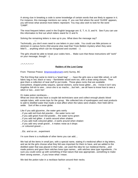A strong clue in breaking a code is some knowledge of certain words that are likely to appear in it. For instance, this message mentions our camp. If you can find where the word 'GUIDE' appears, you will know what several more letters represent. You may also wish to look for the word 'CAMP'.

The most frequent letters used in the English language are: E, T, A, O, and N. See if you can use this information to find out which letters stand for O and N.

Solving the remaining letters is now up to you. What does the message say?

 --- Technically, you don't even need to use letters in your code.. You could use little pictures or stickmen in various forms (Did anyone else read that Trixie Beldon mystery when they were little?) ... anything which can be recognized and counted. :-)

The girls should be able to break your codes here... Make sure that these instructions will "work" on your message, though! :-)

 $-*+*+*+*+*$ 

## **Raiders of the Lost Camp**

From: Therese Preece (tmpreece@smartt.com) Surrey, BC

The first thing that came to mind is a "jewel bag" - - - have the girls sew a neat little velvet, or soft fabric bag in red, black or navy – flannelette would work too, with a draw string closure. Then give them a collection of neat stuff to put inside. Those glass rocks that are available everywhere, shaped pretty sequins, special stickers, some loose glitter....etc. I know it isn't very Angelina Joli-ish to sew....since she is so macho.....but heh....we all have to know how to sew a stitch or two....even her!

Or make potion necklaces....

What we once did was have a couple lab technicians save and collect enough plastic blood sample tubes, with screw tops for the group. We collected lots of eyedroppers and neat products to add to distilled water that made a neat affect when the tubes were shaken, then held still to settle. Sort of like a snow globe.

Like if you add glycerine...the water gets swirly

- ...if you add red Kool-Aid powder... the water turns red
- ...if you add green Kool-Aid powder... the water turns green
- ...if you add red glitter...it swirls around when shaken
- ...if you add multi coloured glitter...it swirls around when shaken
- ...if you add very small gravel... it makes noise as it drops
- ...or coloured gravel.....

...Etc. and so on…experiment

I'm sure there is a multitude of other items you can add....

We had all the items in small jars, with a special name, stating it's medicinal affect in big letters, and we let the girls choose what they felt was important for them to have, and we added to the distilled water that was placed in their tube...we used this idea for our medieval theme....and made potions and gave them witches brew type names....with witches stew type ingredients...I'm sure you could come up with something of that nature that was appropriate...something to make them strong women....if you know what I mean.

We tied the potion tube in a necklace fashion around their necks.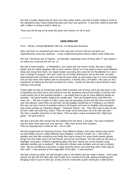We had a Guider dispensing the items into their potion tubes, and had a Guider writing a scroll of the ingredients they chose explaining what each item was good for. It was then rolled up and tied with a ribbon or string to hold it rolled up.

That's just off the top of my head this early morn before I'm off to work.

 $2^{*}2^{*}2^{*}2^{*}2^{*}2^{*}$ 

#### **Camp Stake-Out**

From: Shirley <shirleym@NBNET.NB.CA), 1st Newcastle Brownies

Well, now that I've showered and had a nice long nap I'd love to tell you all about our Spark/Brownie camp this weekend – it was a detective/mystery theme called Camp Stake-Out.

We had 7 Brownies and 15 Sparks – all adorable, especially some of those little 1<sup>st</sup> year Sparks – so sweet you could just eat 'em up :o)

We had 6 Patrol leaders – 4 Pathfinders, one Guide and one former Guide. We had a Spark leader and her Spark daughter with us from another district so it was great to learn some different ideas and songs from them. Our Spark leader was doing this camp for her Residential CLC and I was in charge of program. She and I went out on Friday afternoon to set up the tents, we were quite pleased with ourselves when we had all seven tents up and ready to go in 2 hours including one we had never seen before with no instructions, 4 domes and 2 A-Frames. This was our first experience at setting up the tents ourselves for camp – luckily we had had a great division camp training in the spring.

Friday night we had an introduction game while everyone was arriving, each girl was given a list of questions and they had to ask everyone else the questions and put the initials of anyone who could answer yes to the question beside it – we asked them to get as many different people as possible – the patrol leaders helped the smaller girls. Then we assigned tents, told them the rules, etc.... We did a couple of crafts, every year we get plastic boxes with lids from a local fish and chip takeout, clean them up and then we decoupage something on it relating to our theme, this year we had a bunch of question marks in all shapes and sizes on brightly coloured paper and names printed up "Detective Megan", "Detective Allison", etc. They then have a place to put all their crafts and stuff they collect. Then we made some binoculars out of tp rolls and yarn. We had a campfire (real fire) on the beach. Then we had a snack and played the "Night Eye" game – the girls loved it!

We had a few kids who moved into the building from the tents, 5 actually. Two were homesick and the other three were just a bit nervous. They were all first time campers. Then on Saturday this is what we did  $-$  not in order

We did assignments for Detective School "Find different shapes, find some clothes peg worms we had hidden around, collect different items (feather, 3 pieces of trash, etc..), find rocks or pebbles that look like something and finally they had to search for some stolen jewels (plastic things from the dollar store) we had thrown around the churchyard. The hat crafts we did were a flashlight, binoculars, funfoam magnifying glass with their names put on the handles using alphabet noodles and a sandwich. We also did a Morse code necklace and we had a mystery craft. We put all different craft items in bags and they had to use what they had in their bag for their craft – I was amazed at the imagination of the girls – it was fantastic!

We had a dress-up relay, we had brought a pile of old clothes and we made 4 teams – each team picked one girl and the other girls had to take turns running to the pile, getting something and bringing it back to put on their girl, at they end the 4 dressed up girls would give a little fashion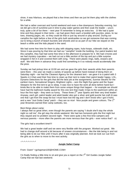show, it was hilarious, we played that a few times and then we just let them play with the clothes for a while.

We had a rather overcast and humid weekend and even a few downpours Saturday evening, but we did get a bit of sunshine just in time to play water games and then soak the leader – yours truly, quite a bit of fun there – next year I'll remember to bring an extra bra :D We had a quiet time and they played in their tents – we had given them each a booklet with puzzles, jokes, tic tac toes, drawing pages, etc. so they could do that or just lay around or play around. During our campfire the night before a few of the girls built sandcastles so we got someone that was coming out to bring a bunch of beach buckets and shovels and so as part of our hike we stayed on the beach a while and the kids played in the sand.

We had some free time for them to play with skipping ropes, hula-hoops, sidewalk chalk, etc. Since it was pouring by that time we had our "campfire" inside the building. Our patrol leaders led this campfire, they had had some free time in the afternoon to prepare for it. We had s'mores and we had mystery cupcakes – we had cut out a little section of the top and put a little surprise wrapped in foil in it and covered them with icing. There were plastic rings, balls, erasers and stuff. We told them in advance they could find something in it so nobody would accidentally bite the prize.

Sunday we had pickup time at 10:00 am and we gave the girls their awards while their parents were there – this year we made a variety of awards up before hand instead of doing them on Saturday night – we had the Cleanest Agency for the cleanest tent – we gave it to a patrol with 3 Sparks in it that used their free time to clean up their tent to make their patrol leader happy, LOL, Dynamo Detectives for the girls that did the best job at the assignments, Sunrise Sleuths for the earliest risers, Sensational Singers, Brightest Lights – won the Night Eye game and the Super Sleepers for the first tent to go to sleep. It was nice to have the work all done before hand but I kinda like to be able to make them from some unique things that happen – for example we should have had the bathroom buddy award for this one tent that made 3 trips to the washroom within an hour the first night – they were so funny. These three 2<sup>nd</sup> year Sparks and their very tired leader! Anyway, each girl, patrol leader and adult leader also got a silver and gold puzzle hat craft (it was one that I got from the swap list but I must have lost the tag and I don't know who I got it from) and a new "Just Gotta Camp" patch – they are so nice! Nice purple and green colours. The  $1^{st}$ year Brownies earned their camp outlooks, too.

#### Best things about camp:

I always feel so great when, even though the parents are saying "I doubt she'll stay the whole night so call me", the girl stay the whole weekend. We had two homesick girls the first night but they stayed and no problem second night. There were quite a few first time campers and nervous parents – more often the parents are more nervous than the girls – ever notice that? :o)

The girls had a excellent time!!!!

We had a great leader staff and we were very flexible with the program. Worked out great. We had to change stuff around a bit because of unseen circumstances – like the tide being in and not being able to do our hike until 4 hours after it was originally planned. And we took our cue from the girls as to when to move to the next activity.

 $x^*x^*x^*x^*x^*x^*$ 

# **Jungle Safari Camp**

# From: Gwen" <gchapman100@HOME.COM>

I'm finally finding a little time to sit and give you a report on the  $7<sup>th</sup>$  Girl Guides Jungle Safari Camp that we had last weekend.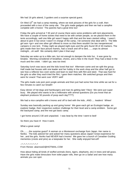We had 16 girls attend, 3 guiders and a surprise special guest.

On Wed 13<sup>th</sup> we had a camp meeting, where we took pictures of the girls for a craft, then proceeded with a tour of the camp site. The girls made gadgets and then we had a campfire complete with s'mores! The parents had a great time too!

Friday the girls arrived at 7:30 and of course there were some problems with tent placements. We have a couple of home sickies that need to be with certain people, so we placed them in the tents accordingly, well one little girl wasn't happy with that and the tears started rolling. I wasn't about to give in but since I wasn't in charge of the camp, I let someone else deal with it. The little girl won <grr> and one other girl offered to move so that there wouldn't be two inexperienced campers in one tent. Friday night we played night eyes and the girls found 39 of 40 markers. The girls made their lion face picture frames, had a snack and off to bed........oops its almost midnight....oh well! We certainly didn't plan it that way!

Saturday we woke up to a little rain, but not enough to dampen the kids fun. It was gone by breakie. Morning considered of breakfast, chores, and a hike in the muck! They had a blast in the muck and the creek. I didn't go, was too tired.

Saturday lunch was tacos and the kids loved that too! Afternoon came and we split the group. Half made bat houses with one leader and her hubby in the work shop and the other half got to see how a reflector box oven works and learn to start fires with flint and steel. That was hard for the girls so after they each tried the flint, I gave them matches. We switched groups and then went for snack! That went over VERY well!

The girls made cute pom pom jungle animals and then just had some free time while we sat for a few minutes to catch our breath!

Easy dinner of hot dogs and hamburgers and man its getting late! Yikes! We were just super busy. We played who wants to be a millionaire with animal questions (Do you know that an elephant produces 50 pounds of poop each day????)

We had a nice campfire with s'mores and off to bed with the kids...AND..... leaders! Whew!

Sunday was basically packing up and going home! We gave each girl an Ecologist badge, an explorer badge, their respective outdoor challenge for their level and a camp emblem. Some got the backyard camp, and the rest got basic camp.

I got home around 2:30 and unpacked. I was beat by the time I went to bed!

So there you have it! How it went.

What a great camp!

Oh.........the surprise guest? A woman on a Montessori exchange from Japan. Her name is Noriko. The kids adored her and asked her many questions about Japan! Great experience for her...and the girls. Noriko had NEVER had s'mores! We gave her a bunch of Canadian Guiding mementos (crests and pins) as a keepsake for her. She really enjoyed hers elf!

### $2^{*}2^{*}2^{*}2^{*}2^{*}2^{*}2^{*}2^{*}2^{*}$

From Renee: abarnowl2@HOTMAIL.COM

How about hiding all kinds of stuffed animals (lions, tigers, elephants, etc) in trees and tall grass. Have the girls make binoculars from toilet paper rolls, then go on a Safari and see how many animals you can spot.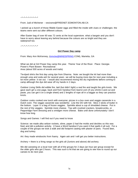$2^{*}2^{*}2^{*}2^{*}2^{*}2^{*}2^{*}2^{*}2^{*}$ 

From: Judi of Michener - vesixwrw@FREENET.EDMONTON.AB.CA

I picked up a bunch of those fillable Easter eggs and filled the inside with clues or challenges- the teams were sent out after different colours.

After Easter bag of over 60 was 72 cents at the local superstore. what a bargain and you don't have to worry about leaving any behind because the colours are so bright and they are waterproof too.

 $2^{*}2^{*}2^{*}2^{*}2^{*}2^{*}2^{*}2^{*}2^{*}$ 

#### **Girl Power Day camp**

From: Mary Ann McKenney, (mmcke@MINDSPRING.COM), Marietta, GA

What we did at Girl Power Day camp this year. Theme Year of the River. Place: Georgia Power's Plant Bowen Recreational Area (about 500 acres of woods and trails)

Tie-dyed shirts the first day using dye from Dharma. Note: we bought the kit had more than enough urea and soda ash for several years we will be buying more dye for next year including a lot more yellow it ran out. I would also recommend mixing the dry ingredients before coming to camp although the dye did wear off my hands in 2 days.

Outdoor Living Skills did edible fire, laid (but didn't light) a real fire and taught the girls knots. We gave each girl a one page, back and from handout from learn2.com (if you shrink it and cut and paste, you can get it on a single sheet) and 2 lengths of rope all in a baggie so they can practice knots.

Outdoor cooks cooked one lunch with everyone: pizzas in a box oven and veggie casserole in a Dutch oven. The veggie casserole was wonderful. Line the DO with foil. Slice 2 sticks of butter in the bottom. Layer ½ a bag of frozen veggies. Sprinkle about a cup of shredded cheese. Put in the rest of the veggies. Sprinkle more cheese. Top with crushed crackers, breadcrumbs, or Pepperidge Farm dressing and a smidgen more cheese. Bake until done unfortunately I don't know how long.

Songs and Games: I will find out if you need to know

Science: we made alka seltzer rockets, slime, paper (I had the molds and deckles so this was free) and did a pollution activity. (I have a Word handout if you want it that spells it all out). For a couple of the groups we took a walk and did footprint casting with plaster of paris. Found deer, dog and turkey.

Art: they made windsocks from foamy. Again ask and I will get you better instructions.

Archery = there is a firing range so the girls all (Juniors and above) did archery.

We did canoeing on a local river with all of the groups for 2 days (an hour per group except for the older girls who got 2 hours. This was such a hit that we are going to see how to round up our canoes to do next year.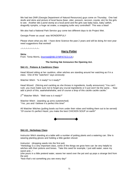We had two DNR (Georgia Department of Natural Resources) guys come on Thursday. One had skulls and skins and picture of local fauna (bear, otter, possum, raccoon, coyote, etc) for the girls to see. Another did a pond stomp at a local pond and the girls saw baby bass, baby catfish, dragonfly nymphs, a huge rat snake, a snapping turtle very controlled!! This was a blast!

We also had a National Park Service guy come two different days to do Project Wet.

Georgia Power as usual was WONDERFUL!!

Please share what you did. I have done Science the past 2 years and will be doing Art next year need suggestions that worked!

 $-*+*+*+*+*+*+$ 

# **Harry Potter**

**Skits:**

From: Tenia Morris, (morristd@NB.SYMPATICO.CA)

# **The Sorting Hat Announce the Opening Act.**

#### **Skit #1: Potions & Cauldrons Class**

Head Wizard sitting at her cauldron, other witches are standing around her watching as if in a class. One of the "watchers" says anxiously:

Watcher Witch: "Is it ready? Is it ready?"

Head Wizard: (Stirring and cackling as she throws in ingredients, loudly announces) "You can't rush, you must make sure not to forget any crucial ingredients or it just won't be the same… Now add a pinch of this, aaahahahahaha, and of course a drop of this cackle cackle cackle."

2<sup>nd</sup> Watcher Witch: "Well now is it ready?"

Watcher Witch: (standing up arms outstretched) "Yes, yes and I believe it is perfect this time!"

All Watcher Witches (pulling bowls out from under their robes and holding them out to be served) "Of course it's perfect Hazel, you make the best CHICKEN SOUP on earth!"



# **Skit #2: Herbology Class**

Instructor Witch standing at a table with a number of potting plants and a watering can. She is wearing planting gloves and holding a little garden shovel.

Instructor: (dropping seeds into the first pot)

"Herbology is a very important class, some of the things we grow here can be very helpful to witches with their potions and brews. Take this seed for example, I just add water, wave my wand and..."

(she pours in a little pretend water, waves her wand over the pot and up pops a strange bird from the pot)

"Now that's not something you see every day!"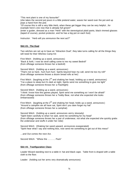"This next plant is one of my favourite!"

(she takes the second pot pours in a little pretend water, waves her wand over the pot and up pops a hand from the pot)

"Of course this is still a very little Herb, when these get bigger they can be very helpful…for example here's one now that is already full grown!"

(enter a guider, dressed as a man "Herb" with the stereotypical plaid pants, black rimmed glasses (taped of course), pocket protector, and he has a big pot on each foot)

Instructor: "Herb will you announce the next act?"

# **Skit #3: The Dual**

Two witches are set up to have an "Attraction Dual", they take turns calling for all the things they will need for their Witches Camp Kit:

First Witch: (holding up a wand, announces) "Back & forth, I now do stroll calling come to me my sweet Bedroll" (from offstage someone throws her a bedroll)

Second Witch: (holding up a wand, announces) "That's not so hard.. hum hum hum Spirits beyond hear my call, send me too my roll!" (from offstage someone throws a dozen bread rolls at her)

First Witch: (laughing at the  $2^{nd}$  and shaking her head, holding up a wand, announces) "I've a place to sleep but it's dark at night, Spirits send me something to give me light" (from offstage someone throws her a Flashlight)

Second Witch: (holding up a wand, announces) "I think I know how this games played, Spirit send me something so I won't be afraid!" (from offstage someone throws her a Teddy Bear, not what she expected she looks embarrassed)

First Witch: (laughing at the  $2^{nd}$  and shaking her head, holds up a wand, announces) "Around a campfire we all have sat, Spirit don't you dare forget my hat" (from offstage someone throws her a camphat)

Second Witch: (holding up a wand, announces verrry slooowly) "Spirit listen carefully to what I've said, send me something for my head" (from offstage someone throws her a pair of underwear, not what she expected she quickly grabs the underwear and stuffs it under her robe)

Second Witch: (Shaking her wand upward, announces exasperated) "Spirit hear what I say and nothing less, now send me something to get out of this mess!"

…and Out comes the next Act.

Second Witch: "Whew the ………. Pack"

#### **Skit #4: Tranfiguration Class**

Leader Wizard standing next to a table in hat and black cape. Table front is draped with a table cloth to the floor.

Leader: (holding out her arms very dramatically announces)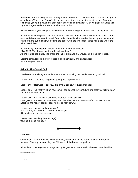"I will now perform a very difficult tranfiguration, in order to do this I will need all your help. (points at audience) When I say "begin" please spin three times and say the magic chant: Spin once, spin twice you're in a haze, but spin again and you'll be amazed" "Can we please practise this together?" (gets audience to try the chant and spin)

"Now I will need your complete concentration if the transfiguration is to work, all together now!"

As the audience begins to spin and chant the leaders turns her back to everyone, holds out her arms and drops her head forward, from under the table slips another leader, grabs the hat and puts her arms out to continue holding the cape while the first leader takes her place under the table. Work fast!

As the newly "transfigured" leader turns around she announces: "TA DA!!!! Thank you, thank you for all your help." As she leaves the stage, she grabs the table, cloth and all….revealing the hidden leader.

Looking embarrassed the first leader giggles nervously and announces: "Our next group will be……"

# **Skit #5: The Crystal Ball**

Two leaders are sitting at a table, one of them is moving her hands over a crystal ball:

Leader one: "Trust me, I'm getting quite good at predictions."

Leader two: "Hogwash, I tell you, this crystal ball stuff is just nonsense!"

Leader one: "Oh really? Then how come I can see fall in your future and that you will make an important announcement?"

Leader two: "fall? Fall is in everyone's future! This is just silly!" (She gets up and starts to walk away from the table, as she does a stuffed Owl with a note attached hits her, of course, causing her to "fall" down.)

Leader one: (quickly getting up says) "See…a fall, and look this Owl has a message." (Hands Leader two the message)

Leader two: (reading the message) "Our next group will be…"



#### **Last Skit:**

One Leader Wizard predicts, with much ado, how many "points" are in each of the House buckets. Thereby, announcing the "Winners" of the house competition.

All leaders come together on stage to sing HogWarts school song in whatever tune they like.

 $-*+*+*+*+$ 

 $\sim^*$ ~ $*$ ~~ $*$ ~ $*$ ~~ $*$ ~~ $*$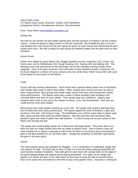Harry Potter Camp For Sparks (Day Camp), Brownies, Guides, and Pathfinders Quispamsis District, Kennebecasis Division, New Brunswick

From: Tenia Morris (morristd@nb.sympatico.ca)

### Sorting Hat

We took an old witches hat and added sparkle glue and felt symbols of Guiding in all the Guiding colours. Inside we placed a baby monitor so the hat could talk. We brought the girls in by Unit and divided them into houses by the hat saying the poem for each house and mentioning the girls names each time. We had a stamp for each house (ie slytherin snake) that the girls wore on their forehead.

#### House Points

Points were added for good deeds (10), Muggle Quiddich (score), Inspection (10), chores (10). Points were lost for Misbehavior (10), Rough Housing (10), Teasing (20) and fighting (50). The winning house was announced as the last leader skit on the Saturday evening variety show magically. Each of the girls received a hat craft token of their weekend (made in advance). On fun foam shaped in a ribbon (4 house colours) were the words Harry Potter Camp 2001 with each of the stamp for the house on the bottom.

#### **Crafts**

Group craft was memory pillowcases. Each house had a special stamp (same one on forehead) and metallic fabric paint to add to their pillow. Other stamps were moons and stars as well as other magical items. Most groups also made magic wands that were used during their variety show performances. The Sparks wand was a piece of black plumbers pipe insulation with coloured ribbon and stick on stars added. Then sparkly glue was rubbed on. Sparkly pipe cleaners were stuck in one end in the shapes of hearts, curls, and thunderbolts. Rice was put inside and the ends were sealed.

Most groups also made golden snitches as a hat craft. The sparks took practice golf balls (has lots of holes) that were spray painted gold. The sparks dipped the ends of feathers in glue and put them in the ball. Add string to hang. The Pathfinders use a drill to make holes in plastic gold balls, spray painted them gold and added feathers. We also tried this with Styrofoam balls painted in glue and rolled in glitter then add feathers. To add to camp hat we put a piece of fine flower wire through the ball.

The sparks also made bubble wands out of floral wire and large beads. They were able to try them out with our magic bubble juice that we made in potions class. Also in potions class we used invisible ink to stamp a message to take home for Mom to iron (lemon juice) and painted a glow in the dark butterfly for our hat (with water – bought the butterflys at Wal-Mart right beside the glow in the dark stars).

#### Games

The most popular game was Quiddich for Muggles. It is a combination of basketball, dodge ball and capture the flag. The best way to learn to play is to have two teams playing basketball (we used buckets instead of baskets). Now add girls for each team with sponge balls on the edge of the game playing dodge ball against those playing basketball. The object of the dodge ball players is to freeze the girls on the other team so they have to drop the ball (5 second freeze). Now at the same time somewhere in the field of play is the golden snitch. Everyone is looking for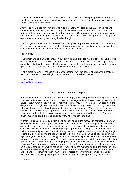it. If you find it, you must get it in your bucket. Those who are playing dodge ball try to freeze you if your not on their team so you have to drop the snitch and one on their team can pick it up. I expect that's as clear as mud.

Another game we had for everyone was hide the snitch. We took about 150 tennis balls and spray painted them with glow in the dark paint. The object was to find the balls in the dark and whichever team found the most would get house points. Unfortunately we got rained out in our second night so we didn't get to play this one at night. The sparks had a great time finding them one at a time in the tall grass during the day though.

The final game we had was a scavenger hunt set up with appropriate clues. Not appropriate for Sparks since the clues were too complex. If you are interested in this I can send it to you later since I did not create this and the information is coming to me.

#### Variety Show

Traditionally we hold a variety show on our last night and this year was no different. Each group did a 5 minute skit appropriate to the theme. Some did a chant/cheer, some made up a song, some did a skit from the books. The format was a little different this year with the leaders of each group doing a short skit at the end of their skit to introduce the next one.

In all a great weekend. We had one parent concerned with the aspect of witchery but that's not bad out of 100 girls. I would highly recommend this as a weekend theme.

#### Tenia Morris morristd@nb.sympatico.ca

 $\sim^*$   $\sim^*$   $\sim^*$   $\sim^*$   $\sim$ 

# **Harry Potter – A magic campfire**

A magic campfire as I have seen it done. You need glycerine and potassium permagnate powder. I've searched the web to find out what potassium permagnate is but haven't been successful. If anyone knows what it's really used for feel free to email me. All I know is you can get it from the drugstore and it is light sensitive so it doesn't last forever once you open it. The drugstore we got it from just gave us the whole bottle and it lasted quite a few camps. When it comes time for campfire you set the fire up as per normal. It has been done on both outdoor and indoor firesindoor one worked the best. You crumple up newspaper in and around the wood. (You may not really have to do this, but it was a help to know where to pour the 'sap')

Without the girls seeing, you sprinkle a Tablespoon or so of the potassium permagnate powder on the newspaper. Put  $\frac{1}{2}$  cup of glycerine in a cup or container. Gather the girls around the fire and tell the story-you can make up whatever, and I'm not sure if there is an official story but we were told this: We have been passed the magic sap from the Guiding tree. All the girls were invited to taste it-dipped their fingers in, if they wanted. Everybody think of good Guiding thoughts or sing a Guiding song and the sap will be poured on the fire. You can ad lib depending on the age of the girls. Once you pour the glycerine on to the newspaper with PPP you'll be able to hear crackling. You wait a couple seconds/minutes -it varied each time we did it. But we were all sitting around 'thinking Guiding thoughts' or singing and POOF the fire started. The last time we did it indoors at Camp Kana'da we had given up hope after a few agonizing minutes of it not working. So a Guider thought, oh well it's not going to work I'll get the matches and put the screen in front of the fire. Walked away from the fire-all the girls decided to get their blankets or whatnot so most had left and were returning when POOF the fire started and everyone cheered!! The Guider missed it while she was going to get the matches! I thought it was great. Very memorable.

 $-*+*+*+*+$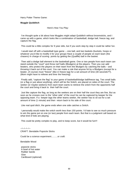Harry Potter Theme Game:

# **Muggle Quidditch**

Here's How You Play:

 I've thought quite a bit about how Muggles might adapt Quidditch without broomsticks, and I came up with a game, which looks like a combination of basketball, dodge ball, freeze tag, and capture the flag.

This could be a little complex for 9 year olds, but if you work step by step it could be rather fun.

 I would start off with a basketball type game – one ball, and two baskets (buckets, hoops or whatever you'd like to modify it for your group) Have a couple of people on each team (the chasers) in charge of scoring points by getting the (Quaffle) ball in the basket.

 Then add a dodge ball element to the basketball game. One or two people from each team can stand outside the "court" and throw nerf balls (Bludgers) at the players. Then you can add beaters, who protect the players on their team from the Bludgers by catching the balls – and throwing it back out of the court. You can make a rule that anyone hit by a Bludgers (except for a beater, of course) must "freeze" (like in freeze tag) for a set amount of time (30 seconds??). (Mom might have to referee and time the freezing)

 Finally add, "capture the flag" to your game of basketball/dodge ball/freeze tag. Two small balls (or a flag or just about anything), which will be the Snitch, are placed on sides of the court. The seeker (or maybe seekers) from each team wants to retrieve the snitch from the opponents half the court and bring it back to their half the court.

 Just like capture the flag, as long as the seekers are on their half the court they are fine, But as soon as he crosses over to the "other side" of the court he can be captured by keeper for the opposing team. If a keeper tags the other teams seeker, the seeker has to sit out for a set amount of time (1 minute) and then return back to his side of the court.

Like real quid ditch, the game ends when one side catches a Snitch.

 I personally would make the snitch worth less than 150 points. I'd hate to see so much pressure to win the game put on one (or two) people from each team. But that is a judgment call based on what kind of kids are playing.

This could be pretty complex to play, and to keep score, but it would be fun!!!

 $r^*$ \*~\*~\*~ CRAFT: Bendable Popsicle Sticks

Could be a science experiment..........or craft:

Bendable Wood

popsicle sticks A bowl of hot water Rubber bands **Glue** Cardboard (optional)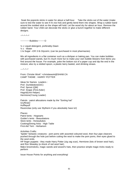Soak the popsicle sticks in water for about a half-hour. Take the sticks out of the water (make sure to test the water to see if it's too hot) and gently bend them into shapes. Wrap a rubber band around the molded stick so the shape will hold. Let the wood dry for about an hour. Remove the rubber band. Your child can decorate the sticks or glue a bunch together to make different designs.

 $-*-*-*-*$ 

~~~~~~~Bubbles~~~~~©

¼ c Liquid detergent, preferably-Dawn ½ c -Water 1 ts Sugar –OR 3 tb Glycerin; (can be purchased in most pharmacies)

Mix all ingredients in a flat container such as a dishpan or baking pan. You can make bubbles with purchased wands, but it's much more fun to make your own bubble blowers from items you find around the house. For example, poke the bottom out of a paper cup and dip the end in the mixture; also try a slotted spoon, a plastic berry basket, and drinking straws.

 $\sim\sim^*\sim^*\sim^*$ 

From: Christie Work" <christiework@SHAW.CA CAMP THEME : HARRY POTTER

Ideas for Names Leaders : Prof. Dumbledore(GIC) Prof. Sprout (QM) Prof. Snape (First-Aider) Hagrid(Unit Helper) Hermione(Young Leader)

Patrols : patrol allocations made by the "Sorting hat" Gryffindor **Hufflepuff** Ravenclaw (only use Slytherin if you absolutely have to!)

Places: Patrol tents - Hogwarts Guider's tents - Beauxbatons Store tents - Honeydukes Cooking/Dining Area - High Table First-Aid Tent - Herbarium

Activities Crafts:

'Spider' fantastic creatures - pom poms with assorted coloured wool, then four pipe cleaners pushed through the hole just before cutting the wool to make the pom poms, then eyes glued to the wool ends.

HP finger puppets - they made Harry Potter (zig zag scar), Hermione (lots of brown wool hair), and Ron Weasley (a shock of red wool hair).

Make broomsticks, magic wands and wizard's hats, then practice simple magic tricks ready to perform

Issue House Points for anything and everything!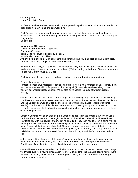Outdoor games: Harry Potter Wide Game :

Professor Dumbledore has been the victim of a powerful spell from a dark side wizard, and is in a deep sleep from which no one can wake him.

Each 'house' has to complete four tasks to gain items that will help them revive their beloved headmaster. To help them on their quest they have two galleons to spend in the Goblin's Shop in Diagon Alley. On offer are :

Magic wands (10 sickles), Nimbus 2000 broomsticks (1 galleon), Cauldrons (5 sickles), Bertie Botts All Flavoured beans (2 sickles), an invisibility cloak (10 sickles), And two books of spells (1 galleon each), one containing a body bind spell and a daylight spell, the other containing a leg-lock curse and a disarming charm.

Also on offer is a fairy, at 2 galleons. This is a rather nasty item as all it gave them was one of the leader's young children to take round with them! (Well according to the book of fantastic creatures Fairies really aren't much use at all!)

Each item or spell could only be used once and was removed from the group after use.

#### Four challenges were set:

Fantastic beasts have magical properties - find three different mini-fantastic beasts, identify them and the very names will confer power to the final spell. (A bug-collecting base - bug boxes, 'pooter', decent identification books. We insisted on releasing the bugs after identification activity)

Gather some unicorn hair, famous for it's life-giving properties (a 'my little pony'). A difficult thing to achieve - on site was an assault course so we used part of this as the path they had to follow and the Unicorn den was guarded by chess pieces (strategically placed leaders with water pistols!). The 'house' could decide to avoid the assault course by using the broomstick to fly over it, use the invisibility cloak to hide themselves from the chessmen, or put locking curses on them, or disarming charms.

Obtain a Common Welsh Dragon egg (a painted hens egg) from the dragon's lair. On arrival at the base the house were told that night had fallen, so they all had to be blindfold (could have countered this with the daylight charm.. but no-one did!). They then had to follow a string 'trail' to the dragon's lair - but encountered a troll (complete with stink bombs, ground crackers, and water bombs!) once all the team were blindfold. They had to work out how to get past the troll - the favourite was to bribe him with Jelly Beans! But again, flying over, body bind or leg lock curses or invisibility cloaks would have worked. Once past the troll, they found the 'lair' and obtained their egg.

At the leaky caldron they had a 'left handed' curse put on them, so they had to make a potion (lemonade, blue food colouring, and some chopped fruit) to help revive poor old Professor Dumbledore. To make things more difficult the recipe was written backwards....

Once all bases were completed (this took about an hour.. ), the houses reconvened to exchange the Dragon Egg for a reviving incantation for Prof Dumbledore.. the fantastic beasts names were added to the chant, the Unicorn hair and the potion given, and Prof Dumbledore re-emerged through a cloud of smoke.....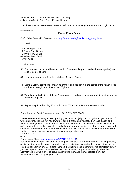Menu "Potions" - colour drinks with food colourings Jelly beans (Bertie Bott's Every Flavour Beans)

Don't have meals - have Feasts!! Make a performance of serving the meals at the "High Table"

 $-*+*+*+*+*$ 

# **Flower Power Camp**

Craft: Daisy Friendship Bracelet (from http://www.makingfriends.com/j\_daisy.htm)

You need:

--2' of String or Cord

--4 Green Pony Beads

--6 White Pony Beads

--1 Yellow Pony Bead

--White Glue

Instructions:

- 52. Coat ends of cord with white glue. Let dry. String 6 white pony beads (shown as yellow) and slide to center of cord.
- 53. Loop cord around and feed through bead 1 again. Tighten.
- 54. String 1 yellow pony bead (shown as orange) and position it in the center of the flower. Feed cord back through bead 4 as shown. Tighten.
- 55. Tie a knot on both sides of daisy. String a green bead on to each side and tie another knot to hold bead in place.
- 56. Repeat step four, knotting 2" from first knot. Trim to size. Bracelet ties on to wrist.

From: Arenburg Family" <arenburg.family@NS.SYMPATICO.CA

I would recommend using a stretchy string (maybe called "jelly cord" so girls can get it on and off without untying. You will not need two feet per girl. Make one yourself, then take it apart and measure what you used. Or start with two feet, make one and measure the excess. Remember girl's wrists will be smaller. We also used different green beads instead of pony beads. We had some that were oblong that gave a nice leave effect. We had all kinds of colours for the flowers so that no two turned out the same. It was a very popular craft.  $-* - * - * - * - * -$ 

# **60's**

From: Karen Cheng (chengchienhong@YAHOO.CO.UK)

You need strips of paper torn or cut into long thin triangles. Wrap them around a knitting needle, or similar starting at the broad end and keeping it quite tight. When finished, paint with clear or coloured nail varnish or glue, sliding them off the knitting needle before they're completely set. If you use paper from glossy magazines they can be quite pretty without painting. The other alternative is to wrap a layer of tissue paper round them and them decorate them, but I understand Sparks are quite young ?!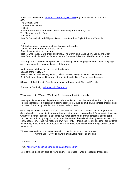From: Sue Hutchinson (dramatis-personae@SKL.NET) my memories of the decades: **60's** The Beatles, Elvis The Peace Movement **Hippies** Beach Blanket Bingo and the Beach Scenes (Gidget, Beach Boys etc.) The Mammas and the Papas

Woodstock

Best TV Shows included Gilligan's Island, Love American Style, I dream of Jeannie

# **70's**

Pet Rocks , Mood rings and anything that was velvet ruled Dances included the bump and the hustle Disco divas boogied the night away Best TV was Happy Days, Mork and Mindy, The Donny and Marie Show, Sonny and Cher Best Cartoons included Kroft Supershow, the Bananna Splits, and The Electric Company

**80's** Age of the personal computer. But also the age when we programmed in Hypo language and supercomputers took up the size of the room.

Madonna and Michael Jackson ruled the decade Decade of the Valley Girl Best shows included Fantasy Island, Dallas, Dynasty, Magnum PI and the A-Team Best Cartoons – hmmm. None really from this decade. Bugs Bunny ruled the screen

**90's** Age of the Internet. People laughed when I mentioned Atari and Pac Man

From Anita Gerlinsky anitagerlinsky@shaw.ca

We've done both 50's and 60's (hippie). Here are a few things we did:

 **50's** - poodle skirts, 45's played on an old turntable-can't beat the old rock and roll! (bought a cutout decoration of a jukebox at a party supply store), bubblegum blowing contest, twist contest, ice cream floats, pony tails tied with scarves, roller skates.

**60's** - My favourite! Tie dyed T-shirts or headbands, macramé chokers, flowers in your hair, daisy chain bead bracelets, jean pocket purses with fringes decorated with fabric paints, jewels or whatever, incense, candles, black lights (we made giant words from fluorescent poster board such as peace, love, groovy, far out etc.-put them up on the walls - looked great under the black light), beads - any kinds (we made our own from FIMO – then used for our chokers), bell bottoms, peace rally, make love not war posters, civil right movement (Martin Luther King) and of course hippie music.

**70's** we haven't done, but I would zoom in on the disco craze - dance music, mirror balls, ????? I'd have to think a little harder on this one!

# $\sim$ \* $\sim$ \* $\sim$ \* $\sim$ \* $\sim$ \* $\sim$ \* $\sim$

From: http://www.geocities.com/guide\_camp/themes.html

Most of these ideas can also be found on my Holderness Rangers Resource Pages site.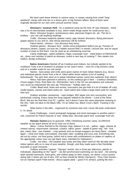We have used these themes in various ways, in camps varying from small "longweekend" camps with only ten or a dozen girls, to big Division affairs. Most of them were originally devised for our own unit's annual summer camp.

 **Dinosaurs / Jurassic Park** - for a weekend camp (at the time JP was released – there was a lot of merchandise available to buy, which made things easier for small prizes etc.)

 Menu: Dinosaur burgers, brontosaurus stew, pterosaur fingers etc. etc. The list is endless – you can call anything anything!

 Crafts : Dinosaur footprints (plaster casts), pipe-cleaner dinosaurs, flying pterosaurs (paper planes to you and I!). See whose pterosaur will fly furthest.

Patrol names : obvious – any dinosaur they fancy.

 Outdoor games : dinosaur hunt : needs some preparation before you go. Pictures of dinosaurs (drawn, copied, cut-outs etc.) hidden around field / in woods / around site, and an equal number of clues to find them. Can be used as an orienteering exercise.

 Camp challenges : patrol emblems / flags; scavenger hunt – initial letters of DINOSAUR etc.; dress one member of patrol as dinosaur; invent a new way of cooking T. Rex steaks (not really!); design-a-dinosaur.

 **Native Americans** (Started off as Cowboys-and-Indians, but nobody wanted to be cowboys!) Took a lot of research to prepare so we used it twice – once for a big Division camp and on a smaller scale for our unit camp!

 Names : Sub-camps and Units were given names of main Indian Nations (e.g. Sioux) and individual patrols chose from a list of tribes within those nations (a lot of reading beforehand!). The girls then went on to adopt individual names, some less authentic than others!

 Menu: had been planned in advance, so the cowboys got in here – Cowboy's Breakfast, Chuck-wagon Chow, Root Beer etc. (Remember, here in the UK our perceptions are coloured very much by Hollywood!) We also ate "Pemmican," "buffalo stew" etc.

 Crafts: Bead work; bows and arrows, moccasins (we got hold of a lot of leather off cuts), model tepees, canoes and totem poles etc.. Each patrol also made a large totem pole for outside their tent.

 Outdoor activities: pioneering – rope bridges, BIG tepee (not very successful), and backwoods cooking. Every camp-fire song vaguely related to the theme – Land of the Silver Birch, We are the Red Men (not PC, I gather, but it doesn't have the same pejorative meaning in the UK), Take me back to the Black Hills, I'm an Indian too, Black Crow's Spirit. Tracking in the woods,

 Wide Game in the dark – organized by someone else and I never did quite understand it, I'm afraid.

 Camp Challenges : invent pictograph language and send messages to another patrol / unit; costumes for Patrol mascots or own teddy bear, decorate patrol tent, scavenger hunt etc.

 **Olympic Games** (you've guessed, 1996.) Weeklong summer camp. GLORIOUS weather so we spent almost all of our time out of doors.

 Menu : Colour themed to the Olympic rings, believe it or not – yellow : eggs, cheese (& cheese sauce), mayonnaise, bananas, custard, cakes; green : salads & green veg.; red : fruit, jam, cakes; blue : (we cheated – crisp packets and our bread wrappers are blue) black : cheated again – meat (not really overcooked), chocolate cake / pudding and coca cola. Everything was set out by colour, not food group, (which led to some odd combinations) on plates or napkins of the appropriate colour (you can get black ones, intended for Halloween.)

 Crafts : not many – the weather was lovely and they didn't want to! We did take some indoor games with us in case of poor weather, though, and they made quite a few friendship bracelets in quiet moments.

 Outdoor activities / games: "Olympic" events: two or three per afternoon, patrols or individuals, depending on the "sport" – we did synchronized swimming (on dry land – the winning team sported swimsuits, fixed grins, and clothes-pegs on their noses), ice dance, cross-country skiing with 2 skiers per set of skis, (OK so they should be Winter Olympics!) , Pony Club Games – not an Olympic sport! Field events - discus (paper plate – good if it's windy!), putting the shot –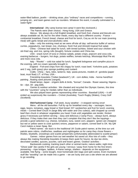water-filled balloon, javelin – drinking straw, plus "ordinary" races and competitions – running, jumping etc., and team games such as rounders. Whatever the event, it usually culminated in a water-fight!

**International** : (My camp license test camp! It went like clockwork.)

The Patrols were (their choice) : Hong Kong, USA and Greece.

 Menus : We always do a full English breakfast, and fresh fruit, cheese and biscuits are always available ad. lib, but for the other meals, every day had a different country : France – continental breakfast, French bread, cheese and fruit for lunch, Coq au vin for our main (evening meal) with garlic bread and (non-alcoholic) wine.

 India – only the evening meal as we were off-site all day: self-service buffet of various curries, poppadums, nan bread, rice, chutneys, fresh fruit and (tinned) tropical fruit salad.

 China - Chinese leaf salad for lunch, with tinned lychees; Sweet-and sour chicken with stir-fried veg. and rice, spring rolls (bought), fortune cookies and China tea.

 USA - snack lunch of tuna or cheese salads, potato crisps, popcorn and coca cola, evening barbecue – burgers, hot dogs, potato waffles, tomato ketchup, Mississippi Mud Pie etc and more coca cola.

 Italy - "Risotto" – cold rice salad for lunch, Spaghetti bolognese and campfire pizza in the evening, with ice cream specially brought in.

 England - Fish-and-chips from the chippy for lunch; roast beef, Yorkshire puds, potatoes and 2 veg, (with gravy) plus sponge pudding and custard.

 Crafts : China – fans, kites, lanterns; Italy -pasta pictures, models of : gondola (paper boat, must float) L/T. of Pisa; USA -

 Friendship bracelets ("Indian beadwork"); UK - corn dollies; India - henna hand/foot painting , floating sand pictures (rangoli),

 Diwali lamps; Japan - origami dolls & birds, "bonsai"; Canada - flower weaving; Nigeria tie – dye; All - peg dolls.

 Games & outdoor activities : We cheated and recycled the Olympic Games, this time with the "countries" vying for medals rather than as individuals.

We also played team games representing other countries : Baseball (USA) – it still ended up suspiciously like rounders – Cricket (Australia), Touch Rugby (Wales), Crazy Golf (Scotland).

 **Old-Fashioned Camp** : Full week, lousy weather – it stopped raining once!

 Menu : all the old favourites. Full fry -up for breakfast every day – sausages, bacon, eggs, beans, tomatoes, eggy bread or fried bread; DIY sandwiches and fruit for lunch; evening meals – Corned Beef Chuck In (large Billy with water and Oxo cube(s), add chopped up corned beef then chuck in whatever vegetables you have! Cook until vegetables are tender, thicken gravy if necessary just before serving – easy and delicious.) Camp Pizza – always burnt, always delicious. If they make their own then they can't complain that they don't like the toppings – provide a good selection e.g. cheese, tomatoes, tuna, sweet corn, peppers (green are cheapest but red or yellow seem to cook quicker) onions, pepperoni or salami, corned beef is OK. My QM Carol makes a mean Spag. Bol.

 Patrol names : we stuck to the traditional UK Guide patrol names; at the time our unit patrols were robins, chaffinches, swallows and nightingales so for camp they chose flowers – thistles, bluebells, snowdrops and scarlet pimpernels (unfortunately abbreviated to scarlet pimps!)

 Games : indoor games from our wet-weather list saved us! Also lots of crafts – they always like making friendship bracelets (it keeps them quiet for hours), tie-dye tee shirts, decorated candles, quizzes, puzzles, card and board games. Outdoor activities :

 Backwoods cooking; tracking (each other or animal tracks; nature walks; night-time "Ghost walk" (be careful if the girls are young / nervous / away from home for the first time!); pioneering – rope bridges, ladders, A-frame swings, shelters - depends on the equipment available. Kite flying – some bought, most homemade (bin bags and split canes). Even mundane stuff like "wooding" can be made into a game – we are lucky and use a site where we are allowed to go wooding.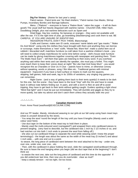**Dig For Victory** : (theme for last year's camp)

 Patrol names : Patrol tents are "Air-Raid shelters," Patrol names Gas Masks, Stirrup Pumps, Incendiary Bombs and Barrage balloons.

 Menu : ("Rations" – everyone to have a "Ration Book." ration the sugar – it will do them good!) The usual stuff but heavily disguised with wartime names : Churchill Chilli, Hitler Hash, Doodlebug Delight, plus real wartime delicacies such as Spam and

 Dried Eggs. Hay box cooking. No bananas or oranges – they were not available until after the war. If it is the right time of year, go brambling (blackberrying) and cook them to eat. BE CAREFUL. IF YOU ARE UNSURE OF IDENTIFYING

HEDGEROW FRUITS, DON'T PICK THEM). Blancmange.

 Crafts and Games: make own ID cards, evacuees' name labels and "gas masks." "Make Do And Mend": using only the clothes they have brought with them and anything they can borrow or scrounge, make themselves a "new" outfit; "Waste Not, Want Not": make a useful item out of rubbish / discarded stuff; matchbox furniture (a craft taken from a wartime children's book – you will need to collect empty matchboxes for some time before camp) - doll's house style furniture can be made by gluing matchboxes together covering with newspaper and painting them. "Even The Walls Have Ears" – tell them that spies are listening to their every word. If you overhear anything said within their tents and can identify the speaker, she must pay a forfeit. This might even teach them to keep their voices down at night! "Be Like Dad And Keep Mum" - you would recognize this as Charades or Give Us A Clue – patrols have to mime, or otherwise convey without speaking, words or phrases, song / film titles etc.. Traditional games with minimal equipment : hopscotch if you have a hard surface or means to mark out the squares, skipping, ball games, hide-and-seek, tag in its 1000s of variations, any singing ring games you can remember.

 Night Game : (and a way of getting them back to their tents quietly!) It needs to be dark for this one. Set the scene : they have been to the local "Hop" with the GIs and have to sneak back in without irate fathers finding out. In pairs, and with a torch to flick on and off to avoid tripping, they have to get back to their tents without getting caught. Guiders spotting a light shout "Mind that light!" and it must be put out immediately. They will stumble and giggle as they try to move quietly, but take my advice and don't catch them unless they actually walk into you!

 $-* - * - * - * * - * * -$ 

### **Canadian themed Crafts**

From: Anne Flood (wasflood@EXECULINK.COM)

And our PF leader, Mandy, introduced weaving to our girls at our fall camp using foam meat trays (clean & unused! donat ed by the store).

- You wrap the wool 'round the length of the tray until you have 8 lengths (Mandy used a solid colour wool here).

- Use duct tape on the bottom of the meat tray to hold them in place.

- Mandy used the multi-coloured wool (variegated?) and wrapped them onto cardboard pieces to prevent tangling. (very hard to describe, but the cardboard was 1 inch by 2 1/2 inches or so, and had notches cut into both 1 inch ends to prevent the wool from falling off.)

- she also cut out cardboard things to separate the wool while weaving (wish I knew the proper terminology!) - the length was about the same as the width of the meat tray (5 inches?) and about 1 inch wide.....with one end cut to a point.

-to weave, the long piece of cardboard went between the wool attached to the tray - under one, over one, under one, over one....etc.

- Then, with the cardboard in place holding the wool, slide the variegated wool/cardboard through. Be sure to leave the end hanging when you begin (did we duct tape that at the beginning? I don't think so)

- to weave the next one, take out the long piece of cardboard and this time do the opposite! If you did under/over last time, then now you do over/under. clear as mud?

- keep a steady tension - not too tight, not too loose.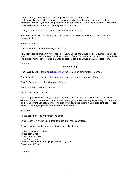- when done, you should have a woven piece the size of a bookmark!

- cut the wool at the back, leaving ends hanging - and make a big knot at either end of the bookmark (or belt, if you're making a long belt for bonhomme!) Be sure to include the ends of the variegated wool in the knot so that they are "finished" too.

Mandy used cardboard cereal/food boxes for all the cardboard.

A very economical craft! And kept the girls' hands busy so they could talk at the same time! :) Leaders too! :)

 $x^*x^*x^*x^*x^*x^*$ 

From: Helen Archibald (archibal@PUBNIX.NET)

How about bonhomme carnival? That cute snowman with the woven belt that symbolizes Quebec winter Carnival. Tres canadien. Could be done with felt, or fun foam, or pompoms, or cotton balls. The belt (cienture fleche) is also a Canadian craft, & could be woven on a cardboard loom.

 $-* - * - * - *$ 

# **Fairyland Camp**

From: Wendy Baker (wbaker@REDDEN.ON.CA), Campbellford, Ontario, Canada

Can't take all the credit either for the game. I got the idea from Margaret Fraser

GAME: (idea originally from Margaret Fraser)

Name: Fairies, Elves and Gnomes.

It is like rock paper scissors.

Your group decides what they are going to be and then goes to the center of the room with the other groups and the leader counts to 3 and every group does their appointed thing. If all groups do the same thing you start again. The group that beats the others runs to their safe zone or are tagged. The tagged people then go to the other team.

#### ACTIONS:

Fairies dance on toes and flutter eyelashes,

Elves crouch low and stick out their tongues and make scary faces

Gnomes stand straight with arms at sides and blink their eyes.....

Fairies fly away from Elves Fairies beat Elves Elves scare Gnomes Elves Beat Gnomes Gnomes tickle Fairies they giggle and can't fly away Gnomes beat Fairies

 $-*-*-*-*-*$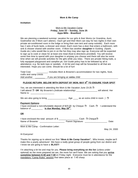#### **Mom & Me Camp**

#### **Invitation:**

### Mom & Me Vacation Camp **Friday, June 23 – Sunday, June 25 Apps Mills - Brantford**

We are planning a weekend summer vacation for our girls & their Moms (or Grandma, Aunt, Godmother etc if Mom can't attend.) Each girl and their Mom can stay for two nights in their own private air-conditioned room in the lodge or bring their own tent and camp outside). Each room has 2 sets of bunk beds, a dresser and closet. Each room has a door that enters a bathroom, with sink & shower shared with another room. If Mom has another **daughter** in Guiding (Spark, Guide etc.) who would like to join in on the fun they may also sign up. Everyone will be expected to sign up to cook or clean for at least one meal (food & directions provided). You will receive some free time to spend with your daughter in anyway you choose and there will also be some time when we will provide activities for the girls while you relax. There are private hiking trails, a fully equipped playground and campfire pit. Girl Guide policy has to be followed by all in attendance, e.g. No tank tops or sandals. A kit list and map will be forwarded to all that are interested. Hope you can come. Should be a lot of fun!

Total Cost \_\_\_\_\_\_\_\_\_: Includes Mom & Brownie's accommodation for two nights, food, crafts and camp crests Add another **and if you are bringing an extra** child

# **PLEASE RETURN BELOW WITH DEPOSIT BY MON. MAY 8th TO ENSURE YOUR SPOT**

| Yes, we are interested in attending the Mom & Me Vacation June 23-25 $\Box$<br>I will attend □ OR My Brownie's (indicate relationship) _______________ will attend. Her<br>Name is: ______________________ |       |
|------------------------------------------------------------------------------------------------------------------------------------------------------------------------------------------------------------|-------|
|                                                                                                                                                                                                            |       |
| <b>Payment Options:</b><br>I have enclosed a non-refundable deposit of \$20.00 by Cheque $\Box$ Cash. $\Box$ I understand the<br>balance of ____________ is due Monday, May 29 <sup>th</sup> .             |       |
| <b>OR</b>                                                                                                                                                                                                  |       |
| Name of Brownie: The Contract of Parent Signature:                                                                                                                                                         | Date: |
| Mom & Me Camp - Confirmation Letter:                                                                                                                                                                       |       |

May 24, 2000

Hi Everyone!

Thanks for signing up to attend our first **"Mom & Me Camp Vacation".** Who knows, maybe we'll make this a yearly adventure! We have a really great group of people going from our district and I know we are going to have a **BLAST!**

I'm attaching a kit list and map for you. **Please bring everything on the list** (unless under optional) as the more prepared we are, the more fun we'll have. We are asking that you **arrive sometime between 6:30 and 7:30** on Friday night. Everyone must be in attendance for the mandatory "Camp Rules" session that takes place at 7:45 sharp.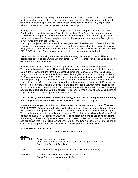In the Guiding Spirit, we try to help a **local food bank or shelter** when we camp. This time we will focus on babies and ask everyone to try and donate an item. There is a real need for baby food, baby formula, diapers etc., but any non-perishable item would be greatly appreciated. A table will be set up for donations where you enter the lodge.

Although all meals and healthy snacks are provided, we are asking parents that wish **"Junk Food"** to bring something to share. Take it to the kitchen *(do not keep food in rooms or tents).*  These items will be put out for snack Friday and Saturday nights, **to be shared by all**. Sweet snacks will be saved for Saturday night as we find the girls are too wound up the first night as it is. Of course once they are in bed.......

We will provide juice, milk, and Kool-Aid for everyone to drink and tea and coffee for the adults. However, if you are a pop drinker and just can't go the weekend without that Pepsi, then please bring your own and mark it before putting in the fridge. WE ASK THAT YOU DO NOT GIVE THE GIRLS POP at camp. Some of you may also wish to bring your own bottled water.

Just a reminder that smoking in front of the girls is strongly discouraged. There will be a **designated smoking area** where you may smoke. Don't forget that everyone is asked to sign up on the **duty chart** as they arrive.

Although we will have a tentative schedule posted we plan to be as flexible as possible. Throughout the weekend there will be special **Mom & Me activities**, some of which include a Mom & Me Scavenger hunt, Mom & Me baseball game and Mom & Me crafts. Don't worry though; you'll also have lots of free time to rest while the girls partake **in "Girls Only"** activities. On Saturday afternoon from 2:00  $-4:30$  time is set aside to either lounge around the camp with your daughter or go off on an adventure to a local attraction such as the conservation area, or a local outdoor pool. Some of these outings are free but some have a cost involved. It's up to you whether you go or stay. At night we hope to have **campfires** and Saturday night should be fun with a **"Talent Show".** Any girls or Mom's that want to entertain us are welcome to do so. **Bring any props, music etc. that you might need.** Skits, dance, magic...just about anything goes as long as it doesn't last any longer then 5-10 minutes each.

We will officially **end the camp at noon on Sunday,** after our popular **camp awards ceremony**. After that you are free to go or stay, as we don't have to be out until 3:00 p.m.

**Please make sure you have the camp balance and forms back to me by June 5th AT THE VERY LATEST.** Some of you will only have to fill out a medical form for yourself as we already have one for your daughter. Others will have to fill one out both for you and your daughter(s). They can be dropped off to me at Brownies on June  $5<sup>th</sup>$  or left in my mailbox at 20 Camille Court (cheques payable to 72<sup>nd</sup> Hamilton Brownies). Please don't make me chase down the forms **and money....**I have lots of planning ahead of me to make this first Mom & Me camp a success and don't have time to be calling everyone trying to get cheques & paperwork. Your co-operation would really be appreciated. Feel free to call or e-mail if you have any questions.

Iroquois District Commissioner

# **Mom & Me Vacation Camp**

# **FRIDAY**

| $6:30 - 7:30$ | Arrival, set up rooms or tents.<br>Craft: Decorate name tags & make room door hangers or tent signs.<br>Sign Up for Duties & Activities. |
|---------------|------------------------------------------------------------------------------------------------------------------------------------------|
| 7:30          | Announcements/Camp Rules (everyone must be in attendance)                                                                                |
| $8:00 - 9:00$ | Get To Know Each Other Games with Lisa Smith<br>Snack Patrol gets snack ready (8:45)                                                     |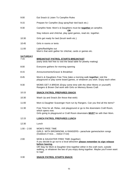| 9:00                    | Eat Snack & Listen To Campfire Rules                                                                                                                                                    |
|-------------------------|-----------------------------------------------------------------------------------------------------------------------------------------------------------------------------------------|
| 9:15                    | Prepare for Campfire (bug spray/hair tied back etc.)                                                                                                                                    |
| 9:30                    | Campfire Note: Mom's & Daughters must be <b>together</b> at campfire.                                                                                                                   |
|                         | OR<br>Stay indoors and chitchat, play quiet games, read etc. together.                                                                                                                  |
| 10:30                   | Girls get ready for bed (brush teeth etc.)                                                                                                                                              |
| 10:45                   | Girls in rooms or tents                                                                                                                                                                 |
| 11:00                   | Lights/flashlights out<br>Mom's that wish gather for chitchat, cards or games etc.                                                                                                      |
| <b>SATURDAY</b><br>7:15 | <b>BREAKFAST PATROL STARTS BREAKFAST</b><br>(early birds feel free to visit the bead table for jewelry making)                                                                          |
| 8:00                    | Everyone gathers for morning opening                                                                                                                                                    |
| 8:15                    | Announcements/Grace/ & Breakfast                                                                                                                                                        |
| 8:45                    | Mom's & Daughters Free Time (take a morning walk together, visit the<br>playground or play some board games, or whatever you wish. Enjoy each other.                                    |
| 9:30                    | MOMS GET A BREAK (Enjoy some time with the other Moms or yourself!)<br>Rangers & Brown Owl work with Girls on Memory Boxes Craft                                                        |
| 10:15                   | <b>SNACK PATROL PREPARES SNACK</b>                                                                                                                                                      |
| 10:30                   | Wash Up and Snack (for those that wish)                                                                                                                                                 |
| 11:00                   | Mom & Daughter Scavenger Hunt run by Rangers. Can you find all the items?                                                                                                               |
| 11:30                   | Free Time for all. Relax, visit playground or go to the downstairs Craft Room,<br>which opens now.<br>Girls going to playground or Craft Room downstairs <b>MUST</b> be with their Mom. |
| 12:15                   | <b>LUNCH PATROL PREPARES LUNCH</b>                                                                                                                                                      |
| 12:30                   | Lunch                                                                                                                                                                                   |
| $1:00 - 2:00$           | <b>MOM'S FREE TIME</b><br>GIRLS WITH BROWNOWL & RANGERS- parachute games/action songs<br>(Outdoors if nice indoor if not)                                                               |
| 2:00                    | MOM & DAUGHTER FREE TIME (together)<br>If you decide to go out to a local attraction please remember to sign release<br>before leaving.                                                 |

OR Stay for Mom & Daughter time together either in the craft room, outside walking, or whatever the two of you enjoy doing together. Maybe you'll even want to nap!

# 3:30 **SNACK PATROL STARTS SNACK**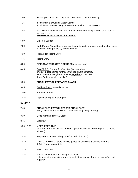- 4:00 Snack: (For those who stayed or have arrived back from outing)
- 4:15 If Hot: Mom & Daughter Water Games If Cold/Rain: Mom & Daughter Manicures Inside OR BOTH!!!
- 4:45 Free Time to practice skits etc. for talent show/visit playground or craft room or just rest if tired. **SUPPER PATROL STARTS SUPPER.**
- 6:00 Grace & Supper
- 7:00 Craft Parade (Daughters bring your favourite crafts and pick a spot to show them off while Moms parade by to see them all).
- 7:30 Prepare for Talent Show
- 7:45 Talent Show
- 8:30 **FIRE STARTERS GET FIRE READY** (unless rain)
- 8:45 CAMPFIRE: Prepare for Campfire (for that wish) or quiet indoor games for those that don't want campfire. Note: Mom's & Daughters must be **together** at campfire. If rain (indoor candle campfire).
- 9:30 **SNACK PATROL PREPARES SNACK**
- 9:45 Bedtime Snack & ready for bed..
- 10:00 In rooms or tents
- 10:30 Lights/Flashlights out for girls

#### **SUNDAY**

| 7:45       | <b>BREAKFAST PATROL STARTS BREAKFAST</b><br>(early birds feel free to visit the bead table for jewelry making) |
|------------|----------------------------------------------------------------------------------------------------------------|
| 8:30       | Good morning dance & Grace                                                                                     |
| 8:45       | <b>Breakfast</b>                                                                                               |
| 9:30-10:30 | <b>MOMS FREE TIME</b><br>Girls work on Special Craft for Mom (with Brown Owl and Rangers - no moms<br>allowed) |
| 10:30      | Prepare for Outdoors (bug spray/sun lotion/hat etc.)                                                           |
| 10:45      | Mom & Me Hike & Nature Activity guided by Jocelyn's & Justine's Mom's<br>If Rain (indoor nature talk).         |

- 11:15 Wash Up & Drink
- 11:30 Awards Presentation & Closing Ceremony Lets present our special awards to each other and celebrate the fun we've had together!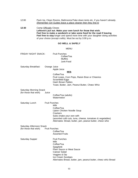12:00 Pack Up, Clean Rooms, Bathrooms/Take down tents etc. if you haven't already. (Remember Girl Guides leave a place cleaner then they find it)

**12:30** Camp Officially Closes **Leftovers put out. Make your own lunch for those that wish. Feel free to make a sandwich or take some food for the road if leaving Feel free to stay** longer and spend more time with your daughter doing activities of your choice (except crafts). Must be out by 3:00 p.m.

### **GO WELL & SAFELY**

MENU

FRIDAY NIGHT SNACK: Fruit Punches Coffee/Tea **Muffins** 

Junk Food

Saturday Breakfast: Orange Juice Apple Juice

**Milk**

Coffee/Tea Fruit Loops, Corn Pops, Raisin Bran or Cheerios Scrambled Eggs Hash Brown Patties Toast, Butter, Jam, Peanut Butter, Cheez Whiz

Saturday Morning Snack

(for those that wish) Juice Coffee/Tea (adults) Watermelon<sup>1</sup>

Saturday Lunch Fruit Punches

Milk Coffee/Tea Lipton Chicken Noodle Soup **Crackers** Subs (make your own with (assorted cold cuts, tuna, cheese, tomatoes & vegetables) Alternates: Bread, butter, jam, peanut butter, cheez whiz

Saturday Afternoon Snack (for those that wish) Fruit Punches

Coffee/Tea

Saturday Supper Fruit Punches

Assorted Fruits Milk Coffee/Tea Spaghetti Plain Sauce or Meat Sauce Caesar Salad Veggies & Dip Ice Cream Sundaes Alternates Bread, butter, jam, peanut butter, cheez whiz Bread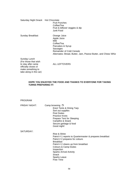| Saturday Night Snack Hot Chocolate                         | <b>Fruit Punches</b><br>Coffee/Tea<br>Fruit & leftover veggies & dip<br>Junk Food                                                                                               |
|------------------------------------------------------------|---------------------------------------------------------------------------------------------------------------------------------------------------------------------------------|
| Sunday Breakfast                                           | Orange Juice<br>Apple Juice<br>Milk<br>Coffee/Tea<br>Pancakes & Syrup<br>Sausages<br>Remainder of Cold Cereals<br>Alternates: Bread, Butter, Jam, Peanut Butter, and Cheez Whiz |
| Sunday Lunch<br>(For those that wish<br>to stay after camp | ALL LEFTOVERS                                                                                                                                                                   |

# **HOPE YOU ENJOYED THE FOOD AND THANKS TO EVERYONE FOR TAKING TURNS PREPARING IT!**

# PROGRAM

officially closes or make something to take along in the car)

| <b>FRIDAY NIGHT:</b> | Camp browsing $\Box$                                     |
|----------------------|----------------------------------------------------------|
|                      | Erect Tents & Dining Tarp                                |
|                      | Sort out supplies                                        |
|                      | <b>Post Duties</b>                                       |
|                      | <b>Practice Knots</b>                                    |
|                      | Prepare Tent for Sleeping                                |
|                      | Campfire & Snack                                         |
|                      | Secure garbage & food                                    |
|                      | Good night!                                              |
| SATURDAY:            |                                                          |
|                      | Rise & Shine                                             |
|                      | Patrol # 1 reports to Quartermaster & prepares breakfast |
|                      | Patrol # 2 prepares for colours                          |
|                      | <b>Breakfast</b>                                         |
|                      | Patrol # 2 cleans up from breakfast                      |
|                      | Colours & Camp Duties                                    |
|                      | Inspection                                               |
|                      | <b>Sparks Arrival Activity</b>                           |
|                      | Snack                                                    |
|                      | Sparks Leave                                             |
|                      | Free Time                                                |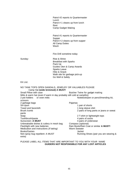Patrol #2 reports to Quartermaster Lunch Patrol # 1 cleans up from lunch Rest Camp Gadget Making

Patrol #1 reports to Quartermaster Supper Patrol # 2 cleans up from supper All Camp Duties Wash

Fire Drill sometime today

Sunday: Rise & Shine Breakfast with Sparks Pack Up Guides Own & Camp Awards Sparks Leave Hike & Snack Walk site for garbage pick-up Go Well & Safely

#### Kit List:

NO TANK TOPS OPEN SANDALS, JEWELRY OR VALUABLES PLEASE Camp Hat **(wide brimmed) A MUST!** Small Pillow with case **Butcher Twine for gadget making** Mitts & warm hat (even if warm in day probably still cold at campfire)<br>2 pot holders or oven mitts Notebook/pe Notebook/pen or pencil/mending kit, scissors 2 garbage bags **Pajamas** Sit-Upon 1 pair of shorts Towel and facecloth 1 long sleeve shirt Brush /comb 2 pairs of long pants or jeans or sweat pants Soap 2 T-shirt or lightweight tops Toothbrush/paste 4 pairs of socks Sunscreen: **A MUST** 4 pairs of underwear Unbreakable dishes & cutlery in mesh bag Compass (optional)<br>Flashlight with new batteries Rain Boots/Rain Coa Rain Boots/Rain Coat or similar **A MUST!** Medication and instructions *(if taking)* Warm Sweater Books/Games **Jacket** Non-spray bug repellent: A MUST Running Shoes (pair you are wearing & extra)

#### PLEASE LABEL ALL ITEMS THAT ARE IMPORTANT TO YOU WITH YOUR NAME  **GUIDERS NOT RESPONSIBLE FOR ANY LOST ARTICLES**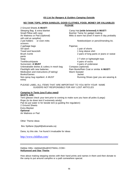### *Kit List for Rangers & Guiders Camping Outside*

#### **NO TANK TOPS, OPEN SANDLES, GOOD CLOTHES, FOOD, MONEY OR VALUABLES PLEASE**

2 Ground Sheets **A MUST!** Sleeping Bag & extra blanket Camp Hat **(wide brimmed) A MUST!** Small Pillow with case **Butcher Twine for gadget making** still cold at campfire) 2 pot holders or oven mitts Notebook/pen or pencil/mending kit, scissors 2 garbage bags **Pajamas** Sit-Upon 1 pair of shorts Towel and facecloth 1 long sleeve shirt Brush /comb 2 pairs of long pants or jeans or sweat pants Soap 2 T-shirt or lightweight tops Toothbrush/paste 4 pairs of socks Sunscreen: **A MUST** 4 pairs of underwear Unbreakable dishes & cutlery in mesh bag Compass (optional) Flashlight with new batteries **Rain Boots/Rain Coat or similar A MUST!** Medication and instructions *(if taking)* Warm Sweater Books/Games **Jacket** Non-spray bug repellent: A MUST Running Shoes (pair you are wearing & extra)

Air Mattress or Pad (Optional) Mitts & warm hat (even if warm in day probably

### PLEASE LABEL ALL ITEMS THAT ARE IMPORTANT TO YOU WITH YOUR NAME GUIDERS NOT RESPONSIBLE FOR ANY LOST ARTICLES

#### *Camping In Tents (you'll also need)* **MUSTS ARE:**

Tent (please check your tent prior to coming to make sure you have all poles & pegs) Rope (to tie down tent if extremely windy) Pail (to put water in for beside tent (a guiding fire regulation) 2 Ground Sheets Extra Blanket **Optional** Air Mattress or Pad

Other Theme ideas

Bev Spillane (bjspill@attcanada.ca)

Dana, try this site. I've found it invaluable for ideas

http://www.childfun.com/

Debbie Hillis <debbiehillis@HOTMAIL.COM> **Hollywood and Star Theme**

How about making stepping stones with their hand prints and names in them and then donate to the camp to put around campfire or a path somewhere special.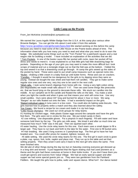# **Little Camp on the Prairie**

From: Jeri McKelvie (mckelvie@sk.sympatico.ca)

We earned the Laura Ingalls Wilder Badge from the U.S.A. at this camp plus various other Brownie Badges. You can get the info about it and order it from this website http://www.qconline.com/girlscouts/laura.htm We started working on this before the camp because you need to read some of the Little House on the Prairie books ahead of time. The information sheet tells you how many you need to read and what else you need to do to earn the badge. We substituted some things such as the "Torn Pocket" for a patchwork square and a real wagon ride for building a model. I have included an explanation of the activities that we did. \* Torn Pockets. In one of the books Laura fills her pocket with rocks, tears her pocket off her dress and needs to mend it. It was explained to us that little girls had little drawstring bags for pockets. Depending on the age of your girls you may want to make this more difficult but I took scraps of material and cut a rectangle shape out so that the fold was at the bottom. I folded the top and sewed it so that a drawstring could go through. At camp the girls sewed up the sides of the pocket by hand. These were used to put small camp treasures such as special rocks into. \*Butter - shaking a little cream in a baby food jar until butter forms. Rinse and use on crackers. \*Candles - I thought it would be too dangerous for the girls to try dipping since they were so young. Instead we bought the wax sheet and had them roll candles. They got to make some regular size ones and one very, very tiny one to be used in the next craft. \*Wish rafts - I took some branch clippings from home with me. Using a very light cotton string (bio-degradable) we made small rafts about 6" X 6". Then we used some things like pinecones etc. that we found lying on the ground to decorate these rafts. We stuck our candles into the middle. At our campfire we lit the candle and floated the rafts on the lake. You make a wish when you light the candle and when it goes out that means your wish will come true. Use very small candles. Ours were about 3/4" long and burned for about 1 hour or more. We sang "Barges" as our rafts floated out onto the lake. It had a wonderful impact on the girls. \*Baked individual cakes in tuna cans in a box oven. You could also do baking soda biscuits. The

girls learned how to properly strike a match and they also learned about fire safety.

\*Ice Cream - We found a recipe for ice cream and made it in zip lock bags.

\*Little House Olympics - We used our circle groups for relay teams.

#1 Hunting for chicken eggs. Hide plastic Easter eggs around the campsite and have the girls find them. The girls were not in circles for this one. We put nickel candy in them.

 #2 cow milking. Use disposable gloves. Put a pinprick in each fingertip. Fill with water and have someone hold them by the top. The girls can milk away. We timed it and after so much time we measured how much "milk" was in the pail. Then we squirted each other.

#3 water hauling. Use the circle relay teams for this one. Each team uses a small dipper to fill a larger pail. They have to run back and forth to the lake for the water. First one to fill bucket wins. #4 Hair braiding. We used 3 long scarves or 3 pantyhose legs. The first girl to have her hair braided won. You could offer prizes for neatest, tightest, loosest, etc.

 #5 table setting. We used the circle relay teams for this one. The first girl in each circle is given a plate, cup, spoon, fork, knife, napkin and place mat. They run up to the table and set their setting properly. Then they unset it and carry it back to the next girl who does the same. First team finished wins.

We did alot of other things during the day too but on Saturday evening everyone got dressed up in a long skirt and bonnet. It just happened that the figure skating club had used pioneers as a theme and the girls had these costumes at home in their tickle trunks. If you don't have them you could get aprons and scarves from Value Village. We had an early special supper and after supper we had some special guests join us. They were two gentlemen from the Parkland Fiddlers. We taught the girls how to polka, waltz and square dance. What fun!! Our dance lasted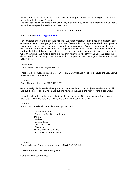about 1.5 hours and then we had a sing along with the gentlemen accompanying us. After this we had the Little House Olympics.

The next day we closed camp in the usual way but on the way home we stopped at a stable for a horse drawn wagon ride and an ice cream treat.

#### **Mexican Camp Theme**

From: Wendy wendyrem@iaw.on.ca

For camporee this year our site was Mexico. We made maracas out of those little "chubby" pop or juice containers. Just podged them with bits of colourful tissue paper then filled them up with a few beans. The girls loved them and played them at campfire :-) We also made a piñata. And one of the most fun things was teaching the girls the Mexican hat dance. I had found instructions for it on the Internet that went over them step by step according to the music. We all had a lot of fun with that one. We made a sombrero hat craft with those little straw hats you can get at the dollar store for 3/\$1 usually. Then we glued tiny pompoms around the edge of the hat and added a few flowers.

~\*~\*~\*~\*~ From: Diane, diane.haigh@MANX.NET

There is a book available called Mexican Fiesta at Our Cabana which you should find very useful. Available from: Our Cabana

 $^{*}$  \*  $^{*}$  \*  $^{*}$  \*  $^{*}$ From: Therese - tmpreece@TELUS.NET

our girls really liked threading heavy wool through needlework canvas just threading the wool in and out the holes, alternating in and out one row and out and in the next forming a box weave.

Leave tassels at the ends...and make it small floor mat size. Use bright colours like a serape.... and voila. If you use very fine weave, you can make it camp hat sized.

 $-*+*+*$ From: "Debbie Palecek" <debbiepalecek@SHAW.CA

> Mexican hat dance Cucaracha (spelling bad I know) Piñata Nachos Mexican flags Our Cabana info Clay pots Weave Mexican blankets And most important: Siesta

 $-$ \*~\*~\*~\*~ From: Kathy MacEachern, k.maceachern@SYMPATICO.CA

I have a Mexican craft idea and a game.

Camp Hat Mexican Blankets: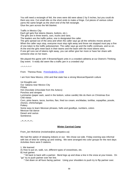You will need a rectangle of felt, the ones were did were about 2 by 5 inches, but you could do them any size. Cut small slits on the short ends to make a fringe. Cut pieces of various colour yarns the same length as the short end of the felt rectangle. Glue the yarn across the felt blanket.

Traffic in Mexico City: Each girl gets five tokens (beans, buttons, etc.). The girls are in three teams, cars, trucks and vans. The leaders are the traffic police, one is designated the caller. The girls spread out of the area and when the caller says go all the vehicles moves around. When the caller says stop, everyone must stop right away and those not stopped must pay a fine of one token to the traffic policewomen. The caller says go and the traffic continues, and so on. At the end the girls meet back in their teams and the team with the most tokens wins. If one girl runs out of tokens right away, you can either give her more or have her share with someone else on her team.

We played this game with 4 Brownie/Spark units in a crowded cafeteria at our District's Thinking Day event. It really did seem like a traffic jam in a crowded city!

 $-*+*+*+*$ 

From: Theresa Rose, Primr0z@AOL.COM

I am from New Mexico, USA and that state has a strong Mexican/Spanish culture

1st thoughts are: Our Cabana near Mexico City Piñata Hot chocolate (chocolate from the Aztecs) Ponchos and serapes Luminaries (paper sack, sand in the bottom, votive candle) We do them on Christmas Eve Chili ristras Corn, pinto beans, tacos, burritos, flan, fried ice cream, enchiladas, tortillas, sopapillas, posole, chorizo, chimichangas **Pottery** Some easy to learn Mexican phrases, hello and goodbye, numbers, colors Mexican hat dance Desert and cactus Sombreros

 $~~\sim~x~~x~~x~x~x~x~$ 

#### **Winter Carnival Camp**

From: Jeri McKelvie (mckelvie@sk.sympatico.ca)

We had the option of sleeping indoors or out. We chose out side. Friday evening was informal with lots of time for setting up and visiting. We were arranged into color groups for the next days Activities there were 5 stations.

1. We learned

A) How to put on, walk, run, different types of snowshoes, etc.

B) Inuit games

 \* Sit back to back with a partner. Bend legs up and draw a line in the snow at your knees. On "go" try to push partner over her line.

\* Get down on all fours facing partner. Using your shoulders to push try to flip partner over.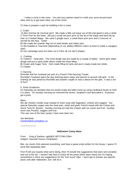\* make a circle in the snow. You and your partner stand in it with your arms around each other and try to get each other out of the circle.

C) How to prepare a spot for building a fire in snow.

#### 2. Crafts

 A) Bon Homme de Carnival (sp?) We made a little red toque out of felt and glued it onto a white 2" Pom Pom for the head. We put a small red pom pom on the tip of the toque and bent the tip over so it looked floppy. We used 2 google eyes, a small black pom pom and a crescent of red felt for the face. Voila!!

B) We made the Quebec flag out of seed beads and safety pins.

C) We braided or macramé (depending on our ability) different colors of wool to made a voyageur sash.

D) Our nametags were fun foam cut in Fleur de Lie (sp?) shapes.

#### 3. Cooking

A) Tortierre - meat pies. The crust dough was pre made by a couple of ladies. Some girls rolled dough and put in pans while others made the meat filling.

B) Cream and Sugar Tarts. Girls made filling for tarts and put in ready-made tart shells. C) Crepes

#### 4. Dancing

Rochelle and her husband are part of a French Folk Dancing Troupe.

Rochelle's husband spent the day teaching basic steps and dances to around 100 girls. In the evening he was joined by Rochelle and another couple to host a dance for the girls. It was a ton of fun!!

#### 5. Snow Sculptures

On Saturday we decided what we would sculpt and piled snow up using cardboard boxes to hold it in place. On Sunday morning we removed the boxes, sculpted it and decorated it. Everyone got a prize.

Menu

We ate chicken noodle soup instead of onion soup with baguettes, cheese and veggies. Our special Saturday supper was the meat pies, salad and garlic French bread with the Crème and Sucre Tarts for dessert. Sunday morning we had the Crepes with ice cream and fruit. Sunday lunch was Poutine, veggies and fruit.

This was one of the best camps I have ever been too.

Jeri McKelvie mckelvie@sk.sympatico.ca

 $2^{*}2^{*}2^{*}2^{*}2^{*}2^{*}2^{*}2^{*}$ 

#### **Halloween Camp Ideas**

From: Greg & Darlene <gpit@IX.NETCOM.COM> Subject: Haunted House Compilation

Btw, my Junior Girls planned everything, and have a great script written for the house, I guess I'll send that separately later.

First I'll tell you exactly what we're doing, then I'll include the suggestions that were sent privately and not to the list. I haven't had time to check all the posts (there were many) but I'm hoping somewhere in there are suggestions for the "lost scout" idea. I won't get to answer any specific posts until after Halloween, but I will do it.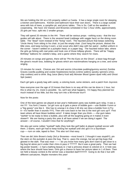We are holding the HH at a GS property called La Casita. It has a large single room for sleeping, a kitchen and bathrooms. Kitchen and bathroom have their own doors. There is a large outside area with lots of trees, a campfire pit, and picnic tables. This is So. Calif so the weather is cooperating. We have 102 Daisies and Brownies scheduled in four 1-hour shifts, approximately 25 girls per hour, split into 2 smaller groups.

They will spend 20 minutes in the HH. There will be various props - nothing scary - that the tour guides will talk about. There is the severed head (cabbage with veggie face) on the dining room table. The "dead" room instead of the "living" room. The haunted picture that keeps switching 'Uncle Henry' from sitting in his chair, to just the empty chair. (Just hang the picture, distract the little ones, and keep turning it over), a lost scout who didn't stay with her patrol - stuffed uniform in the corner - haven't settled on a pumpkin head, or a paper bag. The haunted indoor lake, where the girls go fishing with real poles and hook one of those lollipop ghosts. There will be "Happy Birthday" balloons for Juliette's bday, and a game where they search for clues.

20 minutes on songs and games, there will be "Pin the Eyes on the Ghost", a bean bag through the ghost's mouth toss, bobbing for ghosts which are marshmallows hanging on a tree, and some singing.

15 minutes for snack. Choices are: Dirt and worms (chocolate pudding/gummy worms) Zombie Graves (vanilla pudding and cookie headstones) bones (crème wafers) spooky spinners (choc. chip cookies) and to drink: Bug Juice (Berry Kool aid) Monster Blood (green dyed milk) and Ghost Spit (water)

Each girl gets a goody bag with candy, a coloring book, some stickers, and a patch from Joycrest.

Now everyone over the age of 10 knows that there is no way all this can be done in 1 hour, but this is what my Jrs. insist is possible. So, we'll see what happens. I'm happy they planned too much instead of too little, but this may turn into a 90-minute tour!!!

Now for the posts:

One of the best games we played at last year's Halloween party was bubble gum relay. It was a riot !!!!! You form 2 teams. 1st girl runs up & gets a piece of bubble gum----use Bubble-Yumm or a \*big gooey\* one like it. She has to unwrap it & chew it till she can blow a bubble from it.(Try it----it's harder than it sounds !!!!!!). Then she runs back to her line & the next girl runs up!!! First team where all have blown bubbles wins!! It takes longer than you think ------the gum takes \*awhile\* to be ready to blow a bubble, plus with all the laughing going on it makes it even slower!!! We are having a party this year & all have asked if we are doing it again! The answer----of course, I wouldn't miss that for anything!!!

We also got some rubber \*eyeball\* balls (they look like golf balls) & played eyeball soccer with them. 2 teams, each girl had to keep kicking her eyeball until she got it in a Styrofoam cup------turn on side, taped to floor. This also isn't that easy.

Then we did John Brown's body (3rd yr Brownies---most loved it. 2 thought it was stupid!!!), pin the stem on the pumpkin & pass the bug. That is --pass the orange, but we got big bugs that glowed in the dark. That was neat---------do you know how many girls don't want to get close to a big bug let alone put it under their chins & pass it ?????? But it was a great party. Then we had big poster boards ---1 had a bathing beauty & 1 had a princess drawn & colored on it. A hole was where the face should have been. Girls got a chance to have her picture taken in 1 of them. Then we held a beauty contest & the winner was a bearded dad!!!!!!!!!!!!!!!!!!!! Going to do that 2 but with different caricatures. Maybe monsters this year!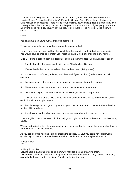Then we are holding a Beanie Costume Contest. Each girl has to make a costume for her favorite Beanie (or small stuffed animal). Patrol 1 will judge Patrol 2's costumes & visa versa. Girls will also be in costume. There will be fortune telling, new games, prizes & treats. They love These parties & this is usually our big 1 for the year. Except for our end of year party. We are not a partying troop (too busy usually) but this they look forward to---so we do it. Good luck with yours. Judi

\*\*\*\*\*

You can have a treasure hunt.... make up poems like

This is just a sample you would have to do it to match the hall: -

I made up a treasure hunt and had the girls follow the clues to find their badges...suggestions: You would have to change to match your meeting place...I held this meeting in my home...

Clue 1. I hung a balloon from the doorway - and gave them the first clue on a sheet of paper: -

1. Bubble, bubble where are you, Inside me you'll find a clue. (Balloon)

2. It's cold inside, but has to be to keep the clue heat-free. (Refrigerator)

3. It is soft and comfy, as you know, it will be found if you look low. (Under a sofa or chair cushion)

- 4. I've been hung, not from a tree, on my outside, the clue will be (on the curtain)
- 5. Never sweep under me, cause if you do the clue won't be. (Under a rug)
- 6. Over me it is light, Look under me where it's like night (under a lamp table)

7. I'm well-read, and on the third shelf to the right On fifty the clue will be in your sight. (Book on third shelf on the right page 50

8. People always have to go through me to get to the kitchen, look on my back where the clue will be. (Kitchen door)

9. A real nice place for a banana, apple or pear, underneath the treasure will be there.

I had the girls (I had 6 the year I did this one) go through 1 at a time so they would not destroy my house.

We sat and waited in the other room so they did not know that the end of the treasure hunt was at the fruit bowl on the kitchen table.

As you can see this was one I did for presenting badges.........but you could have Halloween goodie bags at the end or even better a witch to hand them out and maybe tell a story.

Wendy Baker \*\*\*\*\*

#### Bobbing for apples.

Carving Jack-o-Lanterns or coloring them with markers instead of carving them. Juliette Low scavenger hunt where things about Juliette are hidden and they have to find them, given the first clue, find the first item, 2nd clue with first item. etc.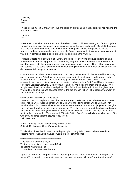YIGGGS, Donna \*\*\*\*\*

This is for the Julliett Birthday part - we are doing an old fashion birthday party for her with Pin the Bee on the Daisy.

#### Kathleen \*\*\*\*\*

Hi Darlene: How about Pin the Face on the Ghost? You could mount one ghost for each girl on the wall and then give them each three black circles for the eyes and mouth. Blindfold them one at a time and send them off to glue their face on their ghost. Leave the ghosts up for the weekend and everyone could sign everyone else's and maybe write down something nice about that girl. If someone does a good turn you could note it on their Ghost.

Treasure Chests were always a hit. Empty shoes box for everyone and just get tons of junk. Send home a letter asking parents to donate anything from their craft/junk/scrap drawers that could be glued onto the treasure boxes: macaroni, construction paper, glitter, ribbon, rick rack, felt, buttons... You could have some theme stuff and give everyone one each to include with her decorations: felt pumpkin, felt ghost...

Costume Fashion Show: Everyone came to our camp in costume, did the haunted house thing, carved jack-o-lanterns (which we used as our campfire instead of logs...) and then we had a Fashion Show. Leaders did the commentary; girls walked the "cat walk" one at a time. Afterwards, we made a big show out of presenting each girl with a First Prize Ribbon for some selection: Scariest Costume, Most Creative, Funniest, Weirdest, and Most Imaginative... We bought lovely black, wide ribbon and printed First Prize down the length of it with a glitter pen. We made felt pumpkins and attached them to the top of each ribbon. The ribbons then went on their camp hats to keep.

# Good Game: Hallowe'en Camp Stew

Line up in patrols. Explain to them that we are going to make H.C.Stew. The first person in each patrol will be Liver. Second person will be Cod Liver Oil. Third person will be Spinach. 4th marshmallows. Etc. Have a chair for each patrol to run down to and around (or you can use girls that don't want to play an active game, as posts). They have to run around the chair and back to their patrol line whenever you call out their ingredient. You can also add two ingredients to the pot together if you wish. When you yell, "Stew is Boiling Over" - everybody runs all at once. Stop when you all agree that the stew is ready to eat. Deb Strathdee

From: Shelagh Walsh <octamom@HOME.COM> Subject: Re: Monster Game/Banking discussion

This is what I have, but it doesn't sound quite right.... sorry I don't seem to have saved the poster's name. Speak up if anyone would like to claim this one!

\*\*\*\*\*\*\*\*\*\*\*\*\*\*\*\*\*\*\*\*\*\*\*\*\*\*\*\*\*\*\*\*\*\*\*\*\*\*\*\*\*\*\*\*\*\*

"The truth it is and not a myth That once there lived a man named Smith. It became his mournful lot To murdered be quite near this spot."

It goes on from there and poor Smith's "organs" get passed from hand to hand (or dropped in horror.) They include brains (moist sponge), locks of hair (corn silk or fur), ear (dried apricot),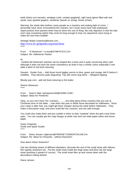teeth (dried corn kernels), windpipe (cold, cooked spaghetti), right hand (glove filled with wet sand), eyes (peeled grapes), vertebrae (spools on string), bones (chain).

Warning: the whole idea bothers some people as a mockery and making light of crime. I personally have never encountered this reaction, but I know some have had unpleasant repercussions from parents when they've done this sort of thing. My only objection is that the kids won't stop screaming (which they revel in) long enough to hear my sepulchral voice trying to make the next lines audible!

Shelagh Walsh octamom@home.com http://www.bc-girlguides.org/areas/lions \*\*\*\*\*

From: "S.Nickerson" <s.nick@SYMPATICO.CA> Subject: Re: Hallowe'en Parties

Hi,

 Cooked old-fashioned oatmeal can be shaped like a brain and is quite convincing when cold. Although it does not have the same consistency as brain it has a similar colour especially if one adds a dash of red food colouring.

Dessert: Guider Gutz -- Add those horrid jiggley worms to blue, green and orange Jell-O before it solidifies. They become quite disgusting. Top with some slug slime -- Whipped topping.

Bloody pop corn: add red food colouring to the butter.

Sharon Nickerson \*\*\*\*\*

From: Gwen's Mail <gchapman100@HOME.COM> Subject: Ideas for Fireworks

Okay, so you can't have 'fire 'crackers............but what about those crackers that you use at Christmas time on the table. I saw them last year in White Rose decorated for Halloween. Since your camp is after that, you might get them cheaper during the week before Halloween. They make a firecracker snap, and even smell like fire crackers, and are safe enough.

You could also make them and put confetti in them so they "explode" when the girls crack them open. You can usually get the snap thingys at white rose and use toilet paper tubes and tissue paper.

Gwen Chapman Guide and Spark Guider \*\*\*\*\*

From: Diane Jensen <jdjensen@FREENET.EDMONTON.AB.CA> Subject: Re: Ideas for Fireworks - without fireworks!!

How about indoor fireworks?

Use two drinking straws of different diameters, decorate the end of the small straw with ribbons, thin sparkly streamers etc. Put the small straw inside the large straw and blow into the large straw (pointing it upward of course). The small straw flies up and comes down with the decorations trailing behind.

Diane Jensen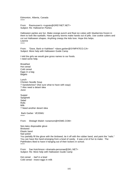Edmonton, Alberta, Canada \*\*\*\*\*

From: Rasmussen's <rugrats@GREYNET.NET> Subject: Re: Hallowe'en Parties

Halloween parties are fun. Make orange punch and float ice cubes with blueberries frozen in them to look like eyeballs. Have gummy worms make hands out of jello. Use cookie cutters and cut out Halloween shapes. Anything creepy the kids love. Hope this helps. Leanne \*\*\*\*\*

From: "Dave, Barb or Kathleen" <dave.garber@SYMPATICO.CA> Subject: More help with Halloween Guide Camp

I told the girls we would give gross names to our foods. I need some help.

Breakfast Hot cereal Cold cereal Eggs in a bag Bagels

Lunch Chicken Noodle Soup ? Sandwitches? (Not sure what to have with soup) ? Also need a desert idea Juice

Supper Spaghetti Salad Rolls Milk ? Need another desert idea

 Barb Garber VE3SMU \*\*\*\*\*

From: Shelagh Walsh <octamom@HOME.COM>

Non-latex disposable glove Birdseed Elastic band Nail polish You partially fill the glove with the birdseed, tie it off with the rubber band, and paint the "nails." You can have this hand emerging from a bowl of candy. It was a lot of fun to make. The Pathfinders liked to have it hanging out of their lockers in school. \*\*\*\*\*

From: Sue Hutchinson <dramatis-personae@SKL.NET> Subject: Re: More help with Halloween Guide Camp

Hot cereal - barf in a bowl Cold cereal - insect eggs in milk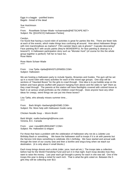Eggs in a baggie - putrified brains Bagels - bread of the dead

Sue Hutchinson \*\*\*\*\*

From: RoseMarie Schaer-Wade <schaerwade@NETSCAPE.NET> Subject: Re: [[GUI/SCO] Halloween Parties]

Carolyn,

I've found that having a round-robin of activities is great for parties like this. There are fewer kids at each of the events, which make things less confusing all around. How about Halloween Bingo with mini marshmallows as markers? Film canister black cats & ghosts? Cupcake decorating? Face painting BUT with acrylic paints (they're WONDERFUL for face painting & cleanup is a breeze!!!) A Halloween participation story such as "Monster Hunt" (of course for this the whole group together is perfect!) Tell her to have fun, Rose Marie

Rose Marie Schaer-Wade \*\*\*\*\*

From: Lisa Tjelta <tjelta@WHISTLERWEB.COM> Subject: Halloween

We are hosting a Halloween party to include Sparks, Brownies and Guides. The gym will be set up in a round robin with many activities for each of the mixed age groups. One stop will be sections of "Haunted Boxes" for the girls to crawl through. One idea is to put bubble wrap on the bottom and have gloves stuffed with popcorn hanging from above and the sides to "get" them as they crawl through. The parents at this station will have flashlights covered with colored tissue to flash in at various small portholes as the children crawl through. Does anyone have any other ideas for creepy, weird things we can put into these boxes?

Lisa Tjelta, who already misses summer time... \*\*\*\*\*

From: Barb Wright <br/> <br/> <br/> <br/> <br/>Starbwright@HOME.COM> Subject: Re: More help with Halloween Guide camp

Chicken Noodle Soup -- Worm Broth!

Barb Wright mailto:barbwright@home.com Victoria, B.C. Canada

From: user <neut@EUREKANET.COM> Subject: Re: Halloween & religion

For those that have a problem with the celebration of Halloween why not do a Juliette Low Birthday Bash or something. We leave the halloween stuff to troops if it is ok with parents but the Service Unit does something to celebrate JGL's birthday. We have started and annual walk through the town of our county seat and then a bonfire and sing-a-long when we reach our destination. (it is only about 4 small blocks.)

Each troop brings donuts and a drink (cider, juice, kool-aid etc.) The troops take a collection before had for the World Friendship Fund and turn it in that night. Each troop decides how they want to raise the money. Last year each girl brought a penny for each in she was tall. One of the troops this year is doing a nickel for each inch. That is what the girls voted on. Between the 5 girls they will be collecting over \$13.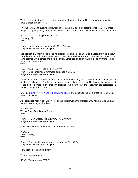We leave the night of trick or treat open and hold our event on a different date and have been have a great turn out for it.

This way we aren't pushing Halloween but leaving that open for parents to take care of. More people are getting away from the Halloween stuff because of association with satanic rituals, etc.

Brenda neut@eurekanet.com Pomeroy, Ohio \*\*\*\*\*

From: Faith Cormier <cormierf@NBNET.NB.CA> Subject: Re: Halloween & religion

Don't forget that many people see no difference between Paganism and Satanism. Yes, I know there is one, but a lot don't. Also, the fact that some witches are practitioners of Wicca, which is NOT satanic, while others are most definitely Satanists, certainly has not done anything to help matters for non-Satanists. \*\*\*\*\*

Date: Wed, 13 Oct 1999 11:23:33 -0700 From: Sue Hutchinson <dramatis-personae@SKL.NET> Subject: Re: Halloween & religion

I think we need to see Halloween Celebrations for what they are. Celebrations of harvest, of life, of afterlife, whatever. The fact is Halloween is not only celebrated in North America. While most of the trick-or-treat is North American Tradition, the festivals around Halloween are celebrated in many countries and cultures.

Check out http://www.yahooligans.ca/holidays and observances for a great link to customs around the world.

As I said, last year in our unit, we celebrated Halloween the Mexican way with La Dias De Las Muertos -- the day of the dead.

Sue Hutchinson Willow Bluffs Area Drama Trainer \*\*\*\*\*

From: Karen Bradley <kbradley@CHATCAN.CA> Subject: Re: Halloween & religion

Celtic New Year is the shortest day of the year in Dec.

YIGGGS Karen Bradley \*\*\*\*\*

From: Sue Hutchinson <dramatis-personae@SKL.NET> Subject: Re: Halloween & religion

How about a Millennium Bash?

Theme: reincarnation

RSVP: "Come as you WERE"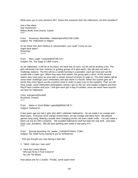What were you in your previous life? Dress like someone from the millennium, be time travellers?

Just a few ideas Sue Hutchinson Willow Bluffs Area Drama Trainer \*\*\*\*\*

From: Rosemary Batchilder <rtbatch@AURACOM.COM> Subject: Re: Halloween & religion

Or for those who don't believe in reincarnation, you could "Come as you might have been!" Rosemary \*\*\*\*\*

From: Marc Leger <carbrite@ISTAR.CA> Subject: Re: The Saga of Lillith Crane...

As for Halloween, it will be at my place, we have lots of room; my dh will be tending a fire. The girls will break into their sizienes or guiding groups (4-5 girls each). We will start out with 4 challenge stations. The first will be a candle burning in a pumpkin, each girl must put out the candle with a water gun. When they pass that station, the group gets a word. At the second station they must pass an area with a certain amount of bricks to walk on. The third station will be some other challenge (can't remember) and also there is a fourth. When the siziene gets all 4 words they must figure out the common word in order to pass over to the campfire. Then we will have songs, some Halloween participation stories I got on the net, and maybe a legend and then they'll have cookies and juice. I will give each girl a bag of candies, since we never have anyone out here for Halloween.

Chris, animatrice(Docibel) Rockland, Ontario \*\*\*\*\*

From: Marie or Gord Wilder <gowild@MNSI.NET> Subject: Hallowe'en

A few years ago we had 2 girls who didn't celebrate Hallowe'en. So we made it an orange and black party. Everyone wore orange or/and black, we ate orange and black food. We played games sang song, Making a purple stew changing words; we even made crafts. You can make a black cat out of a film container. We avoided Hallowe'en stuff but kept the real stuff. Like bats, black cats, pumpkins. We did face painting and made a real party of it. \*\*\*\*\*

From: Brenda Neutzling <Sr\_leader\_1180@HOTMAIL.COM> Subject: Re: Need funny saying to put on tombstones

" And you thought you was having a bad day"

1.. "Well, I told you I was sick!"

2. Here lies Lester Moore Who got hit by 3 Ford 4-doors? No Les. No Moore.

How about one for a Guider: "Finally, some spare time"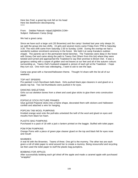Here lies Fred; a great big rock fell on his head Here lies Beethoven decomposing \*\*\*\*\*

From: Debbie Palecek <tdpal13@MSN.COM> Subject: Halloween Camp (long)

We had a great camp.

Since we have such a large unit (33 Brownies) and the camp I booked last year only sleeps 24, we split the group into two shifts. 15 girls and several moms came Friday from 7PM to Saturday 3:30. The next shift came from Saturday 2:30 to Sunday 11AM. During the overlap we had a wonderful outdoor enrolment ceremony in the forest. We held it at camp Kanaka's outdoor chapel. The parents sat in the permanent tiered benches. The Tweenies were deep in the forest with Snowy Owl and came along the path to Tawny Owl (Sherri from this list) where they were twisted and turned and approached the Toadstool to say their promise to Brown Owl. It was a gorgeous setting with a carpet of golden and red leaves at our feet and all of the autumn colours surrounding us. Tawny Owl's husband snapped a picture of each girl at the Toadstool. I hope they turn out. One mom was videotaping...I want to ask to see the tape.

Camp was great with a Harvest/Halloween theme. Thought I'd share with the list all of our weekend.

## TOP HAT SPIDERS

Pre painted 1-inch Styrofoam balls black. Girls pushed black pipe cleaners in and glued on a plastic top hat. Two red thumbtacks were pushed in for eyes.

## DANCING SKELETONS

Girls cut out skeleton bones from a sheet and used glue sticks to glue them onto construction paper.

#### POPSICLE STICK PICTURE FRAMES

Glue gunned Popsicle sticks into a frame shape, decorated them with stickers and Halloween confetti and attached a wire for hanging,

#### POPCAN TAB WOOL PUMPKINS

Knotted orange wool onto the pull-tabs untwisted the twill of the wool and glued on eyes and mouths from black fun foam.

PLASTIC BAG PUMPKINS Purchased in a pack of 18 with a jack o lantern printed on the baggie. Stuffed with toilet paper.

#### POM POM PUMPKINS

Orange Poms with a piece of green pipe cleaner glued on the top and black felt for eyes nose and mouth

#### MUMMIES

A real hit with the Brownies. Teams of three. One girl is the mummy. The other two are each given a roll of toilet paper to wind around her to create a mummy. Being resourceful and recycling we then used the toilet paper to stuff the plastic bag pumpkins.

## BOBBING FOR APPLES

After successfully bobbing each girl dried off the apple and made a caramel apple with purchased "wrapples"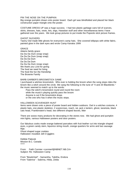## PIN THE NOSE ON THE PUMPKIN

Big orange pumpkin drawn onto poster board. Each girl was blindfolded and placed her black construction paper triangle onto the poster.

COSTUME DRESS UP was a huge success. I had two plastic garbage cans full of scarves, skirts, dresses, hats, vests, leis, wigs, Hawaiian stuff and other miscellaneous items I have gathered over the years. We took group pictures to put inside the Popsicle stick picture frames.

#### GHOST SUCKERS

Tawny Owl made little ghosts for everyone's camp hats. She covered lollipops with white fabric, painted glow in the dark eyes and wrote Camp Kanaka 1999

#### GRACE

Adams family grace: Da Da Da Dum (snap snap) Da Da Da Dum (snap snap) Da Da Da Dum Da Da Da Dum Da Da Da Dum (snap snap) We thank you Lord for giving The food we need for living The food the fun the friendship The Brownie Family

## BARB GARBER'S BROOMSTICK GAME

I purchased a witches broomstick. Who ever is holding the broom when the song stops rides the broom like a witch around the circle. We sang the following to the tune of "4 and 20 Blackbirds." the music seemed to match up to the words:

 Pass the witch's broomstick round and round the room while the music's playing quickly pass the broom Anyone is out if the broomstick drops or the one who has it when the music stops.

#### HALLOWEEN SCAVENGER HUNT

Items were drawn onto a piece of poster board and hidden outdoors. Owl in a witches costume, 4 plastic bats, one plastic skeleton, 2 scarecrows, roach, rat, jack o lantern, ghost, tarantula, black cats head, Frankenstein's head, two different shaped leaves, litter

There are soooo many products for decorating in the stores now. We had ghost and pumpkin mini lights, various Halloween posters and door posters.

Our fabulous cooks made orange battered pancakes with fruit leather cut into triangle shaped eyes, a green candy stem, liquorice string mouth, orange quarters for arms and two sausage legs.

Ghost shaped sugar cookies Halloween moulded Jell-O jigglers

Debbie Palecek Mission B.C. Canada \*\*\*\*\*

From: Faith Cormier <cormierf@NBNET.NB.CA> Subject: Re: Halloween Camp

From "Bewitched" - Samantha, Tabitha, Endora From "Sabrina" - Sabrina, Hilda, Zelda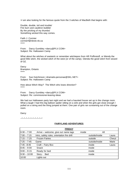>I am also looking for the famous quote from the 3 witches of MacBeth that begins with:

Double, double, toil and trouble/ Fire burn and cauldron bubble/ By the pricking of my thumbs/ Something wicked this way comes.

Faith J. Cormier cormierf@nbnet.nb.ca \*\*\*\*\*

From: Darcy Gumbley <darcy@PLV.COM> Subject: Re: Halloween Camp

What about the witches of eastwick or remember witchiepoo from HR Puffinstuff, or Wendy the good little witch, the wicked witch of the west (or of the camp). Glenda the good witch from wizard of OZ.

**Darcy** Brampton, Ontario \*\*\*\*\*

From: Sue Hutchinson <dramatis-personae@SKL.NET> Subject: Re: Halloween Camp

How about Witch Way? The Witch who loses direction? \*\*\*\*\*

From: Darcy Gumbley <darcy@PLV.COM> Subject: Re: commissioner-leaving ideas

We had our Halloween party last night and we had a haunted house set up in the change room. What a laugh I had this big balloon spider sitting on a sink and when the girls got close enough I pulled on a string and the thing jumped at them. One pair of girls ran screaming out of the change room.

**Darcy** 

 $2^{*}$   $2^{*}$   $2^{*}$   $2^{*}$   $2^{*}$   $2^{*}$   $2^{*}$   $2^{*}$   $2^{*}$   $2^{*}$   $2^{*}$ 

## **FAIRYLAND ADVENTURES**

| <b>FRIDAY</b>  |                                             |        |                |        |  |  |
|----------------|---------------------------------------------|--------|----------------|--------|--|--|
| $6:30 - 7:00$  | Arrive – welcome, give out name tags        | inside | All            |        |  |  |
| $7:00 - 7:15$  | Intro, safety rules, orientation fire drill |        | outside/inside | Laura  |  |  |
| $7:15 - 7:25$  | <b>Frozen Fairies</b>                       |        | outside        | Cheryl |  |  |
| $7:25 - 7:45$  | Game                                        |        | outside/inside | Marie  |  |  |
| $7:45 - 8:45$  | Craft - Fairy Box                           |        | inside         | Laura  |  |  |
| $8:45 - 9:00$  | <b>Snack</b>                                |        | inside         |        |  |  |
| $9:00 - 9:15$  | Ready for bed                               |        | inside         |        |  |  |
| $9:30 - 10:00$ | Story-<br><b>Bed</b>                        |        | inside         |        |  |  |
| 10:00          | Lights out                                  |        |                |        |  |  |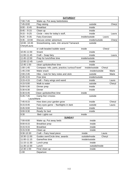| <b>SATURDAY</b> |                                                |                          |       |  |  |  |  |
|-----------------|------------------------------------------------|--------------------------|-------|--|--|--|--|
| 7:00-7:45       | Wake up, Put away beds/duties                  |                          |       |  |  |  |  |
| 7:45-8:00       | Flag raising                                   | outside<br>Cheryl        |       |  |  |  |  |
| $8:00 - 8:45$   | <b>Breakfast</b>                               | inside                   |       |  |  |  |  |
| $8:45 - 9:15$   | Clean up                                       | inside                   |       |  |  |  |  |
| $9:15 - 9:25$   | Circle - intro for today's stuff,              | inside                   | Laura |  |  |  |  |
| $9:25 - 9:35$   | <b>Fairy Exercises</b>                         | inside/outside<br>Laura  |       |  |  |  |  |
| $9:35 - 10:00$  | Discuss winter adventure                       | inside/outside<br>Cheryl |       |  |  |  |  |
| 10:00-10:45     | Snowshoeing, care, mtn around Tamarack         | outside                  |       |  |  |  |  |
| Cheryl/Laura    |                                                |                          |       |  |  |  |  |
|                 | or craft-beaded bubble wand                    | inside<br>Cheryl         |       |  |  |  |  |
| 10:45-11:00     | Snack                                          | inside                   |       |  |  |  |  |
| 11:00-11:45     | Craft - Soap fairy                             | inside<br>Laura          |       |  |  |  |  |
| 11:45-12:00     | Prep for lunch/free time                       | inside/outside           |       |  |  |  |  |
| 12:00-12-45     | Lunch                                          | inside                   |       |  |  |  |  |
| 12:45-1:00      | clean up/duties/free time                      | inside                   |       |  |  |  |  |
| $1:00 - 1:45$   | Compass- Info, parts, practice,'curiousTravel' | inside/outside<br>Cheryl |       |  |  |  |  |
| 1:45-2:00       | Make snack                                     | inside/outside           | Marie |  |  |  |  |
| $2:00 - 2:45$   | Hike - look for fairy notes and stick          | outside                  | Marie |  |  |  |  |
| $2;45-3:15$     | Free time                                      | inside/outside           |       |  |  |  |  |
| $3:15 - 4:15$   | Craft - Fairy wings and wand                   | inside<br>Laura          |       |  |  |  |  |
| 4:15-5:00       | Walk to water                                  | outside<br>Cheryl        |       |  |  |  |  |
| 5:00-5:30       | Dinner prep                                    | inside                   |       |  |  |  |  |
| 5:30-6:30       | <b>Dinner</b>                                  | inside                   |       |  |  |  |  |
| 6:30-6:45       | Clean up/duties/free time                      | inside                   |       |  |  |  |  |
| $6:45 - 7:45$   | Camp fire/ s'mores<br>outside                  |                          |       |  |  |  |  |
| Laura/Marie     |                                                |                          |       |  |  |  |  |
| $7:45-8:15$     | How does your garden grow                      | inside<br>Cheryl         |       |  |  |  |  |
| $8:15 - 8:45$   | Fairy eyes game - flashlights in dark          | outside<br>Laura         |       |  |  |  |  |
| 8:45-9:00       | Snack                                          | inside                   |       |  |  |  |  |
| 9:00-9:30       | Ready for bed                                  | inside                   |       |  |  |  |  |
| 9:30            | Bed-Lights out                                 | inside                   |       |  |  |  |  |
|                 | <b>SUNDAY</b>                                  |                          |       |  |  |  |  |
| 7:00-8:00       | Wake up, Put away beds                         | inside                   |       |  |  |  |  |
| $8:00 - 8:15$   | <b>Breakfast prep</b>                          | inside                   |       |  |  |  |  |
| 8:15-9:15       | <b>Breakfast</b>                               | inside                   |       |  |  |  |  |
| $9:15-9:30$     | Clean up                                       | inside                   |       |  |  |  |  |
| 9:30-10:30      | Craft - Fairy head piece                       | inside<br>Laura          |       |  |  |  |  |
| 10:30-11:00     | Guides own/Circle time, awards                 | outside/inside<br>Cheryl |       |  |  |  |  |
| 11:00-11:15     | Game/free time                                 | inside/outside           |       |  |  |  |  |
| 11:15-11:30     | Lunch prep                                     | inside                   |       |  |  |  |  |
| 11:30-12:30     | Lunch                                          | outside/inside           |       |  |  |  |  |
| 12:30-1:00      | Final clean up                                 | inside                   |       |  |  |  |  |
| 1:00            | Departure                                      |                          |       |  |  |  |  |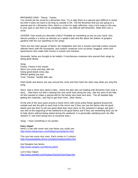## BROWNIES OWN - Theme - Fairies

You should set the mood for a Brownies Own. Try to take them to a special spot (difficult in winter but then it does not have to be long so outside is OK. Tell the Brownies that you are going to a special spot for a Brownies Own, which is a time for quite reflection, sing a nice song on the way to your spot or ask them to be completely silent - too difficult with Brownies. Walk them into a circle.

LEADER: How would you describe a fairy? Probably as something as tiny as your hand, who dances prettily in a dress as delicate as a spider's web and flits about the bottom of people's gardens with the sun sparkling on her wings.

There are two main groups of fairies: the hobgoblins who live in houses and help (unless anyone offends them) with the housework, and outdoor creatures such as pixies, boggarts, elves and leprechauns who make their homes in woods and marshes.

Generally, fairies are thought to be helpful, if mischievous creatures who earned their wings by doing good deeds.

Song: Fairies, Fairies in the woods Won't you come and play with me Doing good deeds every day Without getting any pay Tune: Twinkle, Twinkle little star.

Hold hands and dance one way around the circle and then back the other way while you sing this song.

Story: read a short story about a fairy. (Have the girls who are helping with Brownies Own write a story. Start them out with a starting line and some hints along the way...like the story of the little elf who wanted to make a special doll for the family who lived next door. The elf needed help getting the materials...and had to get them from...other fairies....

At the end of the story pass around a hand mirror with some pretty flower garland around the outside and ask the girls to each look in the mirror see if they can see the fairies who do good deeds and ask them to tell one good deed they have done on the weekend (I always ask girls I can with at the beginning of the weekend to be good fairies and if they see something they can do to help others without being asked during the weekend. It is personally satisfying and I do offer stickers if I see them being nice to someone else.)

Song: I have something in my pocket.

#### **Fairy clipart**

Here's a site with some real cute fairies you could use: http://www.kidsdomain.com/holiday/spring/fairies.html

This one has some nice ones. Each comes in 2 colours: http://mousepadkids.efront.com/pets/meghann/fairy.htm

And Neopets has fairies: http://www.neopets.com/faeries.phtml

Lori's Fairy Clipart http://www.sewdoll.com/Fantasy/Fairies/FairyPage.htm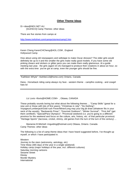# **Other Theme Ideas**

Di <dew@NEX.NET.AU [GUI/SCO] Camp Themes: other ideas

There are five stories from camps at

http://www.trefoilnet.com/camps/stories/camp2.htm

Karen Cheng KarenCHCheng@AOL.COM , England Hollywood Camp

How about using old newspapers and sellotape to make Oscar dresses? The older girls would definitely be up to it and the smaller the girls make really good models. If you have some old pinking shears and stickers or glitter pens you can make them really glamorous. At a guide meeting last year, the girls (aged 10-14) managed to produce their creations in about an hour, so with the extra time you've got at camp, even the younger girls should be fine.

"Kathleen Whyte" <kwhite113@home.com) Ontario, Canada

Dana - Horseback riding camp always my fave - western theme - campfire cooking - and cowgirl hats lol

Liz Lovis <llovis@HOME.COM>, Ottawa, CANADA

These probably sounds boring but what about the following themes ... "Camp Skills" (great for a new unit or those with lots of first years); "Christmas in July"; "Do-Nothing"; Voyageur/Lumberjack/Gold rush Fever/Miner/Long may your big jib draw (whatever fits in your neck of the woods), "Backwards Pmac"; "Gourmet Outdoors"; "Winter Survival"; "First Aid" (get them certified!); "Special/Para Olympics"; "Provincial weekend (i.e. you're going to a different province for the weekend and focus on the culture, arts, history, etc. of that particular province) "Heritage Sports" (lacrosse, cricket, shinny, old games from the turn of the turn of the century) ...

Marianne B Mitchell <mguiding@hotmail.com) Ottawa, Ontario. Canada Camp Themes: other ideas

The following is a list of camp theme ideas that I have heard suggested before, I've thought up myself, or which I have participated in.

**Western** Journey to the stars (astronomy, astrology, etc) Time Warp (365 days of the year in a single weekend) Holiday camp (major holidays of the year, incl. different cultures) Saturday morning cartoons Sesame Street **Disney** Murder Mystery International